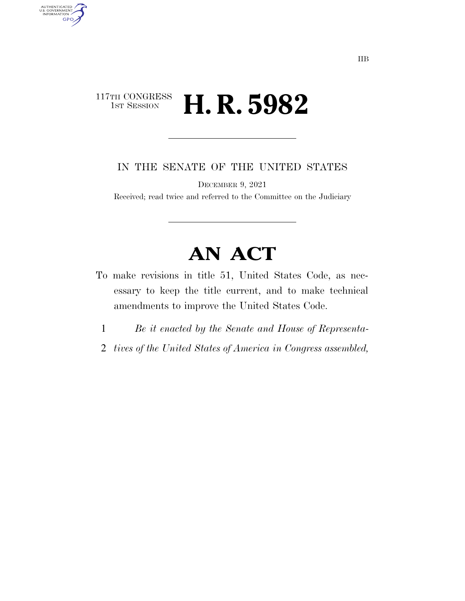## 117TH CONGRESS<br>1st Session H. R. 5982

AUTHENTICATED<br>U.S. GOVERNMENT<br>INFORMATION

**GPO** 

IN THE SENATE OF THE UNITED STATES

DECEMBER 9, 2021

Received; read twice and referred to the Committee on the Judiciary

# **AN ACT**

- To make revisions in title 51, United States Code, as necessary to keep the title current, and to make technical amendments to improve the United States Code.
	- 1 *Be it enacted by the Senate and House of Representa-*
	- 2 *tives of the United States of America in Congress assembled,*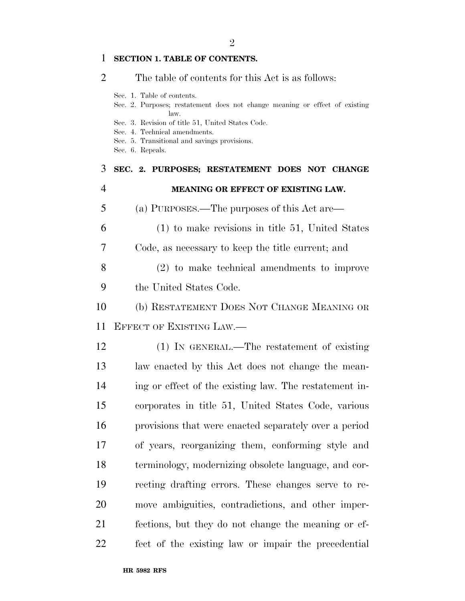### **SECTION 1. TABLE OF CONTENTS.**

| 2  | The table of contents for this Act is as follows:                                                                 |
|----|-------------------------------------------------------------------------------------------------------------------|
|    | Sec. 1. Table of contents.<br>Sec. 2. Purposes; restatement does not change meaning or effect of existing<br>law. |
|    | Sec. 3. Revision of title 51, United States Code.<br>Sec. 4. Technical amendments.                                |
|    | Sec. 5. Transitional and savings provisions.                                                                      |
|    | Sec. 6. Repeals.                                                                                                  |
| 3  | SEC. 2. PURPOSES; RESTATEMENT DOES NOT CHANGE                                                                     |
| 4  | MEANING OR EFFECT OF EXISTING LAW.                                                                                |
| 5  | (a) PURPOSES.—The purposes of this Act are—                                                                       |
| 6  | $(1)$ to make revisions in title 51, United States                                                                |
| 7  | Code, as necessary to keep the title current; and                                                                 |
| 8  | $(2)$ to make technical amendments to improve                                                                     |
| 9  | the United States Code.                                                                                           |
| 10 | (b) RESTATEMENT DOES NOT CHANGE MEANING OR                                                                        |
| 11 | EFFECT OF EXISTING LAW.                                                                                           |
| 12 | (1) IN GENERAL.—The restatement of existing                                                                       |
| 13 | law enacted by this Act does not change the mean-                                                                 |
| 14 | ing or effect of the existing law. The restatement in-                                                            |
| 15 | corporates in title 51, United States Code, various                                                               |
| 16 | provisions that were enacted separately over a period                                                             |
| 17 | of years, reorganizing them, conforming style and                                                                 |
| 18 | terminology, modernizing obsolete language, and cor-                                                              |
| 19 | recting drafting errors. These changes serve to re-                                                               |
| 20 | move ambiguities, contradictions, and other imper-                                                                |
| 21 | fections, but they do not change the meaning or ef-                                                               |
| 22 | fect of the existing law or impair the precedential                                                               |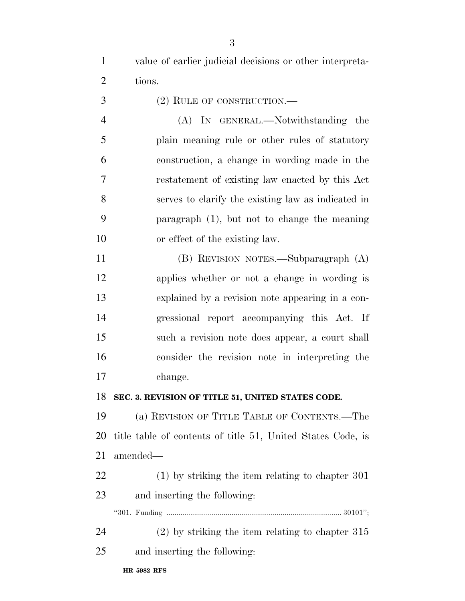value of earlier judicial decisions or other interpreta-tions.

(2) RULE OF CONSTRUCTION.—

 (A) IN GENERAL.—Notwithstanding the plain meaning rule or other rules of statutory construction, a change in wording made in the restatement of existing law enacted by this Act serves to clarify the existing law as indicated in paragraph (1), but not to change the meaning or effect of the existing law.

 (B) REVISION NOTES.—Subparagraph (A) applies whether or not a change in wording is explained by a revision note appearing in a con- gressional report accompanying this Act. If such a revision note does appear, a court shall consider the revision note in interpreting the change.

#### **SEC. 3. REVISION OF TITLE 51, UNITED STATES CODE.**

 (a) REVISION OF TITLE TABLE OF CONTENTS.—The title table of contents of title 51, United States Code, is amended—

 (1) by striking the item relating to chapter 301 and inserting the following:

''301. Funding ......................................................................................... 30101'';

 (2) by striking the item relating to chapter 315 and inserting the following: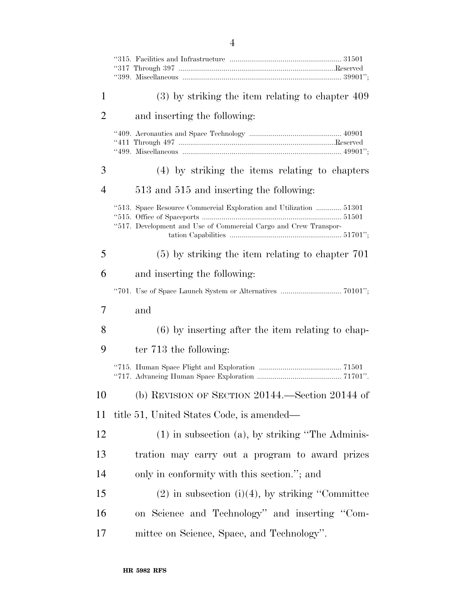| 1              | $(3)$ by striking the item relating to chapter 409                                                                                     |
|----------------|----------------------------------------------------------------------------------------------------------------------------------------|
| $\overline{2}$ | and inserting the following:                                                                                                           |
|                |                                                                                                                                        |
| 3              | (4) by striking the items relating to chapters                                                                                         |
| $\overline{4}$ | 513 and 515 and inserting the following:                                                                                               |
|                | "513. Space Resource Commercial Exploration and Utilization  51301<br>"517. Development and Use of Commercial Cargo and Crew Transpor- |
| 5              | $(5)$ by striking the item relating to chapter 701                                                                                     |
| 6              | and inserting the following:                                                                                                           |
|                |                                                                                                                                        |
| 7              | and                                                                                                                                    |
| 8              | $(6)$ by inserting after the item relating to chap-                                                                                    |
| 9              | ter 713 the following:                                                                                                                 |
|                |                                                                                                                                        |
| 10             | (b) REVISION OF SECTION $20144$ . Section $20144$ of                                                                                   |
| 11             | title 51, United States Code, is amended—                                                                                              |
| 12             | $(1)$ in subsection $(a)$ , by striking "The Adminis-                                                                                  |
| 13             | tration may carry out a program to award prizes                                                                                        |
| 14             | only in conformity with this section."; and                                                                                            |
| 15             | $(2)$ in subsection $(i)(4)$ , by striking "Committee"                                                                                 |
| 16             | on Science and Technology" and inserting "Com-                                                                                         |
| 17             | mittee on Science, Space, and Technology".                                                                                             |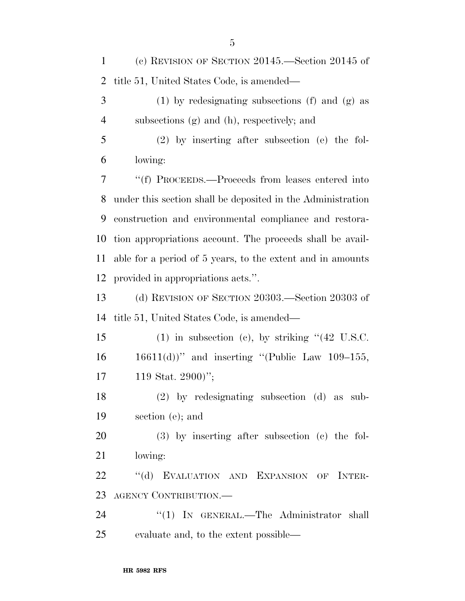| $\mathbf{1}$   | (c) REVISION OF SECTION $20145$ . Section $20145$ of         |
|----------------|--------------------------------------------------------------|
| $\overline{2}$ | title 51, United States Code, is amended—                    |
| 3              | $(1)$ by redesignating subsections $(f)$ and $(g)$ as        |
| $\overline{4}$ | subsections (g) and (h), respectively; and                   |
| 5              | $(2)$ by inserting after subsection (e) the fol-             |
| 6              | lowing:                                                      |
| 7              | "(f) PROCEEDS.—Proceeds from leases entered into             |
| 8              | under this section shall be deposited in the Administration  |
| 9              | construction and environmental compliance and restora-       |
| 10             | tion appropriations account. The proceeds shall be avail-    |
| 11             | able for a period of 5 years, to the extent and in amounts   |
| 12             | provided in appropriations acts.".                           |
| 13             | (d) REVISION OF SECTION 20303.—Section 20303 of              |
| 14             | title 51, United States Code, is amended—                    |
| 15             | $(1)$ in subsection (c), by striking " $(42 \text{ U.S.C.})$ |
| 16             | $16611(d)$ " and inserting "(Public Law 109-155,             |
| 17             | 119 Stat. 2900)";                                            |
| 18             | $(2)$ by redesignating subsection $(d)$ as sub-              |
| 19             | section (e); and                                             |
| 20             | $(3)$ by inserting after subsection $(e)$ the fol-           |
| 21             | lowing:                                                      |
| 22             | "(d) EVALUATION AND EXPANSION OF INTER-                      |
| 23             | AGENCY CONTRIBUTION.—                                        |
| 24             | "(1) IN GENERAL.—The Administrator shall                     |
| 25             | evaluate and, to the extent possible—                        |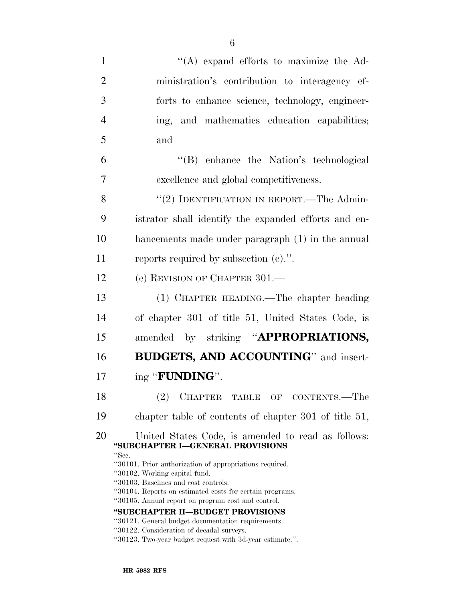| $\mathbf{1}$   | $\lq\lq$ expand efforts to maximize the Ad-                                                                                                                                                                                                                                                                                                                                                        |
|----------------|----------------------------------------------------------------------------------------------------------------------------------------------------------------------------------------------------------------------------------------------------------------------------------------------------------------------------------------------------------------------------------------------------|
| $\overline{2}$ | ministration's contribution to interagency ef-                                                                                                                                                                                                                                                                                                                                                     |
| 3              | forts to enhance science, technology, engineer-                                                                                                                                                                                                                                                                                                                                                    |
| $\overline{4}$ | and mathematics education capabilities;<br>ing,                                                                                                                                                                                                                                                                                                                                                    |
| 5              | and                                                                                                                                                                                                                                                                                                                                                                                                |
| 6              | "(B) enhance the Nation's technological                                                                                                                                                                                                                                                                                                                                                            |
| $\overline{7}$ | excellence and global competitiveness.                                                                                                                                                                                                                                                                                                                                                             |
| 8              | "(2) IDENTIFICATION IN REPORT.—The Admin-                                                                                                                                                                                                                                                                                                                                                          |
| 9              | istrator shall identify the expanded efforts and en-                                                                                                                                                                                                                                                                                                                                               |
| 10             | hancements made under paragraph (1) in the annual                                                                                                                                                                                                                                                                                                                                                  |
| 11             | reports required by subsection $(e)$ .".                                                                                                                                                                                                                                                                                                                                                           |
| 12             | (e) REVISION OF CHAPTER 301.                                                                                                                                                                                                                                                                                                                                                                       |
| 13             | (1) CHAPTER HEADING.—The chapter heading                                                                                                                                                                                                                                                                                                                                                           |
| 14             | of chapter 301 of title 51, United States Code, is                                                                                                                                                                                                                                                                                                                                                 |
| 15             | amended by striking "APPROPRIATIONS,                                                                                                                                                                                                                                                                                                                                                               |
| 16             | BUDGETS, AND ACCOUNTING" and insert-                                                                                                                                                                                                                                                                                                                                                               |
| 17             | ing "FUNDING".                                                                                                                                                                                                                                                                                                                                                                                     |
| 18             | <b>CHAPTER</b><br>(2)<br>CONTENTS.—The<br><b>TABLE</b><br>OF                                                                                                                                                                                                                                                                                                                                       |
| 19             | chapter table of contents of chapter 301 of title 51,                                                                                                                                                                                                                                                                                                                                              |
| 20             | United States Code, is amended to read as follows:<br>"SUBCHAPTER I-GENERAL PROVISIONS                                                                                                                                                                                                                                                                                                             |
|                | "Sec.<br>"30101. Prior authorization of appropriations required.<br>"30102. Working capital fund.<br>"30103. Baselines and cost controls.<br>"30104. Reports on estimated costs for certain programs.<br>"30105. Annual report on program cost and control.<br>"SUBCHAPTER II-BUDGET PROVISIONS<br>"30121. General budget documentation requirements.<br>"30122. Consideration of decadal surveys. |

''30123. Two-year budget request with 3d-year estimate.''.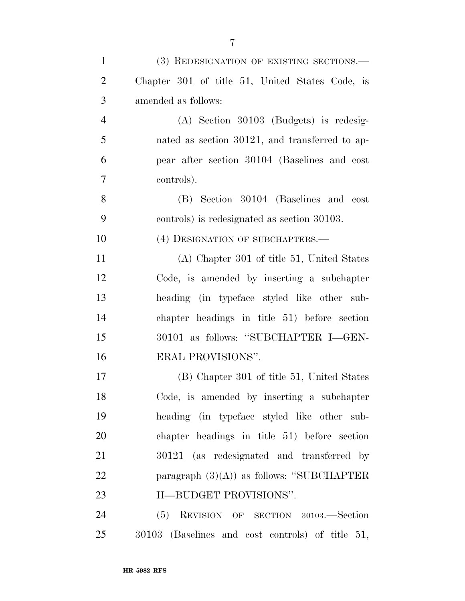| $\mathbf{1}$   | (3) REDESIGNATION OF EXISTING SECTIONS.-         |
|----------------|--------------------------------------------------|
|                |                                                  |
| $\overline{2}$ | Chapter 301 of title 51, United States Code, is  |
| 3              | amended as follows:                              |
| $\overline{4}$ | $(A)$ Section 30103 (Budgets) is redesig-        |
| 5              | nated as section 30121, and transferred to ap-   |
| 6              | pear after section 30104 (Baselines and cost     |
| 7              | controls).                                       |
| 8              | (B) Section 30104 (Baselines and cost            |
| 9              | controls) is redesignated as section 30103.      |
| 10             | (4) DESIGNATION OF SUBCHAPTERS.—                 |
| 11             | (A) Chapter 301 of title 51, United States       |
| 12             | Code, is amended by inserting a subchapter       |
| 13             | heading (in typeface styled like other sub-      |
| 14             | chapter headings in title 51) before section     |
| 15             | 30101 as follows: "SUBCHAPTER I—GEN-             |
| 16             | ERAL PROVISIONS".                                |
| 17             | (B) Chapter 301 of title 51, United States       |
| 18             | Code, is amended by inserting a subchapter       |
| 19             | heading (in typeface styled like other sub-      |
| 20             | chapter headings in title 51) before section     |
| 21             | 30121 (as redesignated and transferred by        |
| 22             | paragraph $(3)(A)$ as follows: "SUBCHAPTER       |
| 23             | II-BUDGET PROVISIONS".                           |
| 24             | (5) REVISION OF SECTION 30103.—Section           |
| 25             | 30103 (Baselines and cost controls) of title 51, |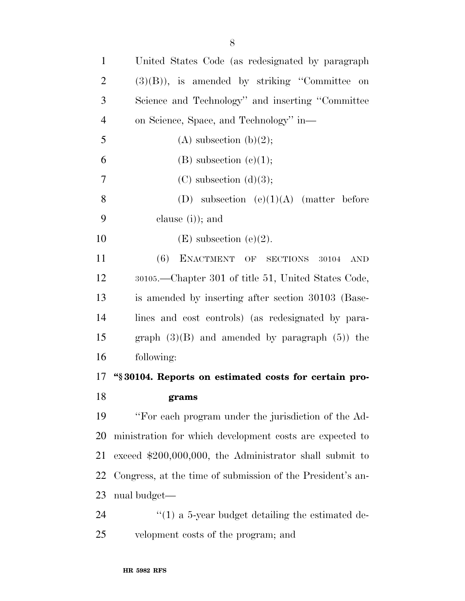| $\mathbf{1}$   | United States Code (as redesignated by paragraph           |
|----------------|------------------------------------------------------------|
| $\overline{2}$ | $(3)(B)$ , is amended by striking "Committee on            |
| 3              | Science and Technology" and inserting "Committee"          |
| $\overline{4}$ | on Science, Space, and Technology" in-                     |
| 5              | $(A)$ subsection $(b)(2)$ ;                                |
| 6              | $(B)$ subsection $(e)(1);$                                 |
| 7              | $(C)$ subsection $(d)(3);$                                 |
| 8              | (D) subsection $(e)(1)(A)$ (matter before                  |
| 9              | clause $(i)$ ; and                                         |
| 10             | $(E)$ subsection $(e)(2)$ .                                |
| 11             | ENACTMENT OF SECTIONS 30104<br>(6)<br>$\operatorname{AND}$ |
| 12             | 30105.—Chapter 301 of title 51, United States Code,        |
| 13             | is amended by inserting after section 30103 (Base-         |
| 14             | lines and cost controls) (as redesignated by para-         |
| 15             | graph $(3)(B)$ and amended by paragraph $(5)$ ) the        |
| 16             | following:                                                 |
| 17             | "§30104. Reports on estimated costs for certain pro-       |
| 18             | grams                                                      |

 ''For each program under the jurisdiction of the Ad- ministration for which development costs are expected to exceed \$200,000,000, the Administrator shall submit to Congress, at the time of submission of the President's an-nual budget—

24 ''(1) a 5-year budget detailing the estimated de-velopment costs of the program; and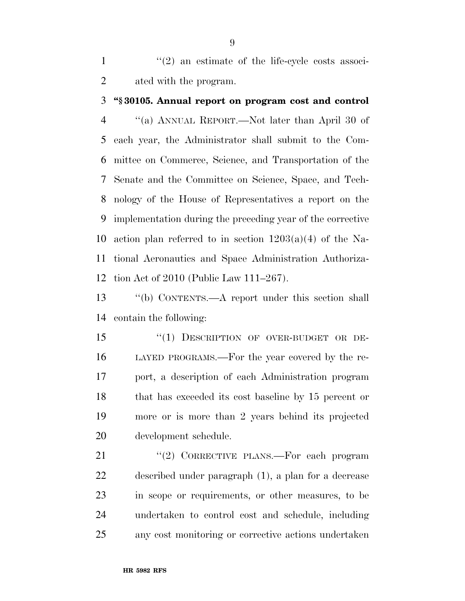$\frac{1}{2}$  an estimate of the life-cycle costs associ-ated with the program.

#### **''§ 30105. Annual report on program cost and control**

 ''(a) ANNUAL REPORT.—Not later than April 30 of each year, the Administrator shall submit to the Com- mittee on Commerce, Science, and Transportation of the Senate and the Committee on Science, Space, and Tech- nology of the House of Representatives a report on the implementation during the preceding year of the corrective 10 action plan referred to in section  $1203(a)(4)$  of the Na- tional Aeronautics and Space Administration Authoriza-tion Act of 2010 (Public Law 111–267).

 ''(b) CONTENTS.—A report under this section shall contain the following:

15 "(1) DESCRIPTION OF OVER-BUDGET OR DE- LAYED PROGRAMS.—For the year covered by the re- port, a description of each Administration program that has exceeded its cost baseline by 15 percent or more or is more than 2 years behind its projected development schedule.

21 "(2) CORRECTIVE PLANS.—For each program described under paragraph (1), a plan for a decrease in scope or requirements, or other measures, to be undertaken to control cost and schedule, including any cost monitoring or corrective actions undertaken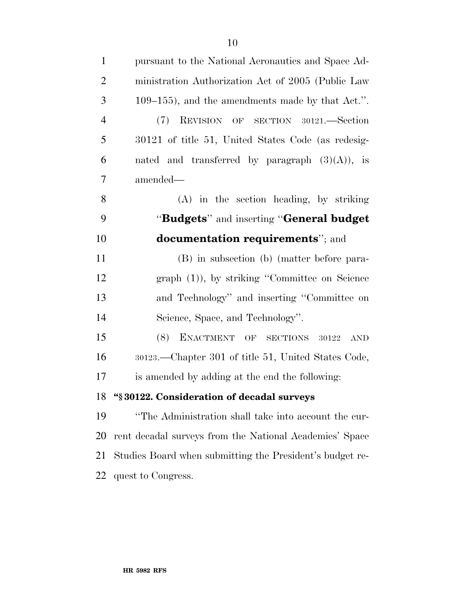| $\mathbf{1}$   | pursuant to the National Aeronautics and Space Ad-       |
|----------------|----------------------------------------------------------|
| $\overline{2}$ | ministration Authorization Act of 2005 (Public Law       |
| 3              | $109-155$ , and the amendments made by that Act.".       |
| $\overline{4}$ | (7) REVISION OF SECTION 30121.—Section                   |
| 5              | 30121 of title 51, United States Code (as redesig-       |
| 6              | nated and transferred by paragraph $(3)(A)$ , is         |
| 7              | amended—                                                 |
| 8              | (A) in the section heading, by striking                  |
| 9              | "Budgets" and inserting "General budget                  |
| 10             | <b>documentation requirements</b> "; and                 |
| 11             | (B) in subsection (b) (matter before para-               |
| 12             | graph $(1)$ ), by striking "Committee on Science         |
| 13             | and Technology" and inserting "Committee on              |
| 14             | Science, Space, and Technology".                         |
| 15             | ENACTMENT OF SECTIONS 30122<br>(8)<br><b>AND</b>         |
| 16             | 30123.—Chapter 301 of title 51, United States Code,      |
| 17             | is amended by adding at the end the following:           |
| 18             | "§30122. Consideration of decadal surveys                |
| 19             | "The Administration shall take into account the cur-     |
| 20             | rent decadal surveys from the National Academies' Space  |
| 21             | Studies Board when submitting the President's budget re- |
| 22             | quest to Congress.                                       |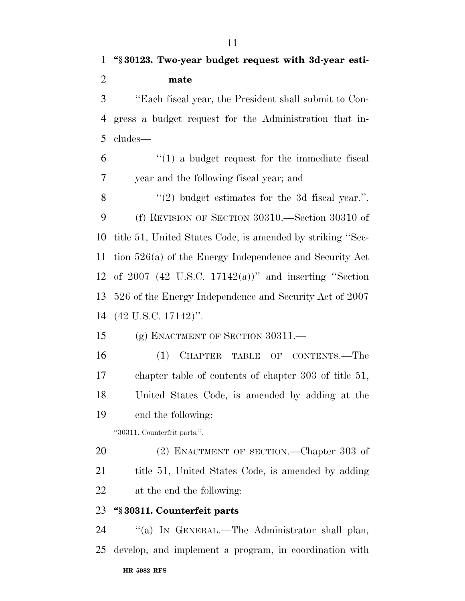''Each fiscal year, the President shall submit to Con- gress a budget request for the Administration that in-cludes—

 ''(1) a budget request for the immediate fiscal year and the following fiscal year; and

 $\langle (2) \rangle$  budget estimates for the 3d fiscal year.". (f) REVISION OF SECTION 30310.—Section 30310 of title 51, United States Code, is amended by striking ''Sec- tion 526(a) of the Energy Independence and Security Act of 2007 (42 U.S.C. 17142(a))'' and inserting ''Section 526 of the Energy Independence and Security Act of 2007 (42 U.S.C. 17142)''.

(g) ENACTMENT OF SECTION 30311.—

 (1) CHAPTER TABLE OF CONTENTS.—The chapter table of contents of chapter 303 of title 51, United States Code, is amended by adding at the end the following:

''30311. Counterfeit parts.''.

20 (2) ENACTMENT OF SECTION.—Chapter 303 of 21 title 51, United States Code, is amended by adding at the end the following:

### **''§ 30311. Counterfeit parts**

**HR 5982 RFS** ''(a) IN GENERAL.—The Administrator shall plan, develop, and implement a program, in coordination with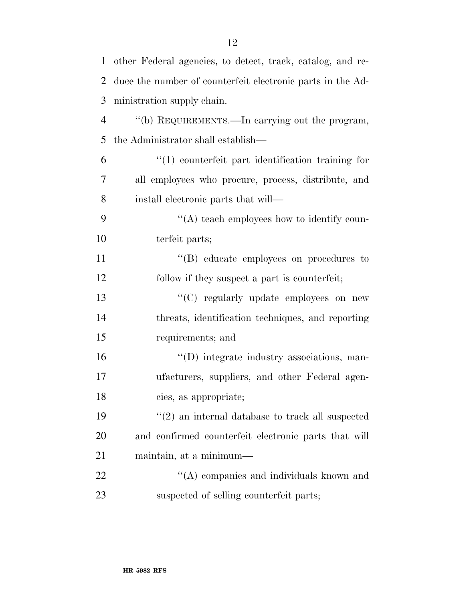| $\mathbf 1$    | other Federal agencies, to detect, track, catalog, and re- |
|----------------|------------------------------------------------------------|
| 2              | duce the number of counterfeit electronic parts in the Ad- |
| 3              | ministration supply chain.                                 |
| $\overline{4}$ | "(b) REQUIREMENTS.—In carrying out the program,            |
| 5              | the Administrator shall establish—                         |
| 6              | $\lq(1)$ counterfeit part identification training for      |
| 7              | all employees who procure, process, distribute, and        |
| 8              | install electronic parts that will—                        |
| 9              | $\lq\lq$ teach employees how to identify coun-             |
| 10             | terfeit parts;                                             |
| 11             | "(B) educate employees on procedures to                    |
| 12             | follow if they suspect a part is counterfeit;              |
| 13             | "(C) regularly update employees on new                     |
| 14             | threats, identification techniques, and reporting          |
| 15             | requirements; and                                          |
| 16             | "(D) integrate industry associations, man-                 |
| 17             | ufacturers, suppliers, and other Federal agen-             |
| 18             | cies, as appropriate;                                      |
| 19             | $\lq(2)$ an internal database to track all suspected       |
| 20             | and confirmed counterfeit electronic parts that will       |
| 21             | maintain, at a minimum—                                    |
| 22             | $\lq\lq$ companies and individuals known and               |
| 23             | suspected of selling counterfeit parts;                    |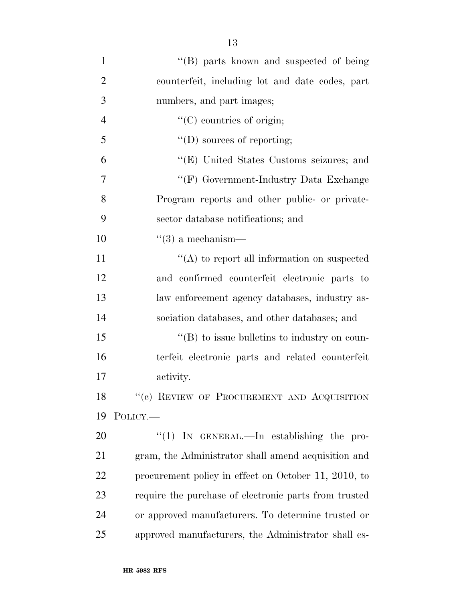| $\mathbf{1}$   | "(B) parts known and suspected of being               |
|----------------|-------------------------------------------------------|
| $\overline{2}$ | counterfeit, including lot and date codes, part       |
| 3              | numbers, and part images;                             |
| $\overline{4}$ | $\lq\lq$ countries of origin;                         |
| 5              | $\lq\lq$ (D) sources of reporting;                    |
| 6              | "(E) United States Customs seizures; and              |
| 7              | "(F) Government-Industry Data Exchange                |
| 8              | Program reports and other public- or private-         |
| 9              | sector database notifications; and                    |
| 10             | $\lq(3)$ a mechanism—                                 |
| 11             | $\lq\lq$ to report all information on suspected       |
| 12             | and confirmed counterfeit electronic parts to         |
| 13             | law enforcement agency databases, industry as-        |
| 14             | sociation databases, and other databases; and         |
| 15             | $\lq\lq$ to issue bulletins to industry on coun-      |
| 16             | terfeit electronic parts and related counterfeit      |
| 17             | activity.                                             |
| 18             | "(c) REVIEW OF PROCUREMENT AND ACQUISITION            |
| 19             | POLICY.-                                              |
| 20             | "(1) IN GENERAL.—In establishing the pro-             |
| 21             | gram, the Administrator shall amend acquisition and   |
| 22             | procurement policy in effect on October 11, 2010, to  |
| 23             | require the purchase of electronic parts from trusted |
| 24             | or approved manufacturers. To determine trusted or    |
| 25             | approved manufacturers, the Administrator shall es-   |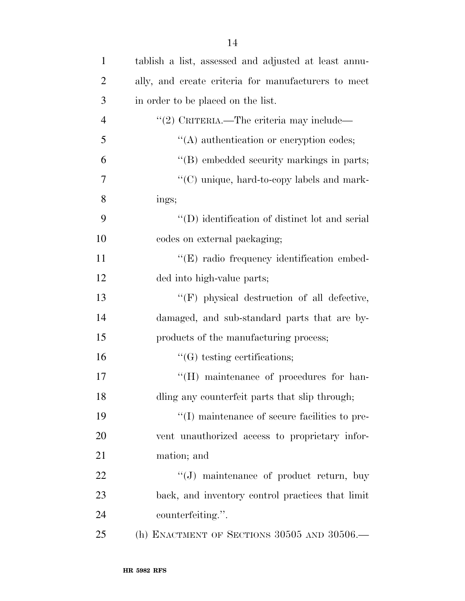| $\mathbf{1}$   | tablish a list, assessed and adjusted at least annu- |
|----------------|------------------------------------------------------|
| $\overline{2}$ | ally, and create criteria for manufacturers to meet  |
| 3              | in order to be placed on the list.                   |
| $\overline{4}$ | "(2) CRITERIA.—The criteria may include—             |
| 5              | "(A) authentication or encryption codes;             |
| 6              | "(B) embedded security markings in parts;            |
| 7              | "(C) unique, hard-to-copy labels and mark-           |
| 8              | ings;                                                |
| 9              | "(D) identification of distinct lot and serial       |
| 10             | codes on external packaging;                         |
| 11             | "(E) radio frequency identification embed-           |
| 12             | ded into high-value parts;                           |
| 13             | $\lq\lq(F)$ physical destruction of all defective,   |
| 14             | damaged, and sub-standard parts that are by-         |
| 15             | products of the manufacturing process;               |
| 16             | $\lq\lq(G)$ testing certifications;                  |
| 17             | "(H) maintenance of procedures for han-              |
| 18             | dling any counterfeit parts that slip through;       |
| 19             | "(I) maintenance of secure facilities to pre-        |
| 20             | vent unauthorized access to proprietary infor-       |
| 21             | mation; and                                          |
| 22             | $\lq\lq(J)$ maintenance of product return, buy       |
| 23             | back, and inventory control practices that limit     |
| 24             | counterfeiting.".                                    |
| 25             | (h) ENACTMENT OF SECTIONS 30505 AND 30506.—          |
|                |                                                      |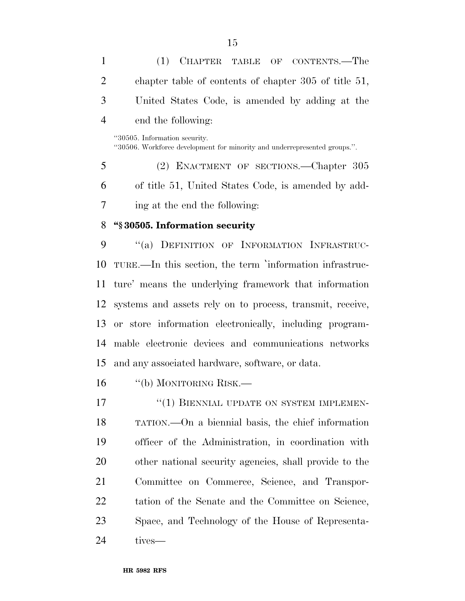(1) CHAPTER TABLE OF CONTENTS.—The chapter table of contents of chapter 305 of title 51, United States Code, is amended by adding at the end the following: ''30505. Information security. ''30506. Workforce development for minority and underrepresented groups.''. (2) ENACTMENT OF SECTIONS.—Chapter 305 of title 51, United States Code, is amended by add- ing at the end the following: **''§ 30505. Information security**  9 "(a) DEFINITION OF INFORMATION INFRASTRUC- TURE.—In this section, the term 'information infrastruc- ture' means the underlying framework that information systems and assets rely on to process, transmit, receive, or store information electronically, including program- mable electronic devices and communications networks and any associated hardware, software, or data.

16 "(b) MONITORING RISK.—

17 <sup>"</sup>(1) BIENNIAL UPDATE ON SYSTEM IMPLEMEN- TATION.—On a biennial basis, the chief information officer of the Administration, in coordination with other national security agencies, shall provide to the Committee on Commerce, Science, and Transpor- tation of the Senate and the Committee on Science, Space, and Technology of the House of Representa-tives—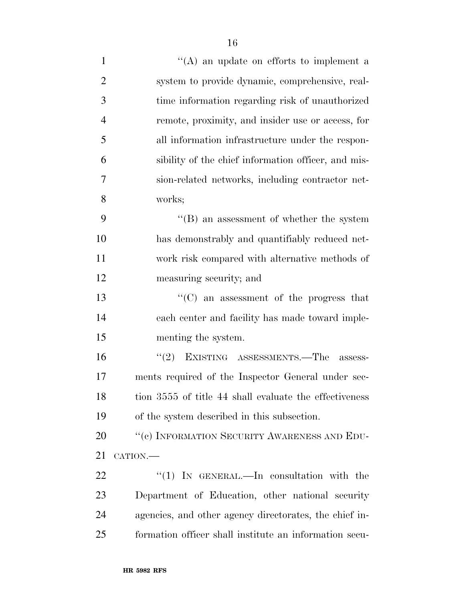- 1 ''(A) an update on efforts to implement a system to provide dynamic, comprehensive, real- time information regarding risk of unauthorized remote, proximity, and insider use or access, for
- all information infrastructure under the respon- sibility of the chief information officer, and mis- sion-related networks, including contractor net-works;

 ''(B) an assessment of whether the system has demonstrably and quantifiably reduced net- work risk compared with alternative methods of measuring security; and

 ''(C) an assessment of the progress that each center and facility has made toward imple-menting the system.

 ''(2) EXISTING ASSESSMENTS.—The assess- ments required of the Inspector General under sec-18 tion 3555 of title 44 shall evaluate the effectiveness of the system described in this subsection.

20 "(c) INFORMATION SECURITY AWARENESS AND EDU-CATION.—

  $\qquad$   $\qquad$   $\qquad$   $\qquad$   $\qquad$   $\qquad$   $\qquad$   $\qquad$   $\qquad$   $\qquad$   $\qquad$   $\qquad$   $\qquad$   $\qquad$   $\qquad$   $\qquad$   $\qquad$   $\qquad$   $\qquad$   $\qquad$   $\qquad$   $\qquad$   $\qquad$   $\qquad$   $\qquad$   $\qquad$   $\qquad$   $\qquad$   $\qquad$   $\qquad$   $\qquad$   $\qquad$   $\qquad$   $\qquad$   $\qquad$   $\qquad$  Department of Education, other national security agencies, and other agency directorates, the chief in-formation officer shall institute an information secu-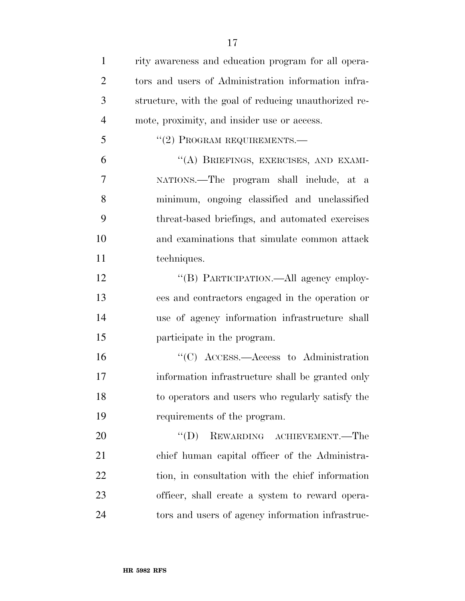| $\mathbf{1}$   | rity awareness and education program for all opera-   |
|----------------|-------------------------------------------------------|
| $\overline{2}$ | tors and users of Administration information infra-   |
| 3              | structure, with the goal of reducing unauthorized re- |
| $\overline{4}$ | mote, proximity, and insider use or access.           |
| 5              | "(2) PROGRAM REQUIREMENTS.-                           |
| 6              | "(A) BRIEFINGS, EXERCISES, AND EXAMI-                 |
| 7              | NATIONS.—The program shall include, at a              |
| 8              | minimum, ongoing classified and unclassified          |
| 9              | threat-based briefings, and automated exercises       |
| 10             | and examinations that simulate common attack          |
| 11             | techniques.                                           |
| 12             | "(B) PARTICIPATION.—All agency employ-                |
| 13             | ees and contractors engaged in the operation or       |
| 14             | use of agency information infrastructure shall        |
| 15             | participate in the program.                           |
| 16             | $\cdot$ (C) ACCESS.—Access to Administration          |
| 17             | information infrastructure shall be granted only      |
| 18             | to operators and users who regularly satisfy the      |
| 19             | requirements of the program.                          |
| 20             | REWARDING ACHIEVEMENT.—The<br>$\lq\lq (D)$            |
| 21             | chief human capital officer of the Administra-        |
| 22             | tion, in consultation with the chief information      |
| 23             | officer, shall create a system to reward opera-       |
| 24             | tors and users of agency information infrastruc-      |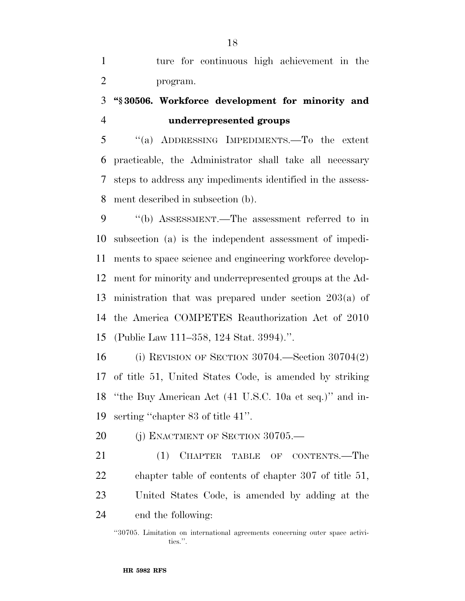ture for continuous high achievement in the program.

# **''§ 30506. Workforce development for minority and underrepresented groups**

 ''(a) ADDRESSING IMPEDIMENTS.—To the extent practicable, the Administrator shall take all necessary steps to address any impediments identified in the assess-ment described in subsection (b).

 ''(b) ASSESSMENT.—The assessment referred to in subsection (a) is the independent assessment of impedi- ments to space science and engineering workforce develop- ment for minority and underrepresented groups at the Ad- ministration that was prepared under section 203(a) of the America COMPETES Reauthorization Act of 2010 (Public Law 111–358, 124 Stat. 3994).''.

 (i) REVISION OF SECTION 30704.—Section 30704(2) of title 51, United States Code, is amended by striking ''the Buy American Act (41 U.S.C. 10a et seq.)'' and in-serting ''chapter 83 of title 41''.

20 (i) ENACTMENT OF SECTION 30705.—

21 (1) CHAPTER TABLE OF CONTENTS.—The chapter table of contents of chapter 307 of title 51, United States Code, is amended by adding at the end the following:

<sup>&#</sup>x27;'30705. Limitation on international agreements concerning outer space activities.''.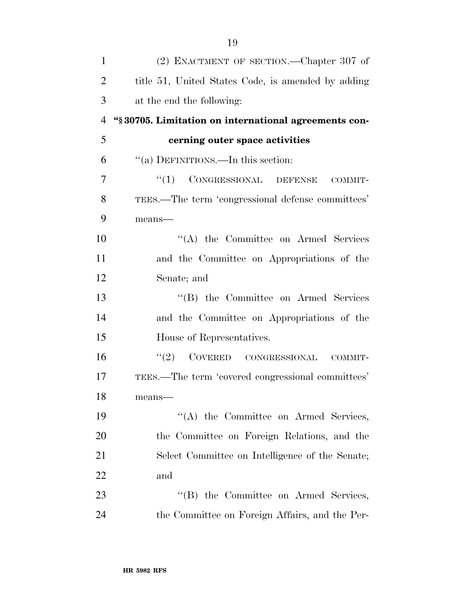| $\mathbf{1}$   | (2) ENACTMENT OF SECTION.—Chapter 307 of             |
|----------------|------------------------------------------------------|
| $\overline{2}$ | title 51, United States Code, is amended by adding   |
| 3              | at the end the following:                            |
| 4              | "§30705. Limitation on international agreements con- |
| 5              | cerning outer space activities                       |
| 6              | "(a) DEFINITIONS.—In this section:                   |
| 7              | "(1) CONGRESSIONAL DEFENSE<br>COMMIT-                |
| 8              | TEES.—The term 'congressional defense committees'    |
| 9              | $means$ —                                            |
| 10             | $\lq\lq$ the Committee on Armed Services             |
| 11             | and the Committee on Appropriations of the           |
| 12             | Senate; and                                          |
| 13             | "(B) the Committee on Armed Services                 |
| 14             | and the Committee on Appropriations of the           |
| 15             | House of Representatives.                            |
| 16             | "(2) COVERED CONGRESSIONAL<br>COMMIT-                |
| 17             | TEES.—The term 'covered congressional committees'    |
| 18             | means-                                               |
| 19             | "(A) the Committee on Armed Services,                |
| 20             | the Committee on Foreign Relations, and the          |
| 21             | Select Committee on Intelligence of the Senate;      |
| 22             | and                                                  |
| 23             | "(B) the Committee on Armed Services,                |
| 24             | the Committee on Foreign Affairs, and the Per-       |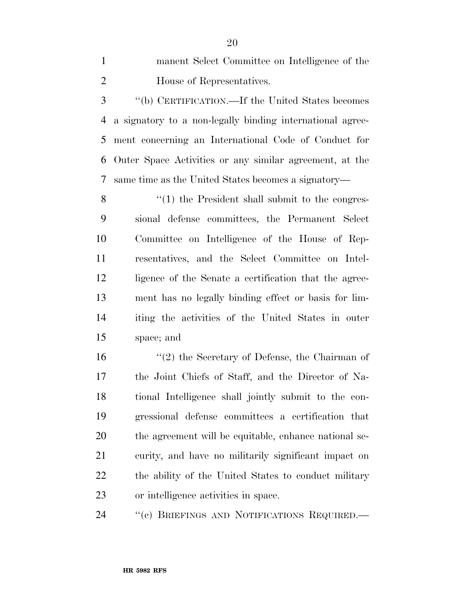manent Select Committee on Intelligence of the House of Representatives.

 ''(b) CERTIFICATION.—If the United States becomes a signatory to a non-legally binding international agree- ment concerning an International Code of Conduct for Outer Space Activities or any similar agreement, at the same time as the United States becomes a signatory—

8 ''(1) the President shall submit to the congres- sional defense committees, the Permanent Select Committee on Intelligence of the House of Rep- resentatives, and the Select Committee on Intel- ligence of the Senate a certification that the agree- ment has no legally binding effect or basis for lim- iting the activities of the United States in outer space; and

16 ''(2) the Secretary of Defense, the Chairman of the Joint Chiefs of Staff, and the Director of Na- tional Intelligence shall jointly submit to the con- gressional defense committees a certification that the agreement will be equitable, enhance national se- curity, and have no militarily significant impact on the ability of the United States to conduct military or intelligence activities in space.

24 "(c) BRIEFINGS AND NOTIFICATIONS REQUIRED.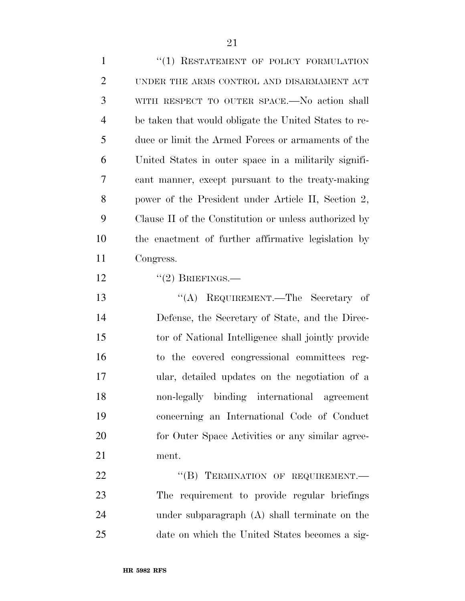| $\mathbf{1}$   | "(1) RESTATEMENT OF POLICY FORMULATION                |
|----------------|-------------------------------------------------------|
| $\overline{2}$ | UNDER THE ARMS CONTROL AND DISARMAMENT ACT            |
| 3              | WITH RESPECT TO OUTER SPACE.—No action shall          |
| $\overline{4}$ | be taken that would obligate the United States to re- |
| 5              | duce or limit the Armed Forces or armaments of the    |
| 6              | United States in outer space in a militarily signifi- |
| 7              | cant manner, except pursuant to the treaty-making     |
| 8              | power of the President under Article II, Section 2,   |
| 9              | Clause II of the Constitution or unless authorized by |
| 10             | the enactment of further affirmative legislation by   |
| 11             | Congress.                                             |
| 12             | $``(2)$ BRIEFINGS.—                                   |
| 13             | "(A) REQUIREMENT.—The Secretary of                    |
| 14             | Defense, the Secretary of State, and the Direc-       |
| 15             | tor of National Intelligence shall jointly provide    |
| 16             | to the covered congressional committees reg-          |
| 17             | ular, detailed updates on the negotiation of a        |
| 18             | non-legally binding international agreement           |
| 19             | concerning an International Code of Conduct           |
| 20             | for Outer Space Activities or any similar agree-      |
| 21             | ment.                                                 |
| 22             | "(B) TERMINATION OF REQUIREMENT.-                     |
| 23             | The requirement to provide regular briefings          |
| 24             | under subparagraph (A) shall terminate on the         |
| 25             | date on which the United States becomes a sig-        |

**HR 5982 RFS**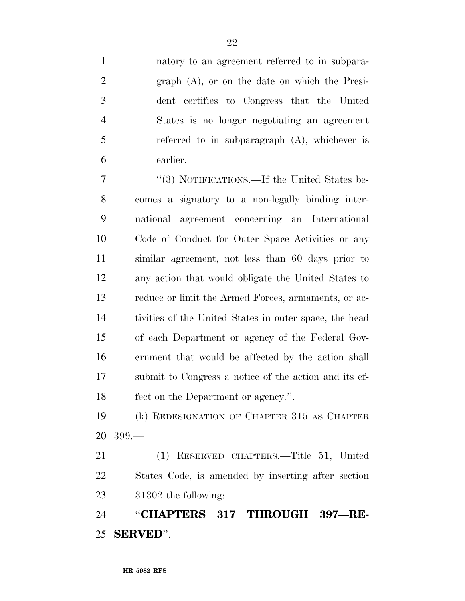natory to an agreement referred to in subpara- graph (A), or on the date on which the Presi- dent certifies to Congress that the United States is no longer negotiating an agreement referred to in subparagraph (A), whichever is earlier.

 ''(3) NOTIFICATIONS.—If the United States be- comes a signatory to a non-legally binding inter- national agreement concerning an International Code of Conduct for Outer Space Activities or any similar agreement, not less than 60 days prior to any action that would obligate the United States to reduce or limit the Armed Forces, armaments, or ac- tivities of the United States in outer space, the head of each Department or agency of the Federal Gov- ernment that would be affected by the action shall submit to Congress a notice of the action and its ef-fect on the Department or agency.''.

 (k) REDESIGNATION OF CHAPTER 315 AS CHAPTER 399.—

 (1) RESERVED CHAPTERS.—Title 51, United States Code, is amended by inserting after section 31302 the following:

 ''**CHAPTERS 317 THROUGH 397—RE-SERVED**''.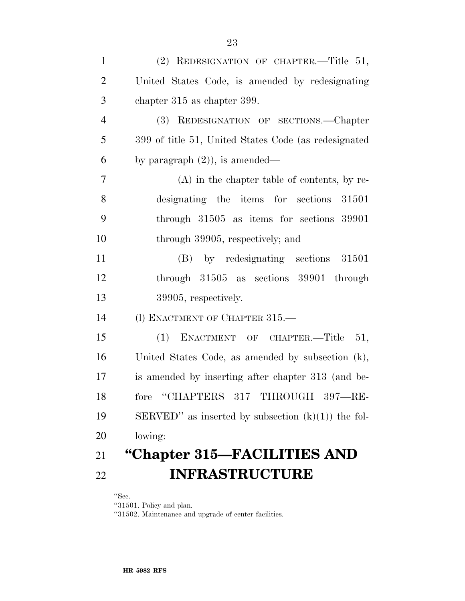| $\mathbf{1}$   | (2) REDESIGNATION OF CHAPTER.-Title 51,              |
|----------------|------------------------------------------------------|
| $\overline{2}$ | United States Code, is amended by redesignating      |
| 3              | chapter 315 as chapter 399.                          |
| $\overline{4}$ | (3) REDESIGNATION OF SECTIONS.—Chapter               |
| 5              | 399 of title 51, United States Code (as redesignated |
| 6              | by paragraph $(2)$ ), is amended—                    |
| 7              | $(A)$ in the chapter table of contents, by re-       |
| 8              | designating the items for sections 31501             |
| 9              | through $31505$ as items for sections $39901$        |
| 10             | through 39905, respectively; and                     |
| 11             | (B) by redesignating sections 31501                  |
| 12             | through $31505$ as sections $39901$ through          |
| 13             | 39905, respectively.                                 |
| 14             | (1) ENACTMENT OF CHAPTER 315.                        |
| 15             | ENACTMENT OF CHAPTER.-Title 51,<br>(1)               |
| 16             | United States Code, as amended by subsection (k),    |
| 17             | is amended by inserting after chapter 313 (and be-   |
| 18             | "CHAPTERS 317 THROUGH 397-RE-<br>fore                |
| 19             | SERVED" as inserted by subsection $(k)(1)$ the fol-  |
| 20             | lowing:                                              |
| 21             | "Chapter 315–FACILITIES AND                          |
| 22             | <b>INFRASTRUCTURE</b>                                |

''Sec.

''31501. Policy and plan.

''31502. Maintenance and upgrade of center facilities.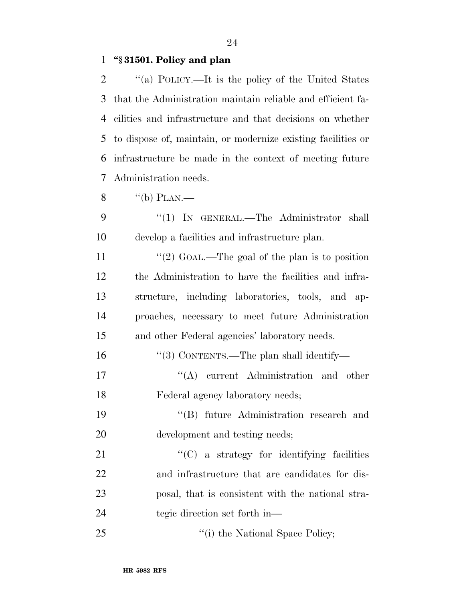#### **''§ 31501. Policy and plan**

 ''(a) POLICY.—It is the policy of the United States that the Administration maintain reliable and efficient fa- cilities and infrastructure and that decisions on whether to dispose of, maintain, or modernize existing facilities or infrastructure be made in the context of meeting future Administration needs.

- $\frac{8}{100}$   $\frac{4}{100}$  PLAN.
- 9 "(1) IN GENERAL.—The Administrator shall develop a facilities and infrastructure plan.
- 11 ''(2) GOAL.—The goal of the plan is to position the Administration to have the facilities and infra- structure, including laboratories, tools, and ap- proaches, necessary to meet future Administration and other Federal agencies' laboratory needs.
- ''(3) CONTENTS.—The plan shall identify—
- 17  $\langle (A)$  current Administration and other Federal agency laboratory needs;
- ''(B) future Administration research and development and testing needs;
- 21  $\cdot$  (C) a strategy for identifying facilities and infrastructure that are candidates for dis- posal, that is consistent with the national stra-tegic direction set forth in—
- 25 "(i) the National Space Policy;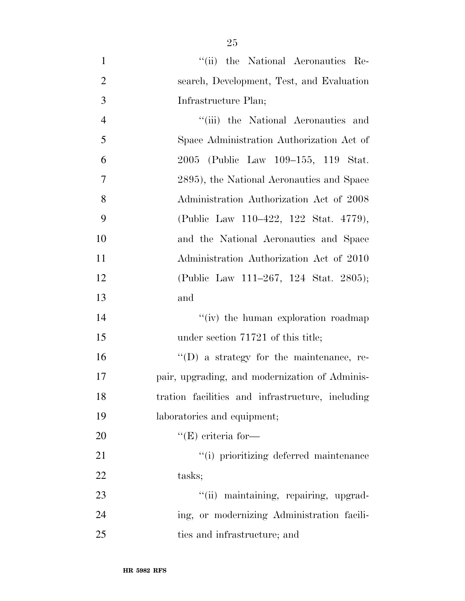- 1 ''(ii) the National Aeronautics Re-2 search, Development, Test, and Evaluation 3 Infrastructure Plan; 4 ''(iii) the National Aeronautics and 5 Space Administration Authorization Act of 6 2005 (Public Law 109–155, 119 Stat. 7 2895), the National Aeronautics and Space 8 Administration Authorization Act of 2008 9 (Public Law 110–422, 122 Stat. 4779), 10 and the National Aeronautics and Space 11 Administration Authorization Act of 2010 12 (Public Law 111–267, 124 Stat. 2805); 13 and 14 ''(iv) the human exploration roadmap 15 under section 71721 of this title; 16  $"$ (D) a strategy for the maintenance, re-17 pair, upgrading, and modernization of Adminis-18 tration facilities and infrastructure, including 19 laboratories and equipment; 20  $"({\rm E})$  criteria for— 21  $\frac{1}{2}$   $\frac{1}{2}$  is prioritizing deferred maintenance 22 tasks; 23  $\frac{1}{1}$  maintaining, repairing, upgrad-
- 24 ing, or modernizing Administration facili-25 ties and infrastructure; and

**HR 5982 RFS**

25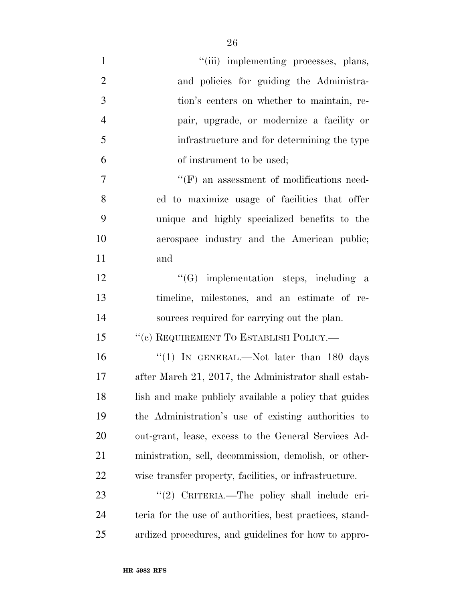| $\mathbf{1}$   | "(iii) implementing processes, plans,                    |
|----------------|----------------------------------------------------------|
| $\overline{2}$ | and policies for guiding the Administra-                 |
| 3              | tion's centers on whether to maintain, re-               |
| $\overline{4}$ | pair, upgrade, or modernize a facility or                |
| 5              | infrastructure and for determining the type              |
| 6              | of instrument to be used;                                |
| 7              | $\lq\lq(F)$ an assessment of modifications need-         |
| 8              | ed to maximize usage of facilities that offer            |
| 9              | unique and highly specialized benefits to the            |
| 10             | aerospace industry and the American public;              |
| 11             | and                                                      |
| 12             | $\lq\lq(G)$ implementation steps, including a            |
| 13             | timeline, milestones, and an estimate of re-             |
| 14             | sources required for carrying out the plan.              |
| 15             | "(c) REQUIREMENT TO ESTABLISH POLICY.—                   |
| 16             | "(1) IN GENERAL.—Not later than 180 days                 |
| 17             | after March 21, 2017, the Administrator shall estab-     |
| 18             | lish and make publicly available a policy that guides    |
| 19             | the Administration's use of existing authorities to      |
| 20             | out-grant, lease, excess to the General Services Ad-     |
| 21             | ministration, sell, decommission, demolish, or other-    |
| 22             | wise transfer property, facilities, or infrastructure.   |
| 23             | "(2) CRITERIA.—The policy shall include cri-             |
| 24             | teria for the use of authorities, best practices, stand- |
| 25             | ardized procedures, and guidelines for how to appro-     |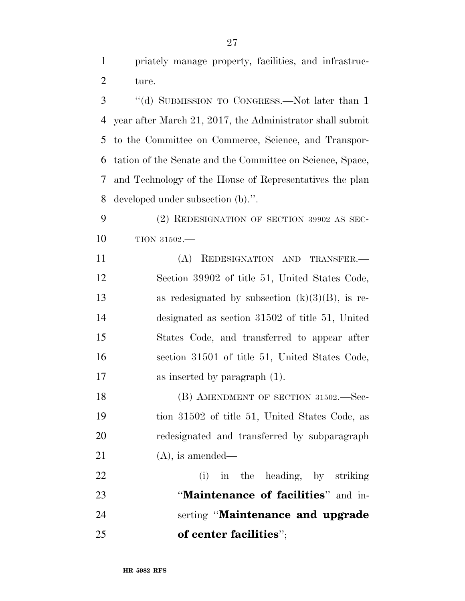priately manage property, facilities, and infrastruc-ture.

 ''(d) SUBMISSION TO CONGRESS.—Not later than 1 year after March 21, 2017, the Administrator shall submit to the Committee on Commerce, Science, and Transpor- tation of the Senate and the Committee on Science, Space, and Technology of the House of Representatives the plan developed under subsection (b).''.

 (2) REDESIGNATION OF SECTION 39902 AS SEC-TION 31502.—

 (A) REDESIGNATION AND TRANSFER.— Section 39902 of title 51, United States Code, 13 as redesignated by subsection  $(k)(3)(B)$ , is re- designated as section 31502 of title 51, United States Code, and transferred to appear after section 31501 of title 51, United States Code, as inserted by paragraph (1).

18 (B) AMENDMENT OF SECTION 31502. Sec- tion 31502 of title 51, United States Code, as redesignated and transferred by subparagraph 21 (A), is amended—

 (i) in the heading, by striking ''**Maintenance of facilities**'' and in- serting ''**Maintenance and upgrade of center facilities**'';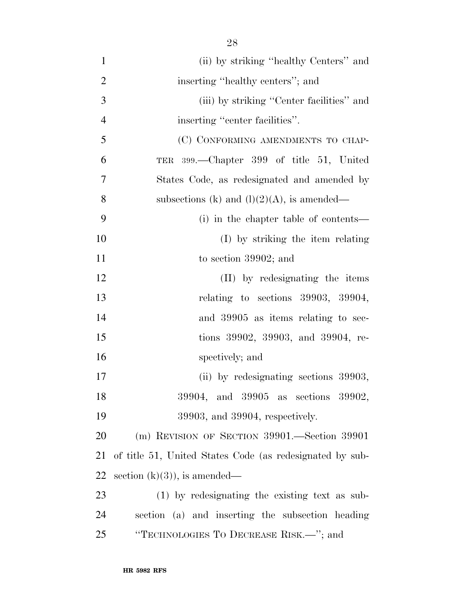1 (ii) by striking ''healthy Centers'' and 2 inserting "healthy centers"; and 3 (iii) by striking ''Center facilities'' and 4 inserting "center facilities". 5 (C) CONFORMING AMENDMENTS TO CHAP-6 TER 399.—Chapter 399 of title 51, United 7 States Code, as redesignated and amended by 8 subsections (k) and  $(l)(2)(A)$ , is amended— 9 (i) in the chapter table of contents— 10 (I) by striking the item relating 11 to section 39902; and 12 (II) by redesignating the items 13 relating to sections 39903, 39904, 14 and 39905 as items relating to sec-15 tions 39902, 39903, and 39904, re-16 spectively; and 17 (ii) by redesignating sections 39903, 18 39904, and 39905 as sections 39902, 19 39903, and 39904, respectively. 20 (m) REVISION OF SECTION 39901.—Section 39901 21 of title 51, United States Code (as redesignated by sub-22 section  $(k)(3)$ , is amended— 23 (1) by redesignating the existing text as sub-24 section (a) and inserting the subsection heading 25 ''TECHNOLOGIES TO DECREASE RISK.—''; and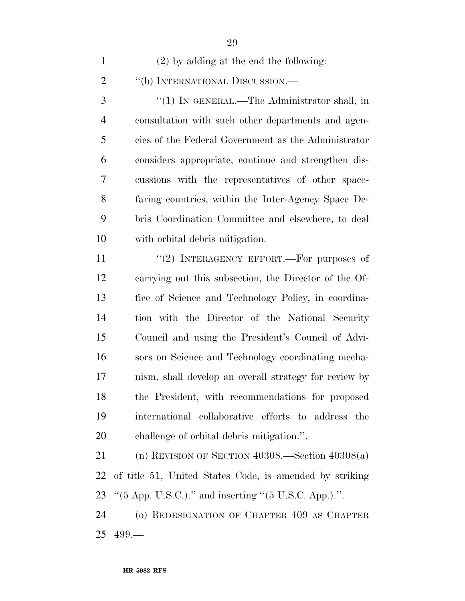| $(2)$ by adding at the end the following: |
|-------------------------------------------|
| "(b) INTERNATIONAL DISCUSSION.—           |

 ''(1) IN GENERAL.—The Administrator shall, in consultation with such other departments and agen- cies of the Federal Government as the Administrator considers appropriate, continue and strengthen dis- cussions with the representatives of other space- faring countries, within the Inter-Agency Space De- bris Coordination Committee and elsewhere, to deal with orbital debris mitigation.

11 "(2) INTERAGENCY EFFORT.—For purposes of carrying out this subsection, the Director of the Of- fice of Science and Technology Policy, in coordina- tion with the Director of the National Security Council and using the President's Council of Advi- sors on Science and Technology coordinating mecha- nism, shall develop an overall strategy for review by the President, with recommendations for proposed international collaborative efforts to address the challenge of orbital debris mitigation.''.

 (n) REVISION OF SECTION 40308.—Section 40308(a) of title 51, United States Code, is amended by striking ''(5 App. U.S.C.).'' and inserting ''(5 U.S.C. App.).''.

 (o) REDESIGNATION OF CHAPTER 409 AS CHAPTER 499.—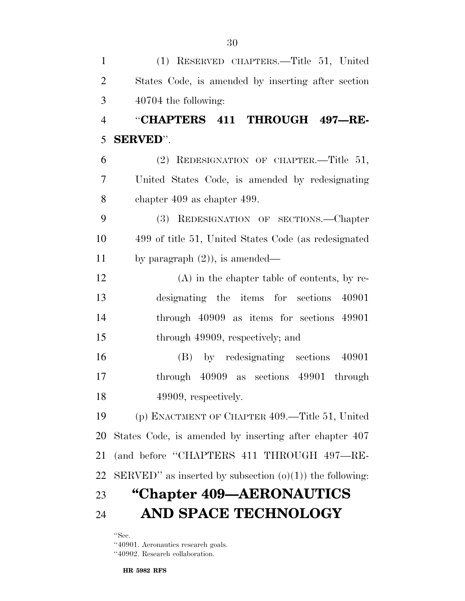(1) RESERVED CHAPTERS.—Title 51, United States Code, is amended by inserting after section 40704 the following: ''**CHAPTERS 411 THROUGH 497—RE- SERVED**''. (2) REDESIGNATION OF CHAPTER.—Title 51, United States Code, is amended by redesignating chapter 409 as chapter 499. (3) REDESIGNATION OF SECTIONS.—Chapter 499 of title 51, United States Code (as redesignated by paragraph (2)), is amended— (A) in the chapter table of contents, by re- designating the items for sections 40901 through 40909 as items for sections 49901 15 through 49909, respectively; and (B) by redesignating sections 40901 through 40909 as sections 49901 through 18 49909, respectively. (p) ENACTMENT OF CHAPTER 409.—Title 51, United States Code, is amended by inserting after chapter 407 (and before ''CHAPTERS 411 THROUGH 497—RE-22 SERVED" as inserted by subsection  $(o)(1)$  the following: **''Chapter 409—AERONAUTICS AND SPACE TECHNOLOGY** 

''Sec.

''40901. Aeronautics research goals.

''40902. Research collaboration.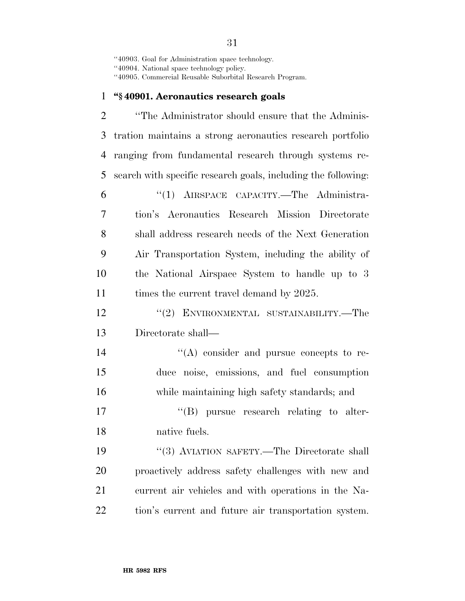''40903. Goal for Administration space technology.

''40904. National space technology policy.

''40905. Commercial Reusable Suborbital Research Program.

#### **''§ 40901. Aeronautics research goals**

**''The Administrator should ensure that the Adminis-** tration maintains a strong aeronautics research portfolio ranging from fundamental research through systems re- search with specific research goals, including the following: ''(1) AIRSPACE CAPACITY.—The Administra- tion's Aeronautics Research Mission Directorate shall address research needs of the Next Generation Air Transportation System, including the ability of the National Airspace System to handle up to 3 11 times the current travel demand by 2025. 12 "(2) ENVIRONMENTAL SUSTAINABILITY.—The Directorate shall—  $\langle (A) \rangle$  consider and pursue concepts to re- duce noise, emissions, and fuel consumption while maintaining high safety standards; and 17 ''(B) pursue research relating to alter- native fuels. 19 "(3) AVIATION SAFETY.—The Directorate shall proactively address safety challenges with new and current air vehicles and with operations in the Na-

tion's current and future air transportation system.

####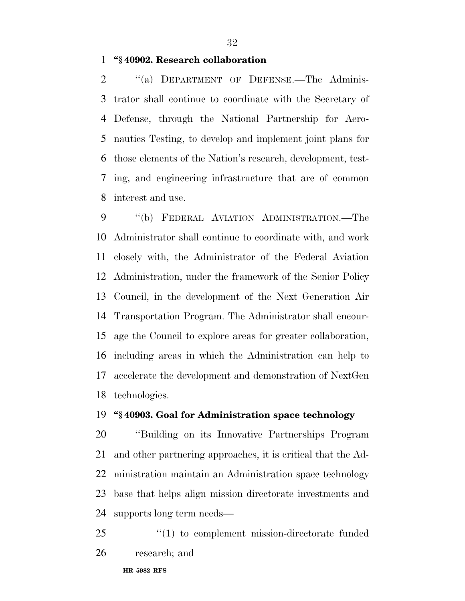**''§ 40902. Research collaboration** 

2 "(a) DEPARTMENT OF DEFENSE.—The Adminis- trator shall continue to coordinate with the Secretary of Defense, through the National Partnership for Aero- nautics Testing, to develop and implement joint plans for those elements of the Nation's research, development, test- ing, and engineering infrastructure that are of common interest and use.

 ''(b) FEDERAL AVIATION ADMINISTRATION.—The Administrator shall continue to coordinate with, and work closely with, the Administrator of the Federal Aviation Administration, under the framework of the Senior Policy Council, in the development of the Next Generation Air Transportation Program. The Administrator shall encour- age the Council to explore areas for greater collaboration, including areas in which the Administration can help to accelerate the development and demonstration of NextGen technologies.

#### **''§ 40903. Goal for Administration space technology**

 ''Building on its Innovative Partnerships Program and other partnering approaches, it is critical that the Ad- ministration maintain an Administration space technology base that helps align mission directorate investments and supports long term needs—

25  $\frac{1}{25}$  (1) to complement mission-directorate funded research; and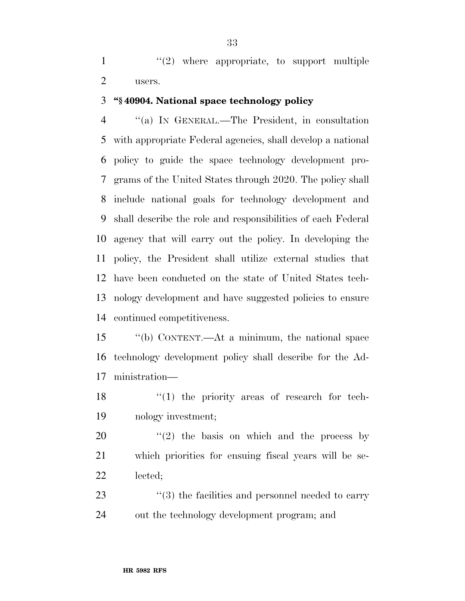$\mathcal{L}(2)$  where appropriate, to support multiple users.

#### **''§ 40904. National space technology policy**

 ''(a) IN GENERAL.—The President, in consultation with appropriate Federal agencies, shall develop a national policy to guide the space technology development pro- grams of the United States through 2020. The policy shall include national goals for technology development and shall describe the role and responsibilities of each Federal agency that will carry out the policy. In developing the policy, the President shall utilize external studies that have been conducted on the state of United States tech- nology development and have suggested policies to ensure continued competitiveness.

 ''(b) CONTENT.—At a minimum, the national space technology development policy shall describe for the Ad-ministration—

18 ''(1) the priority areas of research for tech-nology investment;

 ''(2) the basis on which and the process by which priorities for ensuing fiscal years will be se-lected;

23  $\frac{1}{2}$  (3) the facilities and personnel needed to carry out the technology development program; and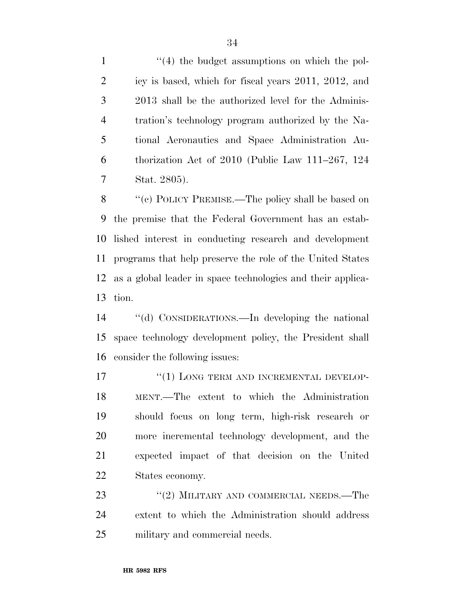1 ''(4) the budget assumptions on which the pol- icy is based, which for fiscal years 2011, 2012, and 2013 shall be the authorized level for the Adminis- tration's technology program authorized by the Na- tional Aeronautics and Space Administration Au- thorization Act of 2010 (Public Law 111–267, 124 Stat. 2805).

 ''(c) POLICY PREMISE.—The policy shall be based on the premise that the Federal Government has an estab- lished interest in conducting research and development programs that help preserve the role of the United States as a global leader in space technologies and their applica-tion.

 ''(d) CONSIDERATIONS.—In developing the national space technology development policy, the President shall consider the following issues:

17 <sup>"</sup>(1) LONG TERM AND INCREMENTAL DEVELOP- MENT.—The extent to which the Administration should focus on long term, high-risk research or more incremental technology development, and the expected impact of that decision on the United States economy.

23 "(2) MILITARY AND COMMERCIAL NEEDS.—The extent to which the Administration should address military and commercial needs.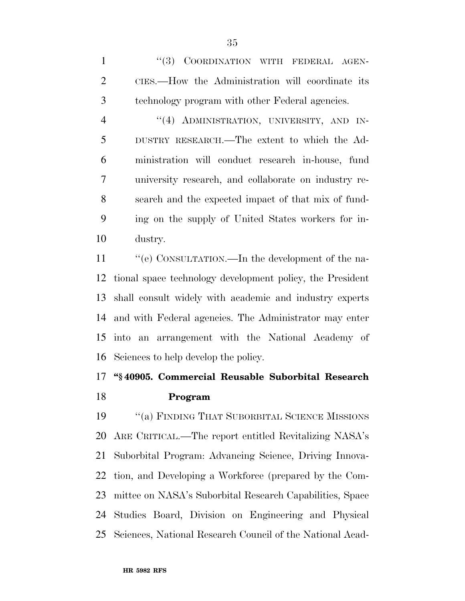1 "(3) COORDINATION WITH FEDERAL AGEN- CIES.—How the Administration will coordinate its technology program with other Federal agencies.

4 "(4) ADMINISTRATION, UNIVERSITY, AND IN- DUSTRY RESEARCH.—The extent to which the Ad- ministration will conduct research in-house, fund university research, and collaborate on industry re- search and the expected impact of that mix of fund- ing on the supply of United States workers for in-dustry.

 $\cdot$  "(e) CONSULTATION.—In the development of the na- tional space technology development policy, the President shall consult widely with academic and industry experts and with Federal agencies. The Administrator may enter into an arrangement with the National Academy of Sciences to help develop the policy.

# **''§ 40905. Commercial Reusable Suborbital Research Program**

 ''(a) FINDING THAT SUBORBITAL SCIENCE MISSIONS ARE CRITICAL.—The report entitled Revitalizing NASA's Suborbital Program: Advancing Science, Driving Innova- tion, and Developing a Workforce (prepared by the Com- mittee on NASA's Suborbital Research Capabilities, Space Studies Board, Division on Engineering and Physical Sciences, National Research Council of the National Acad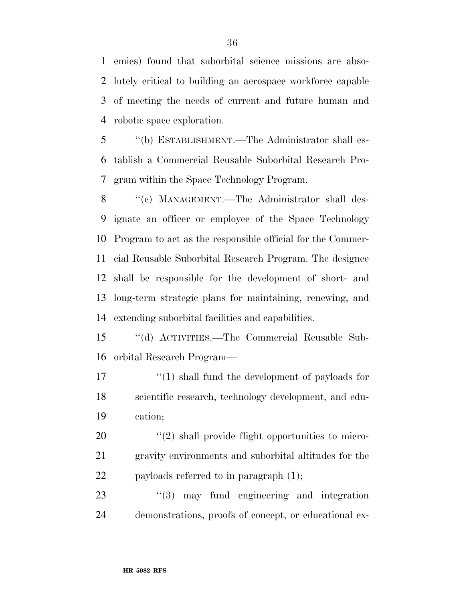emies) found that suborbital science missions are abso- lutely critical to building an aerospace workforce capable of meeting the needs of current and future human and robotic space exploration.

 ''(b) ESTABLISHMENT.—The Administrator shall es- tablish a Commercial Reusable Suborbital Research Pro-gram within the Space Technology Program.

8 "(c) MANAGEMENT.—The Administrator shall des- ignate an officer or employee of the Space Technology Program to act as the responsible official for the Commer- cial Reusable Suborbital Research Program. The designee shall be responsible for the development of short- and long-term strategic plans for maintaining, renewing, and extending suborbital facilities and capabilities.

 ''(d) ACTIVITIES.—The Commercial Reusable Sub-orbital Research Program—

17 ''(1) shall fund the development of payloads for scientific research, technology development, and edu-cation;

20  $\qquad$  ''(2) shall provide flight opportunities to micro- gravity environments and suborbital altitudes for the 22 payloads referred to in paragraph  $(1)$ ;

23 ''(3) may fund engineering and integration demonstrations, proofs of concept, or educational ex-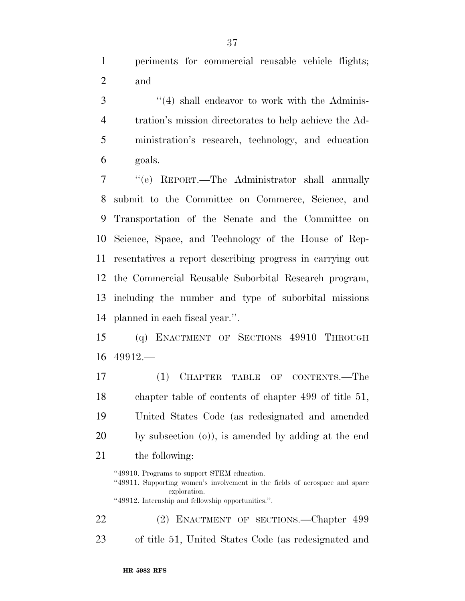periments for commercial reusable vehicle flights; and

3 "(4) shall endeavor to work with the Adminis- tration's mission directorates to help achieve the Ad- ministration's research, technology, and education goals.

 ''(e) REPORT.—The Administrator shall annually submit to the Committee on Commerce, Science, and Transportation of the Senate and the Committee on Science, Space, and Technology of the House of Rep- resentatives a report describing progress in carrying out the Commercial Reusable Suborbital Research program, including the number and type of suborbital missions planned in each fiscal year.''.

 (q) ENACTMENT OF SECTIONS 49910 THROUGH 49912.—

 (1) CHAPTER TABLE OF CONTENTS.—The chapter table of contents of chapter 499 of title 51, United States Code (as redesignated and amended by subsection (o)), is amended by adding at the end the following:

''49910. Programs to support STEM education.

''49912. Internship and fellowship opportunities.''.

 (2) ENACTMENT OF SECTIONS.—Chapter 499 of title 51, United States Code (as redesignated and

<sup>&#</sup>x27;'49911. Supporting women's involvement in the fields of aerospace and space exploration.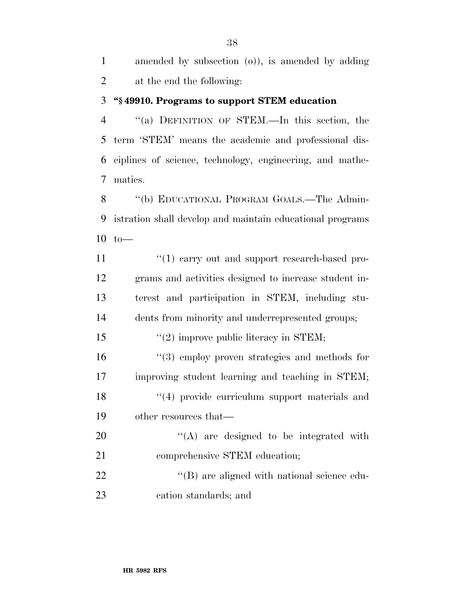amended by subsection (o)), is amended by adding at the end the following:

### **''§ 49910. Programs to support STEM education**

 ''(a) DEFINITION OF STEM.—In this section, the term 'STEM' means the academic and professional dis- ciplines of science, technology, engineering, and mathe-matics.

8 "(b) EDUCATIONAL PROGRAM GOALS.—The Admin- istration shall develop and maintain educational programs to—

 $\frac{u(1)}{2}$  carry out and support research-based pro- grams and activities designed to increase student in- terest and participation in STEM, including stu- dents from minority and underrepresented groups;  $\frac{15}{2}$  improve public literacy in STEM; ''(3) employ proven strategies and methods for improving student learning and teaching in STEM; 18 ''(4) provide curriculum support materials and 19 other resources that— 20 "'(A) are designed to be integrated with

21 comprehensive STEM education;

22  $\langle (B) \rangle$  are aligned with national science edu-cation standards; and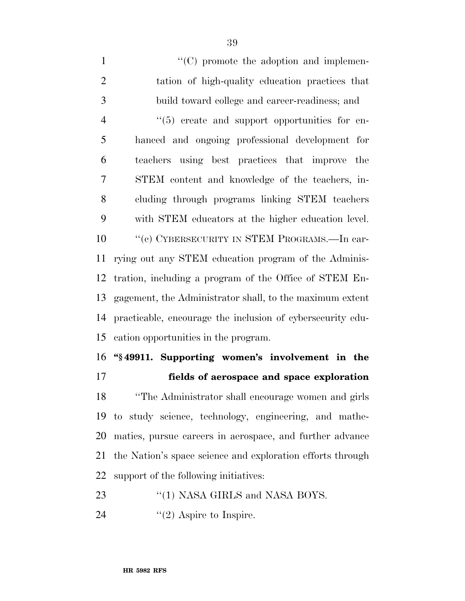$\lq(0)$  promote the adoption and implemen- tation of high-quality education practices that build toward college and career-readiness; and  $(5)$  create and support opportunities for en- hanced and ongoing professional development for teachers using best practices that improve the STEM content and knowledge of the teachers, in- cluding through programs linking STEM teachers with STEM educators at the higher education level. 10 ''(c) CYBERSECURITY IN STEM PROGRAMS.—In car- rying out any STEM education program of the Adminis- tration, including a program of the Office of STEM En- gagement, the Administrator shall, to the maximum extent practicable, encourage the inclusion of cybersecurity edu- cation opportunities in the program. **''§ 49911. Supporting women's involvement in the** 

 **fields of aerospace and space exploration**  ''The Administrator shall encourage women and girls to study science, technology, engineering, and mathe- matics, pursue careers in aerospace, and further advance the Nation's space science and exploration efforts through support of the following initiatives:

- 23 "(1) NASA GIRLS and NASA BOYS.
- 24  $"(2)$  Aspire to Inspire.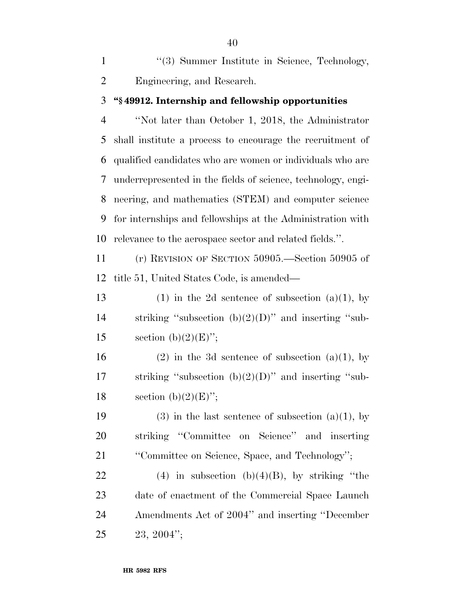1 ''(3) Summer Institute in Science, Technology, Engineering, and Research.

#### **''§ 49912. Internship and fellowship opportunities**

 ''Not later than October 1, 2018, the Administrator shall institute a process to encourage the recruitment of qualified candidates who are women or individuals who are underrepresented in the fields of science, technology, engi- neering, and mathematics (STEM) and computer science for internships and fellowships at the Administration with relevance to the aerospace sector and related fields.''.

 (r) REVISION OF SECTION 50905.—Section 50905 of title 51, United States Code, is amended—

13 (1) in the 2d sentence of subsection  $(a)(1)$ , by 14 striking "subsection  $(b)(2)(D)$ " and inserting "sub-15 section (b) $(2)(E)$ ";

16 (2) in the 3d sentence of subsection (a)(1), by 17 striking "subsection  $(b)(2)(D)$ " and inserting "sub-18 section (b) $(2)(E)$ ";

19 (3) in the last sentence of subsection  $(a)(1)$ , by striking ''Committee on Science'' and inserting ''Committee on Science, Space, and Technology'';

22 (4) in subsection  $(b)(4)(B)$ , by striking "the date of enactment of the Commercial Space Launch Amendments Act of 2004'' and inserting ''December 23, 2004'';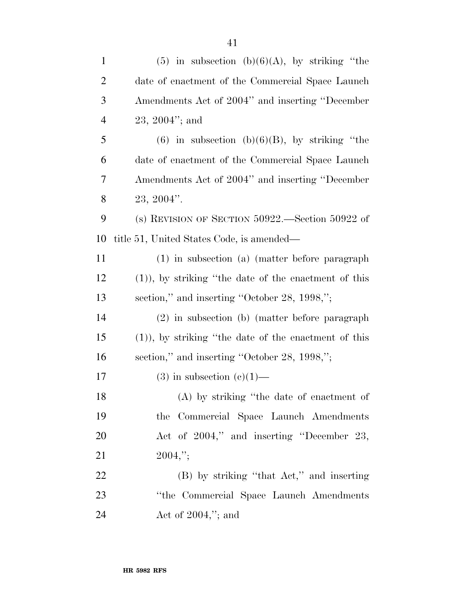| $\mathbf{1}$   | $(5)$ in subsection $(b)(6)(A)$ , by striking "the     |
|----------------|--------------------------------------------------------|
| $\overline{c}$ | date of enactment of the Commercial Space Launch       |
| 3              | Amendments Act of 2004" and inserting "December        |
| $\overline{4}$ | $23, 2004$ "; and                                      |
| 5              | $(6)$ in subsection $(b)(6)(B)$ , by striking "the     |
| 6              | date of enactment of the Commercial Space Launch       |
| 7              | Amendments Act of 2004" and inserting "December        |
| 8              | $23, 2004$ ".                                          |
| 9              | (s) REVISION OF SECTION $50922$ . Section $50922$ of   |
| 10             | title 51, United States Code, is amended—              |
| 11             | (1) in subsection (a) (matter before paragraph         |
| 12             | $(1)$ , by striking "the date of the enactment of this |
| 13             | section," and inserting "October 28, 1998,";           |
| 14             | (2) in subsection (b) (matter before paragraph         |
| 15             | $(1)$ , by striking "the date of the enactment of this |
| 16             | section," and inserting "October 28, 1998,";           |
| 17             | $(3)$ in subsection $(e)(1)$ —                         |
| 18             | (A) by striking "the date of enactment of              |
| 19             | the Commercial Space Launch Amendments                 |
| 20             | Act of 2004," and inserting "December 23,              |
| 21             | $2004,$ ";                                             |
| 22             | (B) by striking "that Act," and inserting              |
| 23             | "the Commercial Space Launch Amendments                |
| 24             | Act of $2004$ ,"; and                                  |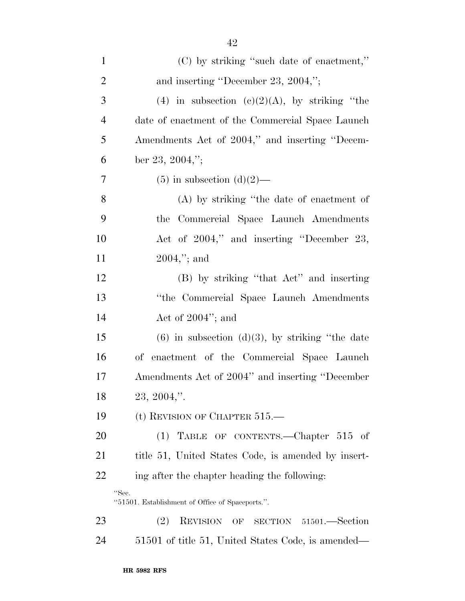| $\mathbf{1}$   | (C) by striking "such date of enactment,"                 |
|----------------|-----------------------------------------------------------|
| $\overline{2}$ | and inserting "December 23, 2004,";                       |
| 3              | (4) in subsection (c)(2)(A), by striking "the             |
| $\overline{4}$ | date of enactment of the Commercial Space Launch          |
| 5              | Amendments Act of 2004," and inserting "Decem-            |
| 6              | ber 23, 2004,";                                           |
| 7              | $(5)$ in subsection $(d)(2)$ —                            |
| 8              | (A) by striking "the date of enactment of                 |
| 9              | Commercial Space Launch Amendments<br>the                 |
| 10             | Act of 2004," and inserting "December 23,                 |
| 11             | $2004$ ,"; and                                            |
| 12             | (B) by striking "that Act" and inserting                  |
| 13             | "the Commercial Space Launch Amendments"                  |
| 14             | Act of $2004$ "; and                                      |
| 15             | $(6)$ in subsection $(d)(3)$ , by striking "the date      |
| 16             | enactment of the Commercial Space Launch<br>оf            |
| 17             | Amendments Act of 2004" and inserting "December           |
| 18             | $23, 2004,$ ".                                            |
| 19             | (t) REVISION OF CHAPTER $515$ .                           |
| 20             | (1) TABLE OF CONTENTS.—Chapter $515$ of                   |
| 21             | title 51, United States Code, is amended by insert-       |
| 22             | ing after the chapter heading the following:              |
|                | "Sec.<br>"51501. Establishment of Office of Spaceports.". |
| 23             | (2)<br>REVISION OF SECTION 51501.—Section                 |
| 24             | 51501 of title 51, United States Code, is amended—        |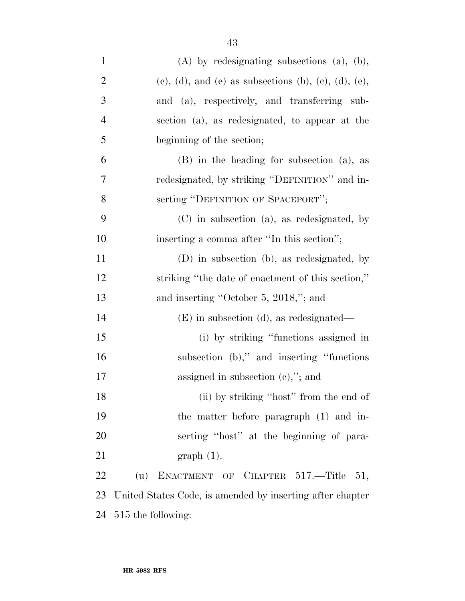| $\mathbf{1}$   | $(A)$ by redesignating subsections $(a)$ , $(b)$ ,                       |
|----------------|--------------------------------------------------------------------------|
| $\overline{2}$ | $(e)$ , $(d)$ , and $(e)$ as subsections $(b)$ , $(e)$ , $(d)$ , $(e)$ , |
| 3              | and (a), respectively, and transferring sub-                             |
| $\overline{4}$ | section (a), as redesignated, to appear at the                           |
| 5              | beginning of the section;                                                |
| 6              | $(B)$ in the heading for subsection $(a)$ , as                           |
| 7              | redesignated, by striking "DEFINITION" and in-                           |
| 8              | serting "DEFINITION OF SPACEPORT";                                       |
| 9              | (C) in subsection (a), as redesignated, by                               |
| 10             | inserting a comma after "In this section";                               |
| 11             | (D) in subsection (b), as redesignated, by                               |
| 12             | striking "the date of enactment of this section,"                        |
| 13             | and inserting "October 5, 2018,"; and                                    |
| 14             | $(E)$ in subsection (d), as redesignated—                                |
| 15             | (i) by striking "functions assigned in                                   |
| 16             | subsection $(b)$ ," and inserting "functions"                            |
| 17             | assigned in subsection $(e,$ "; and                                      |
| 18             | (ii) by striking "host" from the end of                                  |
| 19             | the matter before paragraph (1) and in-                                  |
| 20             | serting "host" at the beginning of para-                                 |
| 21             | $graph(1)$ .                                                             |
| 22             | (u) ENACTMENT OF CHAPTER $517$ —Title 51,                                |
| 23             | United States Code, is amended by inserting after chapter                |
| 24             | 515 the following:                                                       |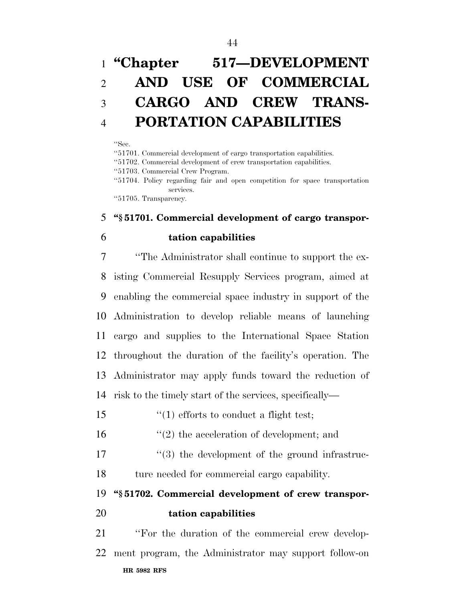# **''Chapter 517—DEVELOPMENT AND USE OF COMMERCIAL CARGO AND CREW TRANS-PORTATION CAPABILITIES**

#### ''Sec.

''51701. Commercial development of cargo transportation capabilities.

''51702. Commercial development of crew transportation capabilities.

''51703. Commercial Crew Program.

''51704. Policy regarding fair and open competition for space transportation services.

''51705. Transparency.

### **''§ 51701. Commercial development of cargo transpor-**

### **tation capabilities**

 ''The Administrator shall continue to support the ex- isting Commercial Resupply Services program, aimed at enabling the commercial space industry in support of the Administration to develop reliable means of launching cargo and supplies to the International Space Station throughout the duration of the facility's operation. The Administrator may apply funds toward the reduction of risk to the timely start of the services, specifically—

''(1) efforts to conduct a flight test;

''(2) the acceleration of development; and

17  $\frac{1}{3}$  the development of the ground infrastruc-ture needed for commercial cargo capability.

**''§ 51702. Commercial development of crew transpor-**

**tation capabilities** 

**HR 5982 RFS** ''For the duration of the commercial crew develop-ment program, the Administrator may support follow-on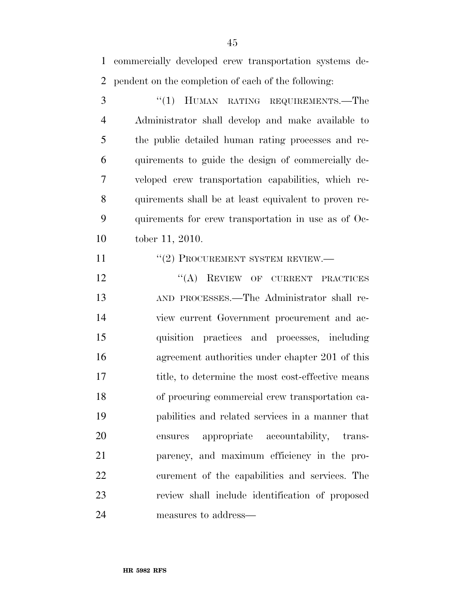commercially developed crew transportation systems de-pendent on the completion of each of the following:

3 "(1) HUMAN RATING REQUIREMENTS.—The Administrator shall develop and make available to the public detailed human rating processes and re- quirements to guide the design of commercially de- veloped crew transportation capabilities, which re- quirements shall be at least equivalent to proven re- quirements for crew transportation in use as of Oc-tober 11, 2010.

11 "(2) PROCUREMENT SYSTEM REVIEW.—

12 "(A) REVIEW OF CURRENT PRACTICES AND PROCESSES.—The Administrator shall re- view current Government procurement and ac- quisition practices and processes, including agreement authorities under chapter 201 of this 17 title, to determine the most cost-effective means of procuring commercial crew transportation ca- pabilities and related services in a manner that ensures appropriate accountability, trans- parency, and maximum efficiency in the pro- curement of the capabilities and services. The review shall include identification of proposed measures to address—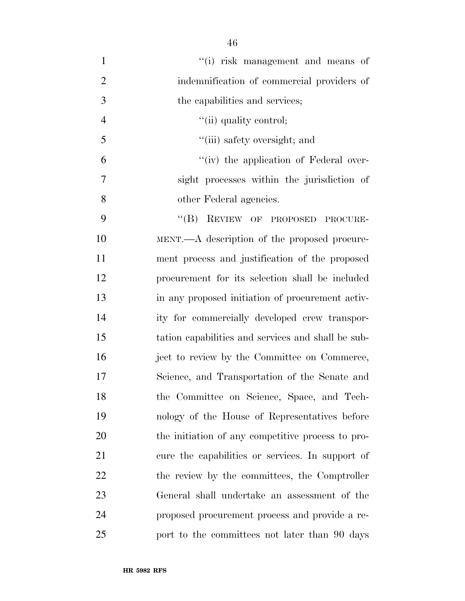1 ''(i) risk management and means of indemnification of commercial providers of the capabilities and services;  $''(ii)$  quality control; ''(iii) safety oversight; and ''(iv) the application of Federal over- sight processes within the jurisdiction of 8 other Federal agencies. 9 "(B) REVIEW OF PROPOSED PROCURE- MENT.—A description of the proposed procure- ment process and justification of the proposed procurement for its selection shall be included in any proposed initiation of procurement activ- ity for commercially developed crew transpor- tation capabilities and services and shall be sub- ject to review by the Committee on Commerce, Science, and Transportation of the Senate and the Committee on Science, Space, and Tech- nology of the House of Representatives before the initiation of any competitive process to pro- cure the capabilities or services. In support of 22 the review by the committees, the Comptroller General shall undertake an assessment of the proposed procurement process and provide a re-port to the committees not later than 90 days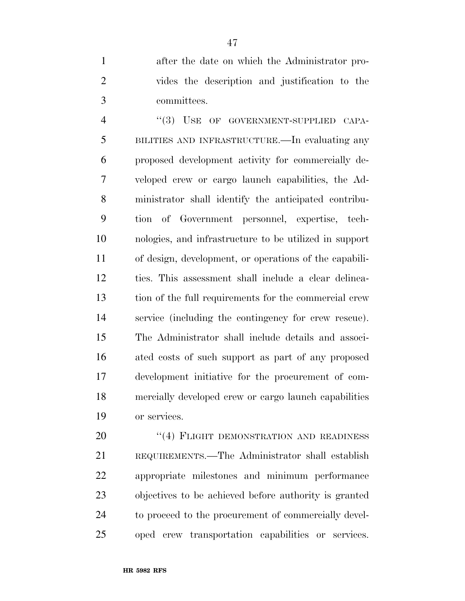after the date on which the Administrator pro- vides the description and justification to the committees.

4 "(3) USE OF GOVERNMENT-SUPPLIED CAPA- BILITIES AND INFRASTRUCTURE.—In evaluating any proposed development activity for commercially de- veloped crew or cargo launch capabilities, the Ad- ministrator shall identify the anticipated contribu- tion of Government personnel, expertise, tech- nologies, and infrastructure to be utilized in support of design, development, or operations of the capabili- ties. This assessment shall include a clear delinea- tion of the full requirements for the commercial crew service (including the contingency for crew rescue). The Administrator shall include details and associ- ated costs of such support as part of any proposed development initiative for the procurement of com- mercially developed crew or cargo launch capabilities or services.

20 "(4) FLIGHT DEMONSTRATION AND READINESS REQUIREMENTS.—The Administrator shall establish appropriate milestones and minimum performance objectives to be achieved before authority is granted to proceed to the procurement of commercially devel-oped crew transportation capabilities or services.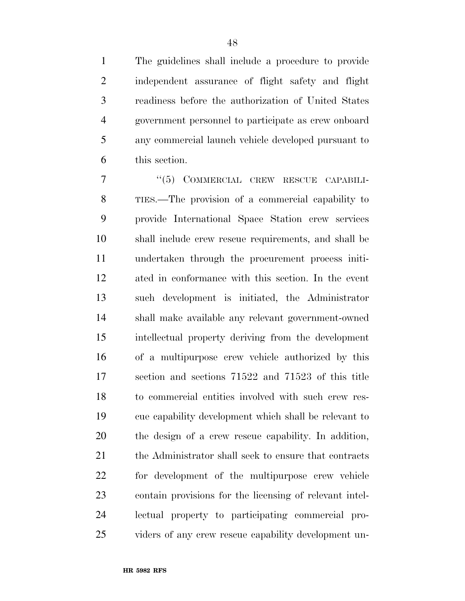The guidelines shall include a procedure to provide independent assurance of flight safety and flight readiness before the authorization of United States government personnel to participate as crew onboard any commercial launch vehicle developed pursuant to this section.

7 "(5) COMMERCIAL CREW RESCUE CAPABILI- TIES.—The provision of a commercial capability to provide International Space Station crew services shall include crew rescue requirements, and shall be undertaken through the procurement process initi- ated in conformance with this section. In the event such development is initiated, the Administrator shall make available any relevant government-owned intellectual property deriving from the development of a multipurpose crew vehicle authorized by this section and sections 71522 and 71523 of this title to commercial entities involved with such crew res- cue capability development which shall be relevant to the design of a crew rescue capability. In addition, 21 the Administrator shall seek to ensure that contracts for development of the multipurpose crew vehicle contain provisions for the licensing of relevant intel- lectual property to participating commercial pro-viders of any crew rescue capability development un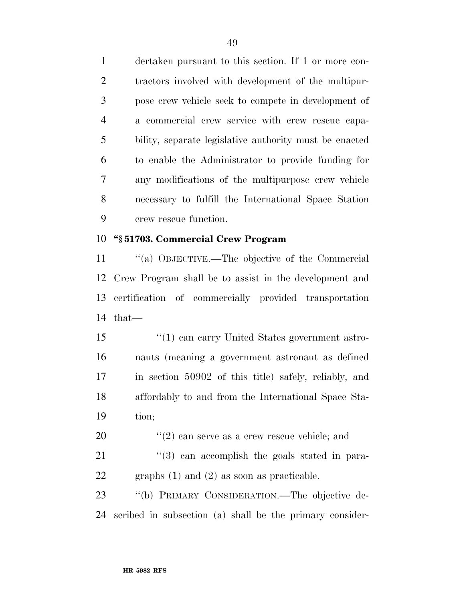dertaken pursuant to this section. If 1 or more con- tractors involved with development of the multipur- pose crew vehicle seek to compete in development of a commercial crew service with crew rescue capa- bility, separate legislative authority must be enacted to enable the Administrator to provide funding for any modifications of the multipurpose crew vehicle necessary to fulfill the International Space Station crew rescue function.

### **''§ 51703. Commercial Crew Program**

 ''(a) OBJECTIVE.—The objective of the Commercial Crew Program shall be to assist in the development and certification of commercially provided transportation that—

15 ''(1) can carry United States government astro- nauts (meaning a government astronaut as defined in section 50902 of this title) safely, reliably, and affordably to and from the International Space Sta-tion;

''(2) can serve as a crew rescue vehicle; and

 ''(3) can accomplish the goals stated in para-graphs (1) and (2) as soon as practicable.

 ''(b) PRIMARY CONSIDERATION.—The objective de-scribed in subsection (a) shall be the primary consider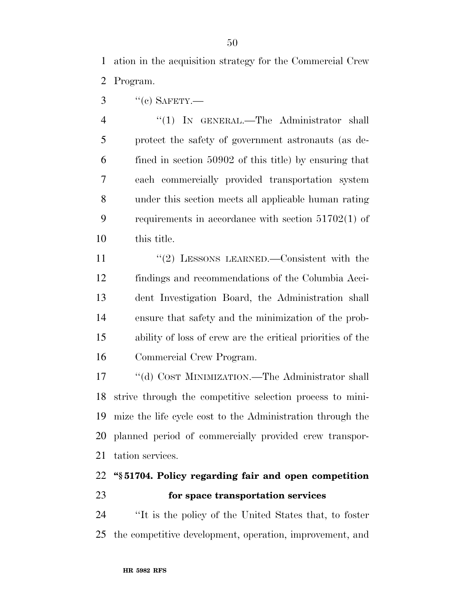ation in the acquisition strategy for the Commercial Crew Program.

"(c) SAFETY.—

4 "(1) IN GENERAL.—The Administrator shall protect the safety of government astronauts (as de- fined in section 50902 of this title) by ensuring that each commercially provided transportation system under this section meets all applicable human rating requirements in accordance with section 51702(1) of this title.

11 "(2) LESSONS LEARNED. Consistent with the findings and recommendations of the Columbia Acci- dent Investigation Board, the Administration shall ensure that safety and the minimization of the prob- ability of loss of crew are the critical priorities of the Commercial Crew Program.

 ''(d) COST MINIMIZATION.—The Administrator shall strive through the competitive selection process to mini- mize the life cycle cost to the Administration through the planned period of commercially provided crew transpor-tation services.

### **''§ 51704. Policy regarding fair and open competition for space transportation services**

 ''It is the policy of the United States that, to foster the competitive development, operation, improvement, and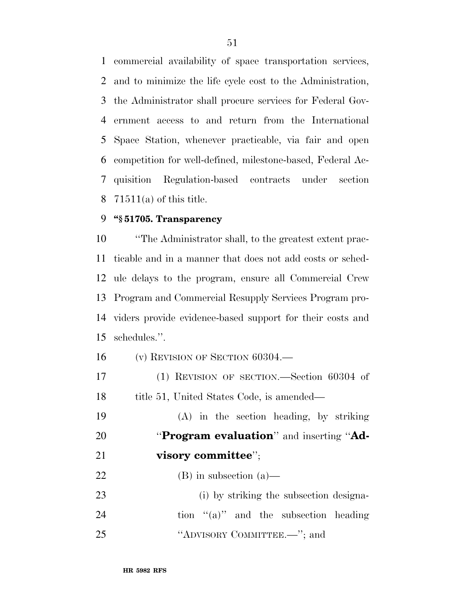commercial availability of space transportation services, and to minimize the life cycle cost to the Administration, the Administrator shall procure services for Federal Gov- ernment access to and return from the International Space Station, whenever practicable, via fair and open competition for well-defined, milestone-based, Federal Ac- quisition Regulation-based contracts under section 71511(a) of this title.

### **''§ 51705. Transparency**

 ''The Administrator shall, to the greatest extent prac- ticable and in a manner that does not add costs or sched- ule delays to the program, ensure all Commercial Crew Program and Commercial Resupply Services Program pro- viders provide evidence-based support for their costs and schedules.''.

(v) REVISION OF SECTION 60304.—

 (1) REVISION OF SECTION.—Section 60304 of 18 title 51, United States Code, is amended—

 (A) in the section heading, by striking ''**Program evaluation**'' and inserting ''**Ad- visory committee**''; (B) in subsection (a)—

 (i) by striking the subsection designa-24 tion  $\lq( a )'$  and the subsection heading 25 "ADVISORY COMMITTEE.—"; and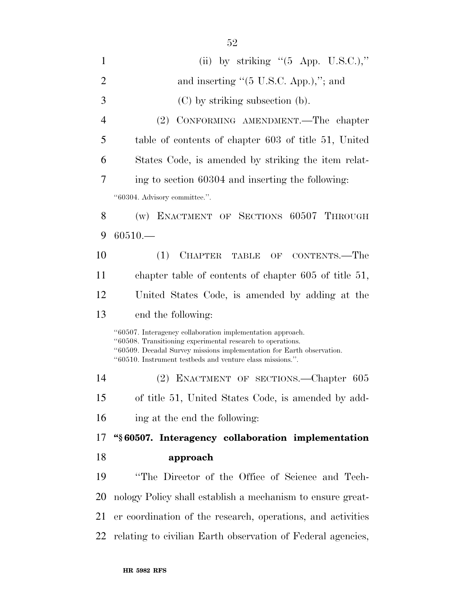| $\mathbf{1}$   | (ii) by striking " $(5$ App. U.S.C.),"                                                                                                                                                                                                                         |
|----------------|----------------------------------------------------------------------------------------------------------------------------------------------------------------------------------------------------------------------------------------------------------------|
| $\overline{2}$ | and inserting "(5 U.S.C. App.),"; and                                                                                                                                                                                                                          |
| 3              | $(C)$ by striking subsection (b).                                                                                                                                                                                                                              |
| 4              | CONFORMING AMENDMENT.—The chapter<br>(2)                                                                                                                                                                                                                       |
| 5              | table of contents of chapter 603 of title 51, United                                                                                                                                                                                                           |
| 6              | States Code, is amended by striking the item relat-                                                                                                                                                                                                            |
| 7              | ing to section 60304 and inserting the following:                                                                                                                                                                                                              |
|                | "60304. Advisory committee.".                                                                                                                                                                                                                                  |
| 8              | (w) ENACTMENT OF SECTIONS 60507 THROUGH                                                                                                                                                                                                                        |
| 9              | $60510 -$                                                                                                                                                                                                                                                      |
| 10             | CHAPTER TABLE OF CONTENTS.-The<br>(1)                                                                                                                                                                                                                          |
| 11             | chapter table of contents of chapter $605$ of title $51$ ,                                                                                                                                                                                                     |
| 12             | United States Code, is amended by adding at the                                                                                                                                                                                                                |
| 13             | end the following:                                                                                                                                                                                                                                             |
|                | "60507. Interagency collaboration implementation approach.<br>"60508. Transitioning experimental research to operations.<br>"60509. Decadal Survey missions implementation for Earth observation.<br>"60510. Instrument testbeds and venture class missions.". |
| 14             | (2) ENACTMENT OF SECTIONS.—Chapter 605                                                                                                                                                                                                                         |
| 15             | of title 51, United States Code, is amended by add-                                                                                                                                                                                                            |
| 16             | ing at the end the following:                                                                                                                                                                                                                                  |
| 17             | "§60507. Interagency collaboration implementation                                                                                                                                                                                                              |
| 18             | approach                                                                                                                                                                                                                                                       |
| 19             | "The Director of the Office of Science and Tech-                                                                                                                                                                                                               |
| 20             | nology Policy shall establish a mechanism to ensure great-                                                                                                                                                                                                     |
| 21             | er coordination of the research, operations, and activities                                                                                                                                                                                                    |
| 22             | relating to civilian Earth observation of Federal agencies,                                                                                                                                                                                                    |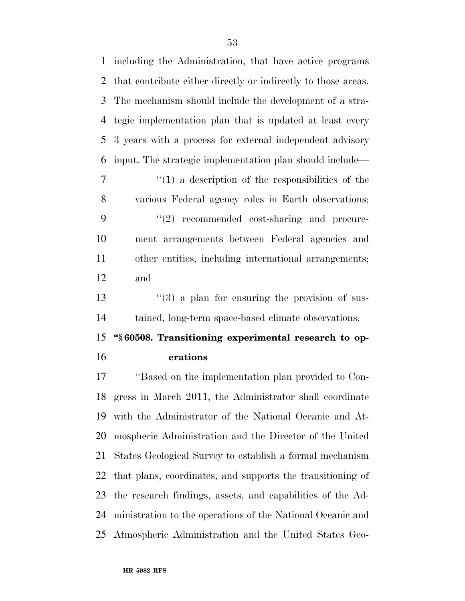including the Administration, that have active programs that contribute either directly or indirectly to those areas. The mechanism should include the development of a stra- tegic implementation plan that is updated at least every 3 years with a process for external independent advisory input. The strategic implementation plan should include— ''(1) a description of the responsibilities of the various Federal agency roles in Earth observations; 9 "(2) recommended cost-sharing and procure- ment arrangements between Federal agencies and other entities, including international arrangements; and 13 ''(3) a plan for ensuring the provision of sus- tained, long-term space-based climate observations. **''§ 60508. Transitioning experimental research to op- erations**  ''Based on the implementation plan provided to Con- gress in March 2011, the Administrator shall coordinate with the Administrator of the National Oceanic and At- mospheric Administration and the Director of the United States Geological Survey to establish a formal mechanism that plans, coordinates, and supports the transitioning of the research findings, assets, and capabilities of the Ad- ministration to the operations of the National Oceanic and Atmospheric Administration and the United States Geo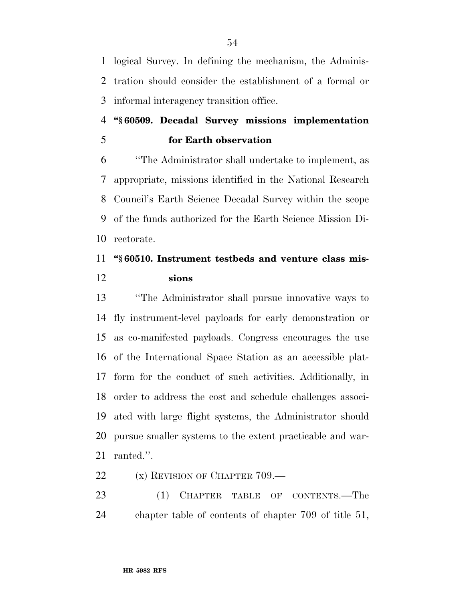logical Survey. In defining the mechanism, the Adminis- tration should consider the establishment of a formal or informal interagency transition office.

### **''§ 60509. Decadal Survey missions implementation for Earth observation**

 ''The Administrator shall undertake to implement, as appropriate, missions identified in the National Research Council's Earth Science Decadal Survey within the scope of the funds authorized for the Earth Science Mission Di-rectorate.

### **''§ 60510. Instrument testbeds and venture class mis-sions**

 ''The Administrator shall pursue innovative ways to fly instrument-level payloads for early demonstration or as co-manifested payloads. Congress encourages the use of the International Space Station as an accessible plat- form for the conduct of such activities. Additionally, in order to address the cost and schedule challenges associ- ated with large flight systems, the Administrator should pursue smaller systems to the extent practicable and war-ranted.''.

22 (x) REVISION OF CHAPTER 709.—

23 (1) CHAPTER TABLE OF CONTENTS.—The chapter table of contents of chapter 709 of title 51,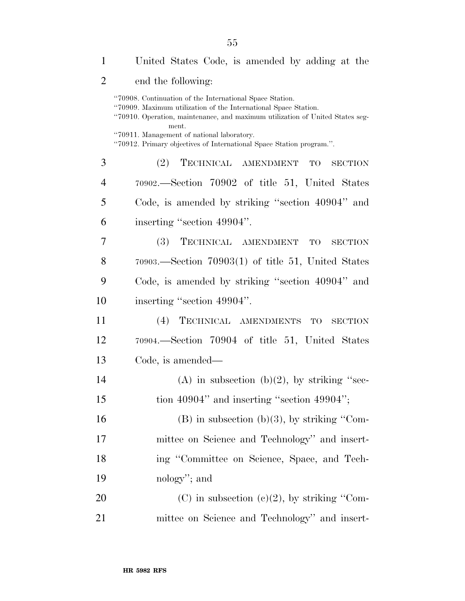| 1              | United States Code, is amended by adding at the                                                                                                                                                                                                                                                                                             |
|----------------|---------------------------------------------------------------------------------------------------------------------------------------------------------------------------------------------------------------------------------------------------------------------------------------------------------------------------------------------|
| $\overline{2}$ | end the following:                                                                                                                                                                                                                                                                                                                          |
|                | "70908. Continuation of the International Space Station.<br>"70909. Maximum utilization of the International Space Station.<br>"70910. Operation, maintenance, and maximum utilization of United States seg-<br>ment.<br>"70911. Management of national laboratory.<br>"70912. Primary objectives of International Space Station program.". |
| 3              | (2)<br>TECHNICAL AMENDMENT<br>TO<br><b>SECTION</b>                                                                                                                                                                                                                                                                                          |
| 4              | 70902.—Section 70902 of title 51, United States                                                                                                                                                                                                                                                                                             |
| 5              | Code, is amended by striking "section 40904" and                                                                                                                                                                                                                                                                                            |
| 6              | inserting "section 49904".                                                                                                                                                                                                                                                                                                                  |
| 7              | TECHNICAL AMENDMENT TO<br><b>(3)</b><br><b>SECTION</b>                                                                                                                                                                                                                                                                                      |
| 8              | $70903$ . Section $70903(1)$ of title 51, United States                                                                                                                                                                                                                                                                                     |
| 9              | Code, is amended by striking "section 40904" and                                                                                                                                                                                                                                                                                            |
| 10             | inserting "section 49904".                                                                                                                                                                                                                                                                                                                  |
| 11             | (4) TECHNICAL AMENDMENTS TO SECTION                                                                                                                                                                                                                                                                                                         |
| 12             | 70904.—Section 70904 of title 51, United States                                                                                                                                                                                                                                                                                             |
| 13             | Code, is amended—                                                                                                                                                                                                                                                                                                                           |
| 14             | (A) in subsection (b)(2), by striking "sec-                                                                                                                                                                                                                                                                                                 |
| 15             | tion $40904$ " and inserting "section $49904$ ";                                                                                                                                                                                                                                                                                            |
| 16             | $(B)$ in subsection $(b)(3)$ , by striking "Com-                                                                                                                                                                                                                                                                                            |
| 17             | mittee on Science and Technology" and insert-                                                                                                                                                                                                                                                                                               |
| 18             | ing "Committee on Science, Space, and Tech-                                                                                                                                                                                                                                                                                                 |
| 19             | nology"; and                                                                                                                                                                                                                                                                                                                                |
| 20             | (C) in subsection (c)(2), by striking "Com-                                                                                                                                                                                                                                                                                                 |
| 21             | mittee on Science and Technology" and insert-                                                                                                                                                                                                                                                                                               |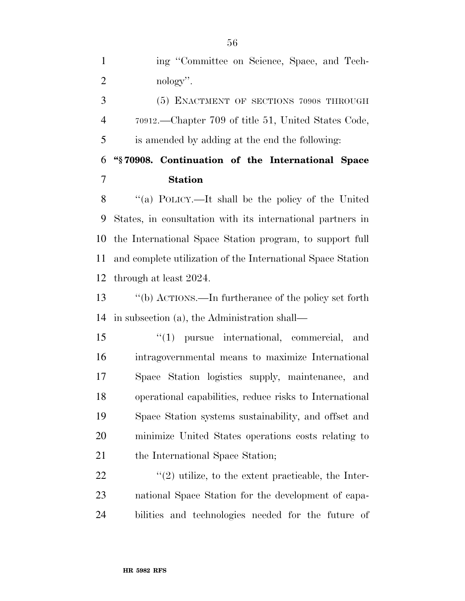ing ''Committee on Science, Space, and Tech-2 nology".

 (5) ENACTMENT OF SECTIONS 70908 THROUGH 70912.—Chapter 709 of title 51, United States Code, is amended by adding at the end the following:

 **''§ 70908. Continuation of the International Space Station** 

 ''(a) POLICY.—It shall be the policy of the United States, in consultation with its international partners in the International Space Station program, to support full and complete utilization of the International Space Station through at least 2024.

 ''(b) ACTIONS.—In furtherance of the policy set forth in subsection (a), the Administration shall—

 ''(1) pursue international, commercial, and intragovernmental means to maximize International Space Station logistics supply, maintenance, and operational capabilities, reduce risks to International Space Station systems sustainability, and offset and minimize United States operations costs relating to 21 the International Space Station;

22  $\langle \langle 2 \rangle$  utilize, to the extent practicable, the Inter- national Space Station for the development of capa-bilities and technologies needed for the future of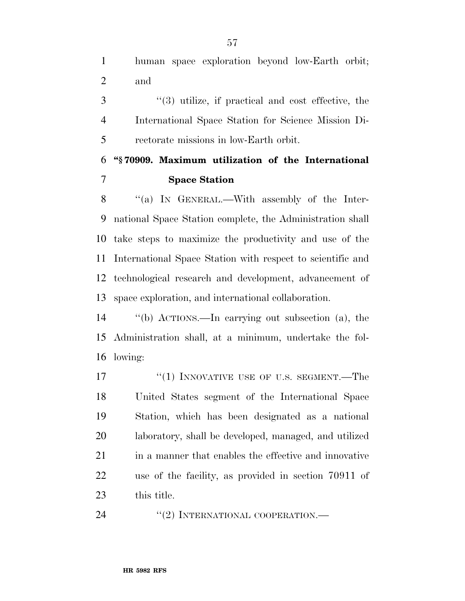human space exploration beyond low-Earth orbit; and

 ''(3) utilize, if practical and cost effective, the International Space Station for Science Mission Di-rectorate missions in low-Earth orbit.

### **''§ 70909. Maximum utilization of the International Space Station**

8 "(a) IN GENERAL.—With assembly of the Inter- national Space Station complete, the Administration shall take steps to maximize the productivity and use of the International Space Station with respect to scientific and technological research and development, advancement of space exploration, and international collaboration.

 ''(b) ACTIONS.—In carrying out subsection (a), the Administration shall, at a minimum, undertake the fol-lowing:

17 <sup>"</sup>(1) INNOVATIVE USE OF U.S. SEGMENT.—The United States segment of the International Space Station, which has been designated as a national laboratory, shall be developed, managed, and utilized 21 in a manner that enables the effective and innovative use of the facility, as provided in section 70911 of this title.

24 "(2) INTERNATIONAL COOPERATION.—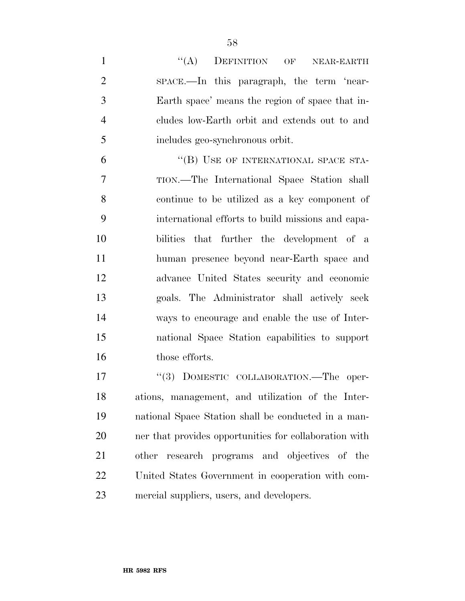| $\mathbf{1}$   | ``(A)<br>DEFINITION OF<br>NEAR-EARTH              |
|----------------|---------------------------------------------------|
| $\overline{2}$ | space.—In this paragraph, the term 'near-         |
| 3              | Earth space' means the region of space that in-   |
| $\overline{4}$ | cludes low-Earth orbit and extends out to and     |
| 5              | includes geo-synchronous orbit.                   |
| 6              | "(B) USE OF INTERNATIONAL SPACE STA-              |
| $\overline{7}$ | TION.—The International Space Station shall       |
| 8              | continue to be utilized as a key component of     |
| 9              | international efforts to build missions and capa- |
| 10             | bilities that further the development of a        |
| 11             | human presence beyond near-Earth space and        |
| 12             | advance United States security and economic       |
| 13             | goals. The Administrator shall actively seek      |
| 14             | ways to encourage and enable the use of Inter-    |
| 15             | national Space Station capabilities to support    |
| 16             | those efforts.                                    |
| 17             | "(3) DOMESTIC COLLABORATION. The oper-            |
| 18             | ations, management, and utilization of the Inter- |

 ations, management, and utilization of the Inter- national Space Station shall be conducted in a man- ner that provides opportunities for collaboration with other research programs and objectives of the United States Government in cooperation with com-mercial suppliers, users, and developers.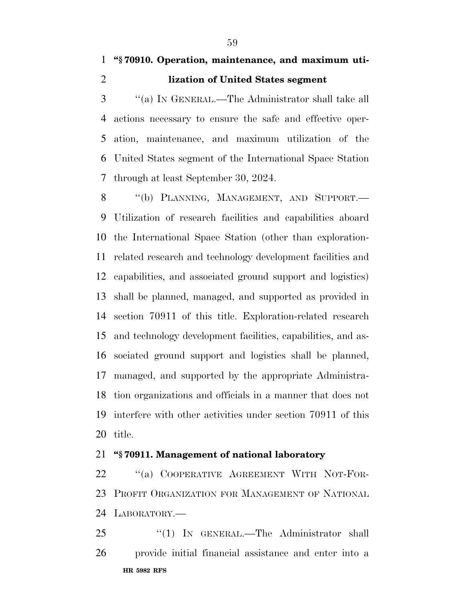''(a) IN GENERAL.—The Administrator shall take all actions necessary to ensure the safe and effective oper- ation, maintenance, and maximum utilization of the United States segment of the International Space Station through at least September 30, 2024.

8 "(b) PLANNING, MANAGEMENT, AND SUPPORT.— Utilization of research facilities and capabilities aboard the International Space Station (other than exploration- related research and technology development facilities and capabilities, and associated ground support and logistics) shall be planned, managed, and supported as provided in section 70911 of this title. Exploration-related research and technology development facilities, capabilities, and as- sociated ground support and logistics shall be planned, managed, and supported by the appropriate Administra- tion organizations and officials in a manner that does not interfere with other activities under section 70911 of this title.

### **''§ 70911. Management of national laboratory**

22 "(a) COOPERATIVE AGREEMENT WITH NOT-FOR- PROFIT ORGANIZATION FOR MANAGEMENT OF NATIONAL LABORATORY.—

**HR 5982 RFS** 25 "(1) IN GENERAL.—The Administrator shall provide initial financial assistance and enter into a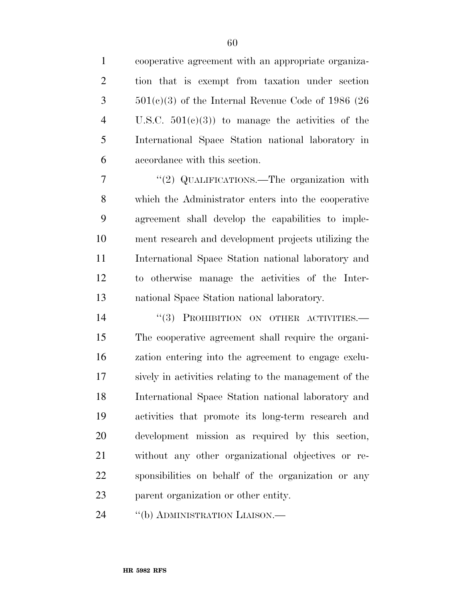cooperative agreement with an appropriate organiza- tion that is exempt from taxation under section  $3 \qquad 501(c)(3)$  of the Internal Revenue Code of 1986 (26) U.S.C. 501(c)(3)) to manage the activities of the International Space Station national laboratory in accordance with this section.

7 "'(2) QUALIFICATIONS.—The organization with which the Administrator enters into the cooperative agreement shall develop the capabilities to imple- ment research and development projects utilizing the International Space Station national laboratory and to otherwise manage the activities of the Inter-national Space Station national laboratory.

14 "(3) PROHIBITION ON OTHER ACTIVITIES. The cooperative agreement shall require the organi- zation entering into the agreement to engage exclu- sively in activities relating to the management of the International Space Station national laboratory and activities that promote its long-term research and development mission as required by this section, without any other organizational objectives or re- sponsibilities on behalf of the organization or any parent organization or other entity.

24 "(b) ADMINISTRATION LIAISON.—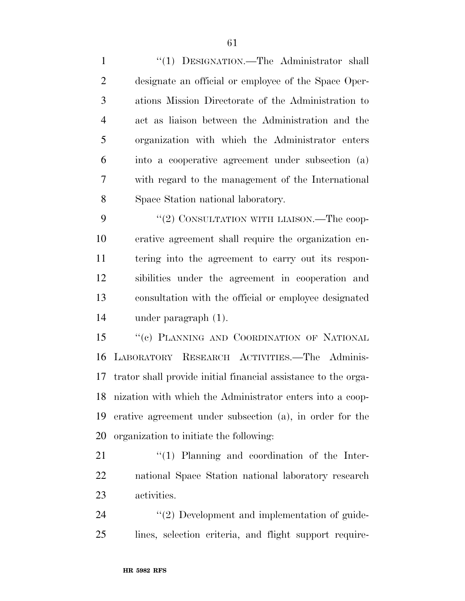1 "(1) DESIGNATION.—The Administrator shall designate an official or employee of the Space Oper- ations Mission Directorate of the Administration to act as liaison between the Administration and the organization with which the Administrator enters into a cooperative agreement under subsection (a) with regard to the management of the International Space Station national laboratory.

9 "(2) CONSULTATION WITH LIAISON.—The coop- erative agreement shall require the organization en- tering into the agreement to carry out its respon- sibilities under the agreement in cooperation and consultation with the official or employee designated under paragraph (1).

15 "(c) PLANNING AND COORDINATION OF NATIONAL LABORATORY RESEARCH ACTIVITIES.—The Adminis- trator shall provide initial financial assistance to the orga- nization with which the Administrator enters into a coop- erative agreement under subsection (a), in order for the organization to initiate the following:

21  $\frac{1}{2}$  (1) Planning and coordination of the Inter- national Space Station national laboratory research activities.

24  $(2)$  Development and implementation of guide-lines, selection criteria, and flight support require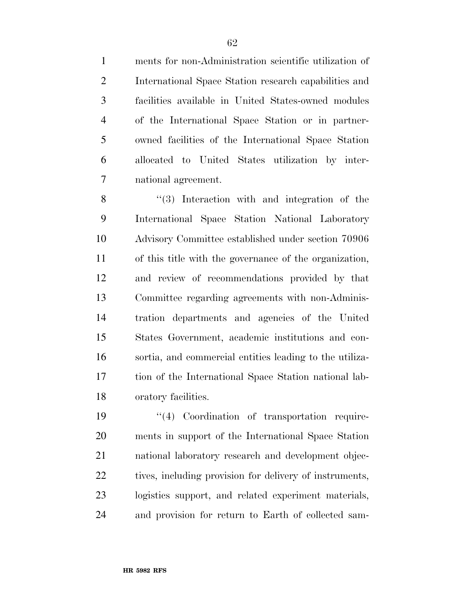ments for non-Administration scientific utilization of International Space Station research capabilities and facilities available in United States-owned modules of the International Space Station or in partner- owned facilities of the International Space Station allocated to United States utilization by inter-national agreement.

8 "(3) Interaction with and integration of the International Space Station National Laboratory Advisory Committee established under section 70906 of this title with the governance of the organization, and review of recommendations provided by that Committee regarding agreements with non-Adminis- tration departments and agencies of the United States Government, academic institutions and con- sortia, and commercial entities leading to the utiliza- tion of the International Space Station national lab-oratory facilities.

 $\frac{1}{2}$  Coordination of transportation require- ments in support of the International Space Station national laboratory research and development objec-22 tives, including provision for delivery of instruments, logistics support, and related experiment materials, and provision for return to Earth of collected sam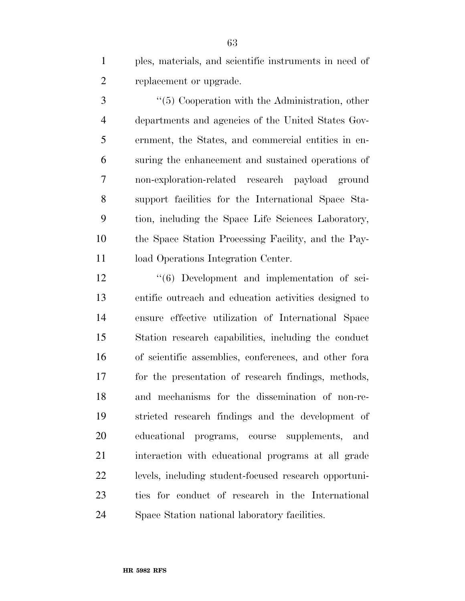ples, materials, and scientific instruments in need of replacement or upgrade.

3 ''(5) Cooperation with the Administration, other departments and agencies of the United States Gov- ernment, the States, and commercial entities in en- suring the enhancement and sustained operations of non-exploration-related research payload ground support facilities for the International Space Sta- tion, including the Space Life Sciences Laboratory, the Space Station Processing Facility, and the Pay-11 load Operations Integration Center.

12 ''(6) Development and implementation of sci- entific outreach and education activities designed to ensure effective utilization of International Space Station research capabilities, including the conduct of scientific assemblies, conferences, and other fora for the presentation of research findings, methods, and mechanisms for the dissemination of non-re- stricted research findings and the development of educational programs, course supplements, and interaction with educational programs at all grade levels, including student-focused research opportuni- ties for conduct of research in the International Space Station national laboratory facilities.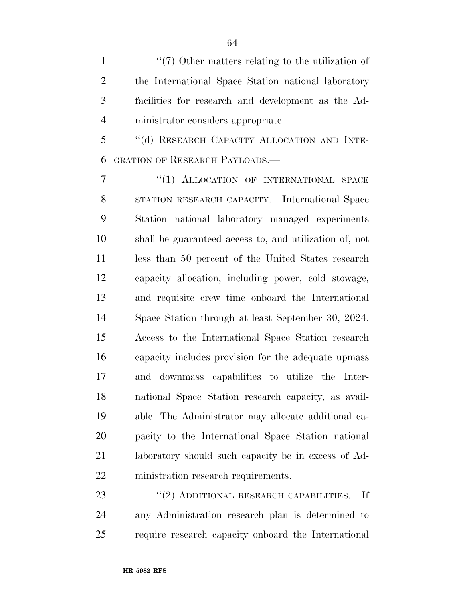1 ''(7) Other matters relating to the utilization of the International Space Station national laboratory facilities for research and development as the Ad-ministrator considers appropriate.

 ''(d) RESEARCH CAPACITY ALLOCATION AND INTE-GRATION OF RESEARCH PAYLOADS.—

7 "(1) ALLOCATION OF INTERNATIONAL SPACE STATION RESEARCH CAPACITY.—International Space Station national laboratory managed experiments shall be guaranteed access to, and utilization of, not less than 50 percent of the United States research capacity allocation, including power, cold stowage, and requisite crew time onboard the International Space Station through at least September 30, 2024. Access to the International Space Station research capacity includes provision for the adequate upmass and downmass capabilities to utilize the Inter- national Space Station research capacity, as avail- able. The Administrator may allocate additional ca- pacity to the International Space Station national laboratory should such capacity be in excess of Ad-ministration research requirements.

23 "(2) ADDITIONAL RESEARCH CAPABILITIES.—If any Administration research plan is determined to require research capacity onboard the International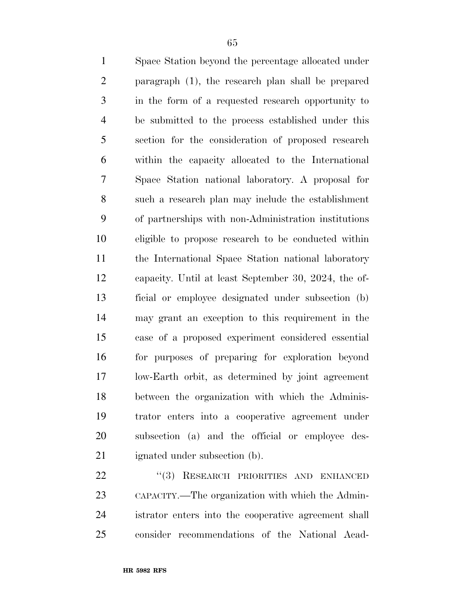Space Station beyond the percentage allocated under paragraph (1), the research plan shall be prepared in the form of a requested research opportunity to be submitted to the process established under this section for the consideration of proposed research within the capacity allocated to the International Space Station national laboratory. A proposal for such a research plan may include the establishment of partnerships with non-Administration institutions eligible to propose research to be conducted within the International Space Station national laboratory capacity. Until at least September 30, 2024, the of- ficial or employee designated under subsection (b) may grant an exception to this requirement in the case of a proposed experiment considered essential for purposes of preparing for exploration beyond low-Earth orbit, as determined by joint agreement between the organization with which the Adminis- trator enters into a cooperative agreement under subsection (a) and the official or employee des-ignated under subsection (b).

22 "(3) RESEARCH PRIORITIES AND ENHANCED CAPACITY.—The organization with which the Admin- istrator enters into the cooperative agreement shall consider recommendations of the National Acad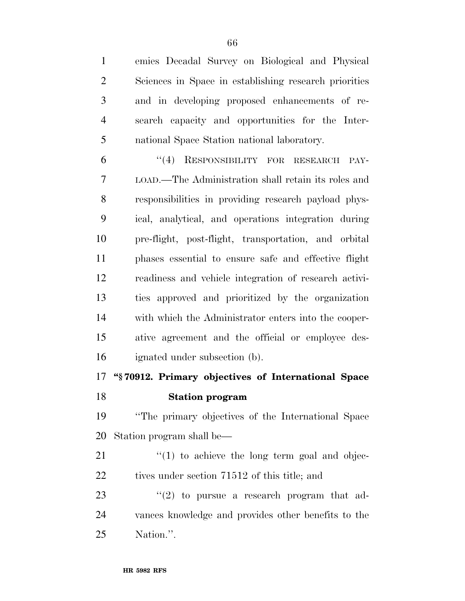emies Decadal Survey on Biological and Physical Sciences in Space in establishing research priorities and in developing proposed enhancements of re- search capacity and opportunities for the Inter-national Space Station national laboratory.

 ''(4) RESPONSIBILITY FOR RESEARCH PAY- LOAD.—The Administration shall retain its roles and responsibilities in providing research payload phys- ical, analytical, and operations integration during pre-flight, post-flight, transportation, and orbital phases essential to ensure safe and effective flight readiness and vehicle integration of research activi- ties approved and prioritized by the organization with which the Administrator enters into the cooper- ative agreement and the official or employee des-ignated under subsection (b).

# **''§ 70912. Primary objectives of International Space**

### **Station program**

 ''The primary objectives of the International Space Station program shall be—

 ''(1) to achieve the long term goal and objec-22 tives under section 71512 of this title; and

23  $(2)$  to pursue a research program that ad- vances knowledge and provides other benefits to the Nation.''.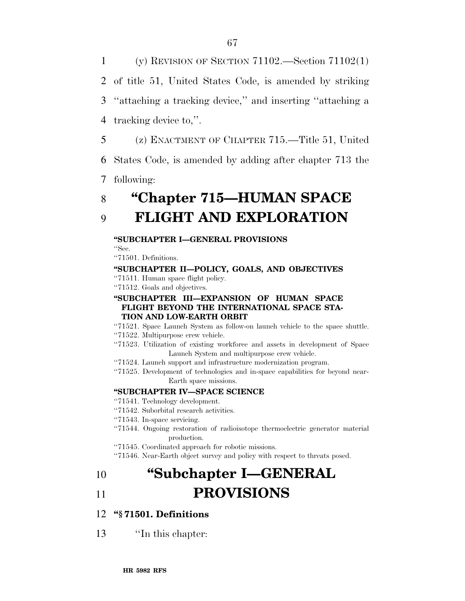(y) REVISION OF SECTION 71102.—Section 71102(1) of title 51, United States Code, is amended by striking ''attaching a tracking device,'' and inserting ''attaching a tracking device to,''.

5 (z) ENACTMENT OF CHAPTER 715.—Title 51, United

6 States Code, is amended by adding after chapter 713 the

7 following:

# 8 **''Chapter 715—HUMAN SPACE**

## 9 **FLIGHT AND EXPLORATION**

### **''SUBCHAPTER I—GENERAL PROVISIONS**

''Sec.

''71501. Definitions.

### **''SUBCHAPTER II—POLICY, GOALS, AND OBJECTIVES**

''71511. Human space flight policy.

''71512. Goals and objectives.

#### **''SUBCHAPTER III—EXPANSION OF HUMAN SPACE FLIGHT BEYOND THE INTERNATIONAL SPACE STA-TION AND LOW-EARTH ORBIT**

- ''71521. Space Launch System as follow-on launch vehicle to the space shuttle.
- ''71522. Multipurpose crew vehicle.
- ''71523. Utilization of existing workforce and assets in development of Space Launch System and multipurpose crew vehicle.
- ''71524. Launch support and infrastructure modernization program.
- ''71525. Development of technologies and in-space capabilities for beyond near-Earth space missions.

### **''SUBCHAPTER IV—SPACE SCIENCE**

''71541. Technology development.

''71542. Suborbital research activities.

- ''71543. In-space servicing.
- ''71544. Ongoing restoration of radioisotope thermoelectric generator material production.
- ''71545. Coordinated approach for robotic missions.
- ''71546. Near-Earth object survey and policy with respect to threats posed.

# 10 **''Subchapter I—GENERAL**

## 11 **PROVISIONS**

### 12 **''§ 71501. Definitions**

13 ''In this chapter: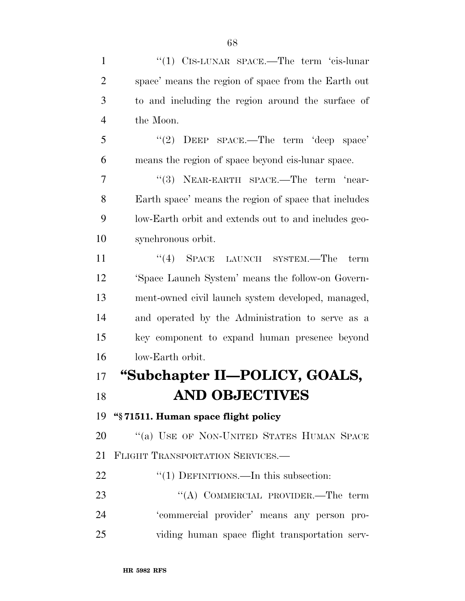| $\mathbf{1}$   | "(1) $C$ IS-LUNAR SPACE.—The term 'cis-lunar         |
|----------------|------------------------------------------------------|
| $\overline{2}$ | space' means the region of space from the Earth out  |
| 3              | to and including the region around the surface of    |
| $\overline{4}$ | the Moon.                                            |
| 5              | DEEP SPACE.—The term 'deep space'<br>(2)             |
| 6              | means the region of space beyond cis-lunar space.    |
| 7              | "(3) NEAR-EARTH SPACE.—The term 'near-               |
| 8              | Earth space' means the region of space that includes |
| 9              | low-Earth orbit and extends out to and includes geo- |
| 10             | synchronous orbit.                                   |
| 11             | $(4)$ Space<br>LAUNCH SYSTEM.—The<br>term            |
| 12             | 'Space Launch System' means the follow-on Govern-    |
| 13             | ment-owned civil launch system developed, managed,   |
| 14             | and operated by the Administration to serve as a     |
| 15             | key component to expand human presence beyond        |
| 16             | low-Earth orbit.                                     |
| 17             | "Subchapter II—POLICY, GOALS,                        |
| 18             | <b>AND OBJECTIVES</b>                                |
| 19             | "§71511. Human space flight policy                   |
| 20             | "(a) USE OF NON-UNITED STATES HUMAN SPACE            |
| 21             | FLIGHT TRANSPORTATION SERVICES.                      |
| 22             | $\cdot\cdot(1)$ DEFINITIONS.—In this subsection:     |
| 23             | "(A) COMMERCIAL PROVIDER.—The term                   |
| 24             | 'commercial provider' means any person pro-          |
| 25             | viding human space flight transportation serv-       |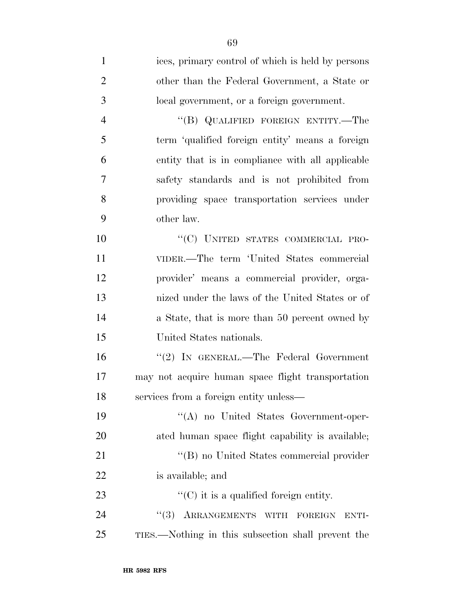| $\mathbf{1}$   | ices, primary control of which is held by persons           |
|----------------|-------------------------------------------------------------|
| $\overline{2}$ | other than the Federal Government, a State or               |
| 3              | local government, or a foreign government.                  |
| $\overline{4}$ | "(B) QUALIFIED FOREIGN ENTITY.—The                          |
| 5              | term 'qualified foreign entity' means a foreign             |
| 6              | entity that is in compliance with all applicable            |
| 7              | safety standards and is not prohibited from                 |
| 8              | providing space transportation services under               |
| 9              | other law.                                                  |
| 10             | "(C) UNITED STATES COMMERCIAL PRO-                          |
| 11             | VIDER.—The term 'United States commercial                   |
| 12             | provider' means a commercial provider, orga-                |
| 13             | nized under the laws of the United States or of             |
| 14             | a State, that is more than 50 percent owned by              |
| 15             | United States nationals.                                    |
| 16             | "(2) IN GENERAL.—The Federal Government                     |
| 17             | may not acquire human space flight transportation           |
| 18             | services from a foreign entity unless—                      |
| 19             | "(A) no United States Government-oper-                      |
| 20             | ated human space flight capability is available;            |
| 21             | "(B) no United States commercial provider                   |
| 22             | is available; and                                           |
| 23             | $\lq\lq$ <sup>c</sup> (C) it is a qualified foreign entity. |
| 24             | "(3) ARRANGEMENTS WITH FOREIGN<br>ENTI-                     |
| 25             | TIES.—Nothing in this subsection shall prevent the          |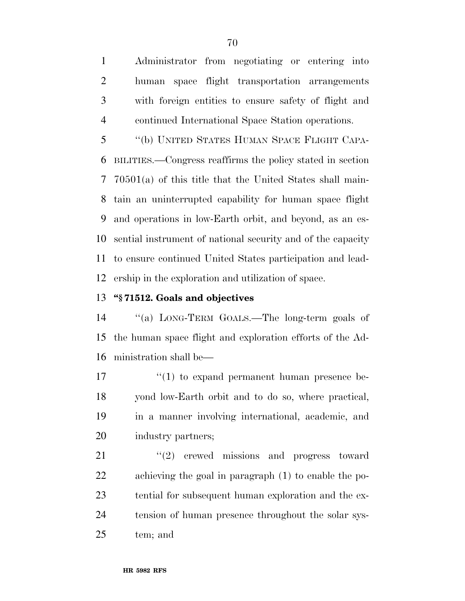Administrator from negotiating or entering into human space flight transportation arrangements with foreign entities to ensure safety of flight and continued International Space Station operations.

 ''(b) UNITED STATES HUMAN SPACE FLIGHT CAPA- BILITIES.—Congress reaffirms the policy stated in section 70501(a) of this title that the United States shall main- tain an uninterrupted capability for human space flight and operations in low-Earth orbit, and beyond, as an es- sential instrument of national security and of the capacity to ensure continued United States participation and lead-ership in the exploration and utilization of space.

### **''§ 71512. Goals and objectives**

 ''(a) LONG-TERM GOALS.—The long-term goals of the human space flight and exploration efforts of the Ad-ministration shall be—

 $\frac{17}{2}$  ''(1) to expand permanent human presence be- yond low-Earth orbit and to do so, where practical, in a manner involving international, academic, and industry partners;

21 "(2) crewed missions and progress toward achieving the goal in paragraph (1) to enable the po- tential for subsequent human exploration and the ex- tension of human presence throughout the solar sys-tem; and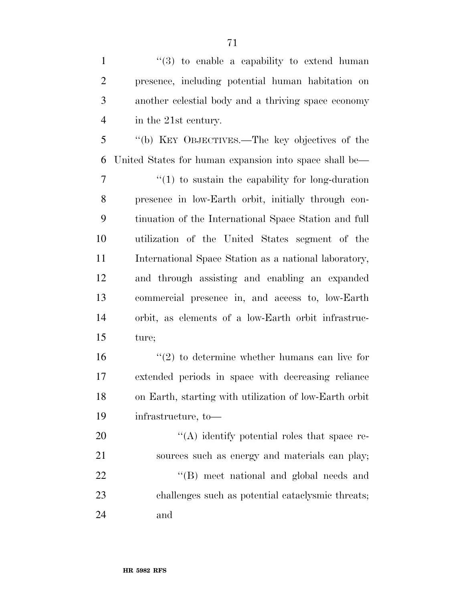$\frac{1}{3}$  to enable a capability to extend human presence, including potential human habitation on another celestial body and a thriving space economy in the 21st century.

 ''(b) KEY OBJECTIVES.—The key objectives of the United States for human expansion into space shall be—

 $7 \t$  (1) to sustain the capability for long-duration presence in low-Earth orbit, initially through con- tinuation of the International Space Station and full utilization of the United States segment of the 11 International Space Station as a national laboratory, and through assisting and enabling an expanded commercial presence in, and access to, low-Earth orbit, as elements of a low-Earth orbit infrastruc-ture;

 $\frac{16}{2}$  to determine whether humans can live for extended periods in space with decreasing reliance on Earth, starting with utilization of low-Earth orbit infrastructure, to—

20  $\langle (A) \rangle$  identify potential roles that space re- sources such as energy and materials can play; 22 ''(B) meet national and global needs and challenges such as potential cataclysmic threats; and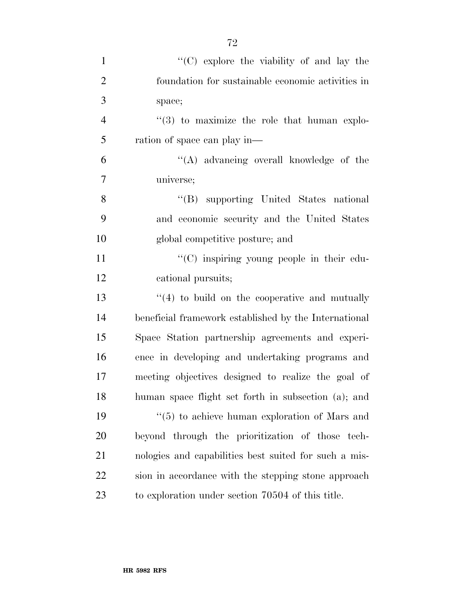| $\mathbf{1}$   | "(C) explore the viability of and lay the             |
|----------------|-------------------------------------------------------|
| $\overline{2}$ | foundation for sustainable economic activities in     |
| 3              | space;                                                |
| $\overline{4}$ | $(3)$ to maximize the role that human explo-          |
| 5              | ration of space can play in—                          |
| 6              | "(A) advancing overall knowledge of the               |
| 7              | universe;                                             |
| 8              | "(B) supporting United States national                |
| 9              | and economic security and the United States           |
| 10             | global competitive posture; and                       |
| 11             | "(C) inspiring young people in their edu-             |
| 12             | cational pursuits;                                    |
| 13             | $\cdot$ (4) to build on the cooperative and mutually  |
| 14             | beneficial framework established by the International |
| 15             | Space Station partnership agreements and experi-      |
| 16             | ence in developing and undertaking programs and       |
| 17             | meeting objectives designed to realize the goal of    |
| 18             | human space flight set forth in subsection (a); and   |
| 19             | $\lq(5)$ to achieve human exploration of Mars and     |
| 20             | beyond through the prioritization of those tech-      |
| 21             | nologies and capabilities best suited for such a mis- |
| <u>22</u>      | sion in accordance with the stepping stone approach   |
| 23             | to exploration under section 70504 of this title.     |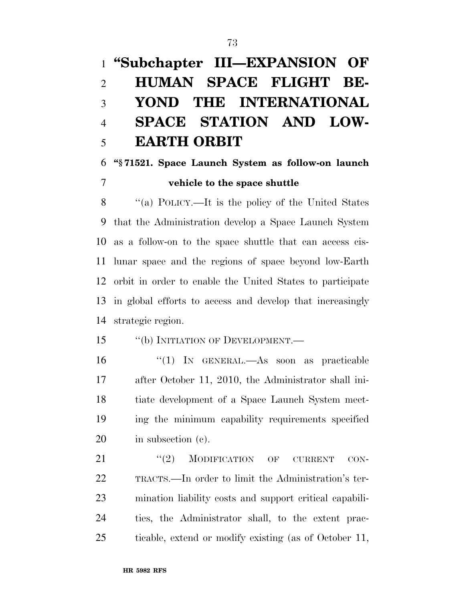# **''Subchapter III—EXPANSION OF HUMAN SPACE FLIGHT BE- YOND THE INTERNATIONAL SPACE STATION AND LOW-EARTH ORBIT**

# **''§ 71521. Space Launch System as follow-on launch vehicle to the space shuttle**

 ''(a) POLICY.—It is the policy of the United States that the Administration develop a Space Launch System as a follow-on to the space shuttle that can access cis- lunar space and the regions of space beyond low-Earth orbit in order to enable the United States to participate in global efforts to access and develop that increasingly strategic region.

## 15 "(b) INITIATION OF DEVELOPMENT.—

 ''(1) IN GENERAL.—As soon as practicable after October 11, 2010, the Administrator shall ini- tiate development of a Space Launch System meet- ing the minimum capability requirements specified in subsection (c).

21 "(2) MODIFICATION OF CURRENT CON- TRACTS.—In order to limit the Administration's ter- mination liability costs and support critical capabili- ties, the Administrator shall, to the extent prac-ticable, extend or modify existing (as of October 11,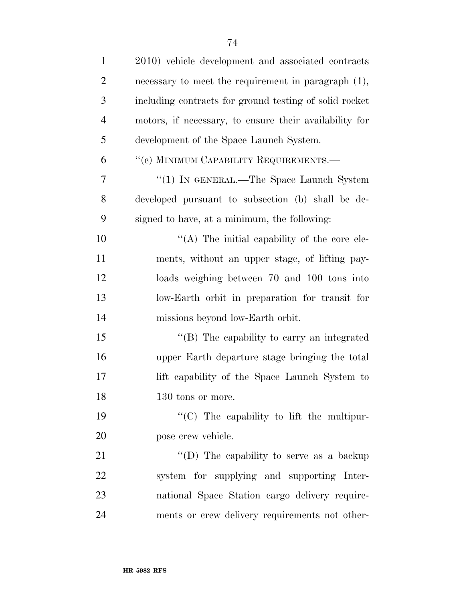| $\mathbf{1}$   | 2010) vehicle development and associated contracts     |
|----------------|--------------------------------------------------------|
| $\overline{2}$ | necessary to meet the requirement in paragraph (1),    |
| 3              | including contracts for ground testing of solid rocket |
| $\overline{4}$ | motors, if necessary, to ensure their availability for |
| 5              | development of the Space Launch System.                |
| 6              | "(c) MINIMUM CAPABILITY REQUIREMENTS.-                 |
| $\overline{7}$ | "(1) IN GENERAL.—The Space Launch System               |
| 8              | developed pursuant to subsection (b) shall be de-      |
| 9              | signed to have, at a minimum, the following:           |
| 10             | "(A) The initial capability of the core ele-           |
| 11             | ments, without an upper stage, of lifting pay-         |
| 12             | loads weighing between 70 and 100 tons into            |
| 13             | low-Earth orbit in preparation for transit for         |
| 14             | missions beyond low-Earth orbit.                       |
| 15             | "(B) The capability to carry an integrated             |
| 16             | upper Earth departure stage bringing the total         |
| 17             | lift capability of the Space Launch System to          |
| 18             | 130 tons or more.                                      |
| 19             | "(C) The capability to lift the multipur-              |
| 20             | pose crew vehicle.                                     |
| 21             | "(D) The capability to serve as a backup               |
| 22             | system for supplying and supporting Inter-             |
| 23             | national Space Station cargo delivery require-         |
| 24             | ments or crew delivery requirements not other-         |
|                |                                                        |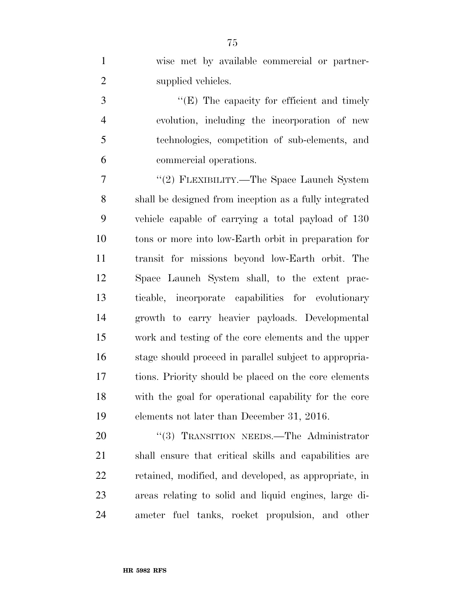|   | wise met by available commercial or partner-  |
|---|-----------------------------------------------|
|   | supplied vehicles.                            |
| 3 | " $(E)$ The capacity for efficient and timely |

 evolution, including the incorporation of new technologies, competition of sub-elements, and commercial operations.

7 "(2) FLEXIBILITY.—The Space Launch System shall be designed from inception as a fully integrated vehicle capable of carrying a total payload of 130 tons or more into low-Earth orbit in preparation for transit for missions beyond low-Earth orbit. The Space Launch System shall, to the extent prac- ticable, incorporate capabilities for evolutionary growth to carry heavier payloads. Developmental work and testing of the core elements and the upper stage should proceed in parallel subject to appropria- tions. Priority should be placed on the core elements with the goal for operational capability for the core elements not later than December 31, 2016.

20 "(3) TRANSITION NEEDS.—The Administrator shall ensure that critical skills and capabilities are retained, modified, and developed, as appropriate, in areas relating to solid and liquid engines, large di-ameter fuel tanks, rocket propulsion, and other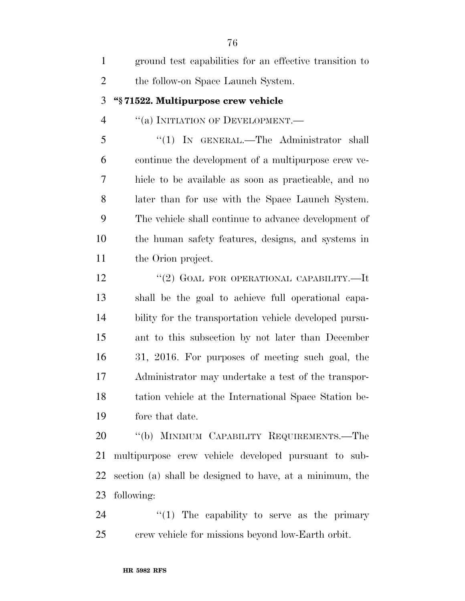| $\mathbf{1}$   | ground test capabilities for an effective transition to  |
|----------------|----------------------------------------------------------|
| $\overline{2}$ | the follow-on Space Launch System.                       |
| 3              | "§71522. Multipurpose crew vehicle                       |
| $\overline{4}$ | "(a) INITIATION OF DEVELOPMENT.-                         |
| 5              | "(1) IN GENERAL.—The Administrator shall                 |
| 6              | continue the development of a multipurpose crew ve-      |
| 7              | hicle to be available as soon as practicable, and no     |
| 8              | later than for use with the Space Launch System.         |
| 9              | The vehicle shall continue to advance development of     |
| 10             | the human safety features, designs, and systems in       |
| 11             | the Orion project.                                       |
| 12             | "(2) GOAL FOR OPERATIONAL CAPABILITY.—It                 |
| 13             | shall be the goal to achieve full operational capa-      |
| 14             | bility for the transportation vehicle developed pursu-   |
| 15             | ant to this subsection by not later than December        |
| 16             | 31, 2016. For purposes of meeting such goal, the         |
| 17             | Administrator may undertake a test of the transpor-      |
| 18             | tation vehicle at the International Space Station be-    |
| 19             | fore that date.                                          |
| 20             | "(b) MINIMUM CAPABILITY REQUIREMENTS.—The                |
| 21             | multipurpose crew vehicle developed pursuant to sub-     |
| 22             | section (a) shall be designed to have, at a minimum, the |
| 23             | following:                                               |
| 24             | " $(1)$ The capability to serve as the primary           |
| 25             | crew vehicle for missions beyond low-Earth orbit.        |
|                |                                                          |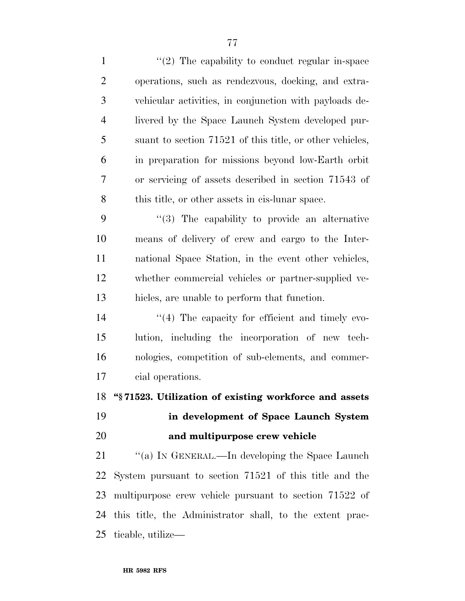1 ''(2) The capability to conduct regular in-space operations, such as rendezvous, docking, and extra- vehicular activities, in conjunction with payloads de- livered by the Space Launch System developed pur- suant to section 71521 of this title, or other vehicles, in preparation for missions beyond low-Earth orbit or servicing of assets described in section 71543 of this title, or other assets in cis-lunar space. ''(3) The capability to provide an alternative means of delivery of crew and cargo to the Inter- national Space Station, in the event other vehicles, whether commercial vehicles or partner-supplied ve- hicles, are unable to perform that function.  $\frac{1}{4}$  The capacity for efficient and timely evo- lution, including the incorporation of new tech- nologies, competition of sub-elements, and commer- cial operations. **''§ 71523. Utilization of existing workforce and assets in development of Space Launch System and multipurpose crew vehicle**  21 "(a) IN GENERAL.—In developing the Space Launch System pursuant to section 71521 of this title and the multipurpose crew vehicle pursuant to section 71522 of this title, the Administrator shall, to the extent prac-ticable, utilize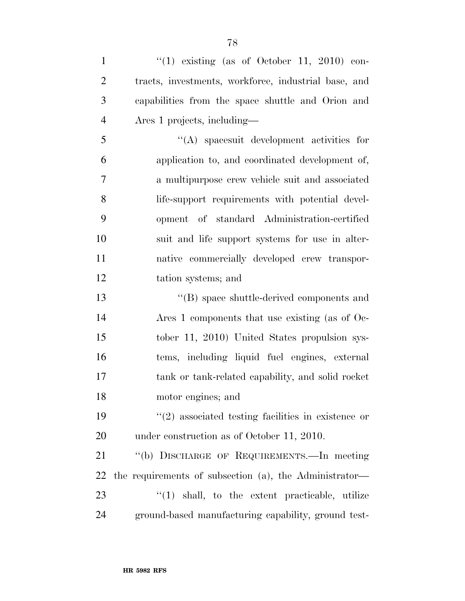$\frac{1}{2}$   $\frac{1}{2}$   $\frac{1}{2}$  existing (as of October 11, 2010) con- tracts, investments, workforce, industrial base, and capabilities from the space shuttle and Orion and Ares 1 projects, including—

 ''(A) spacesuit development activities for application to, and coordinated development of, a multipurpose crew vehicle suit and associated life-support requirements with potential devel- opment of standard Administration-certified suit and life support systems for use in alter- native commercially developed crew transpor-tation systems; and

 ''(B) space shuttle-derived components and Ares 1 components that use existing (as of Oc- tober 11, 2010) United States propulsion sys- tems, including liquid fuel engines, external tank or tank-related capability, and solid rocket motor engines; and

 ''(2) associated testing facilities in existence or under construction as of October 11, 2010.

 ''(b) DISCHARGE OF REQUIREMENTS.—In meeting the requirements of subsection (a), the Administrator— 23 ''(1) shall, to the extent practicable, utilize ground-based manufacturing capability, ground test-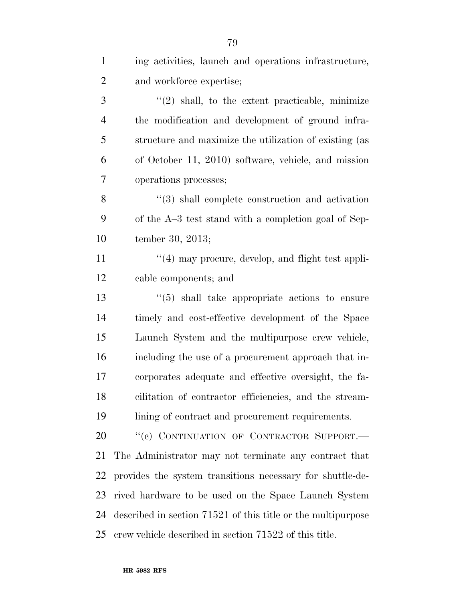| $\mathbf{1}$   | ing activities, launch and operations infrastructure,           |
|----------------|-----------------------------------------------------------------|
| $\overline{2}$ | and workforce expertise;                                        |
| 3              | $\lq(2)$ shall, to the extent practicable, minimize             |
| $\overline{4}$ | the modification and development of ground infra-               |
| 5              | structure and maximize the utilization of existing (as          |
| 6              | of October 11, 2010) software, vehicle, and mission             |
| 7              | operations processes;                                           |
| 8              | $\cdot\cdot\cdot(3)$ shall complete construction and activation |
| 9              | of the A–3 test stand with a completion goal of Sep-            |
| 10             | tember 30, 2013;                                                |
| 11             | $\cdot$ (4) may procure, develop, and flight test appli-        |
| 12             | cable components; and                                           |
| 13             | $\cdot\cdot$ (5) shall take appropriate actions to ensure       |
| 14             | timely and cost-effective development of the Space              |
| 15             | Launch System and the multipurpose crew vehicle,                |
| 16             | including the use of a procurement approach that in-            |
| 17             | corporates adequate and effective oversight, the fa-            |
| 18             | cilitation of contractor efficiencies, and the stream-          |
| 19             | lining of contract and procurement requirements.                |
| 20             | "(c) CONTINUATION OF CONTRACTOR SUPPORT.-                       |
| 21             | The Administrator may not terminate any contract that           |
| 22             | provides the system transitions necessary for shuttle-de-       |
| 23             | rived hardware to be used on the Space Launch System            |
| 24             | described in section 71521 of this title or the multipurpose    |
| 25             | crew vehicle described in section 71522 of this title.          |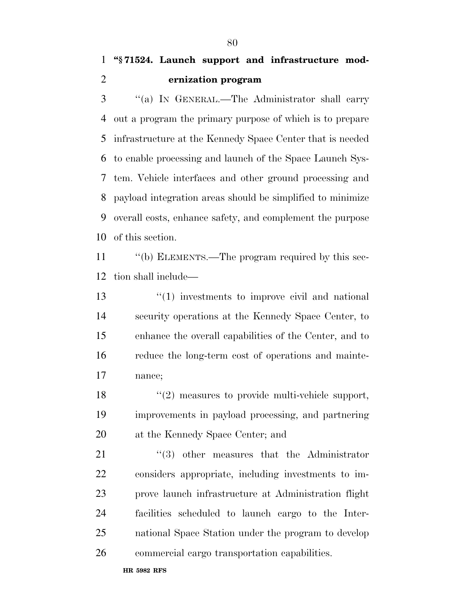# **''§ 71524. Launch support and infrastructure mod-ernization program**

 ''(a) IN GENERAL.—The Administrator shall carry out a program the primary purpose of which is to prepare infrastructure at the Kennedy Space Center that is needed to enable processing and launch of the Space Launch Sys- tem. Vehicle interfaces and other ground processing and payload integration areas should be simplified to minimize overall costs, enhance safety, and complement the purpose of this section.

 ''(b) ELEMENTS.—The program required by this sec-tion shall include—

13 ''(1) investments to improve civil and national security operations at the Kennedy Space Center, to enhance the overall capabilities of the Center, and to reduce the long-term cost of operations and mainte-nance;

18 ''(2) measures to provide multi-vehicle support, improvements in payload processing, and partnering at the Kennedy Space Center; and

21 ''(3) other measures that the Administrator considers appropriate, including investments to im- prove launch infrastructure at Administration flight facilities scheduled to launch cargo to the Inter- national Space Station under the program to develop commercial cargo transportation capabilities.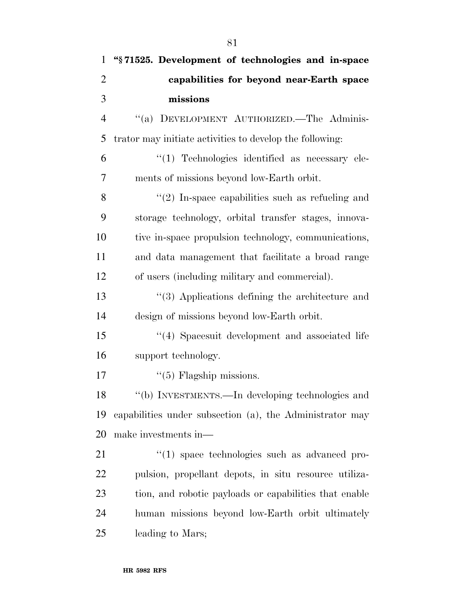| $\mathbf{1}$   | "§71525. Development of technologies and in-space        |
|----------------|----------------------------------------------------------|
| $\overline{2}$ | capabilities for beyond near-Earth space                 |
| 3              | missions                                                 |
| $\overline{4}$ | "(a) DEVELOPMENT AUTHORIZED. The Adminis-                |
| 5              | trator may initiate activities to develop the following: |
| 6              | "(1) Technologies identified as necessary ele-           |
| $\overline{7}$ | ments of missions beyond low-Earth orbit.                |
| 8              | $\lq(2)$ In-space capabilities such as refueling and     |
| 9              | storage technology, orbital transfer stages, innova-     |
| 10             | tive in-space propulsion technology, communications,     |
| 11             | and data management that facilitate a broad range        |
| 12             | of users (including military and commercial).            |
| 13             | $\cdot$ (3) Applications defining the architecture and   |
| 14             | design of missions beyond low-Earth orbit.               |
| 15             | "(4) Spacesuit development and associated life           |
| 16             | support technology.                                      |
| 17             | $\lq(5)$ Flagship missions.                              |
| 18             | "(b) INVESTMENTS.—In developing technologies and         |
| 19             | capabilities under subsection (a), the Administrator may |
| 20             | make investments in—                                     |
| 21             | $\lq(1)$ space technologies such as advanced pro-        |
| 22             | pulsion, propellant depots, in situ resource utiliza-    |
| 23             | tion, and robotic payloads or capabilities that enable   |
| 24             | human missions beyond low-Earth orbit ultimately         |
| 25             | leading to Mars;                                         |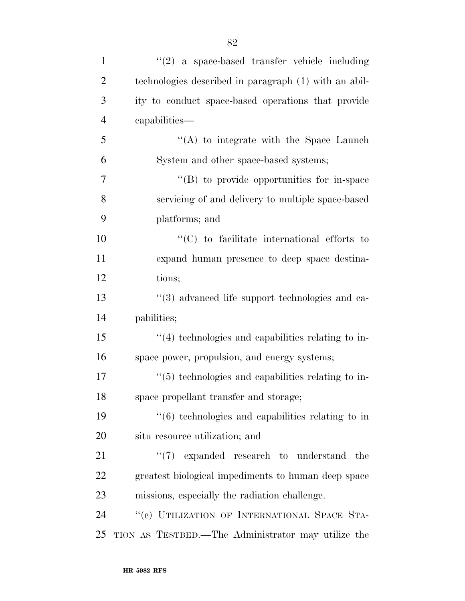| $\mathbf{1}$   | $\lq(2)$ a space-based transfer vehicle including                  |
|----------------|--------------------------------------------------------------------|
| $\overline{2}$ | technologies described in paragraph (1) with an abil-              |
| 3              | ity to conduct space-based operations that provide                 |
| $\overline{4}$ | capabilities—                                                      |
| 5              | "(A) to integrate with the Space Launch                            |
| 6              | System and other space-based systems;                              |
| 7              | "(B) to provide opportunities for in-space                         |
| 8              | servicing of and delivery to multiple space-based                  |
| 9              | platforms; and                                                     |
| 10             | $\lq\lq$ (C) to facilitate international efforts to                |
| 11             | expand human presence to deep space destina-                       |
| 12             | tions;                                                             |
| 13             | "(3) advanced life support technologies and ca-                    |
| 14             | pabilities;                                                        |
| 15             | $\lq(4)$ technologies and capabilities relating to in-             |
| 16             | space power, propulsion, and energy systems;                       |
| 17             | "(5) technologies and capabilities relating to in-                 |
| 18             | space propellant transfer and storage;                             |
| 19             | $\cdot\cdot\cdot$ (6) technologies and capabilities relating to in |
| 20             | situ resource utilization; and                                     |
| 21             | $\lq(7)$ expanded research to understand the                       |
| 22             | greatest biological impediments to human deep space                |
| 23             | missions, especially the radiation challenge.                      |
| 24             | "(c) UTILIZATION OF INTERNATIONAL SPACE STA-                       |
| 25             | TION AS TESTBED.—The Administrator may utilize the                 |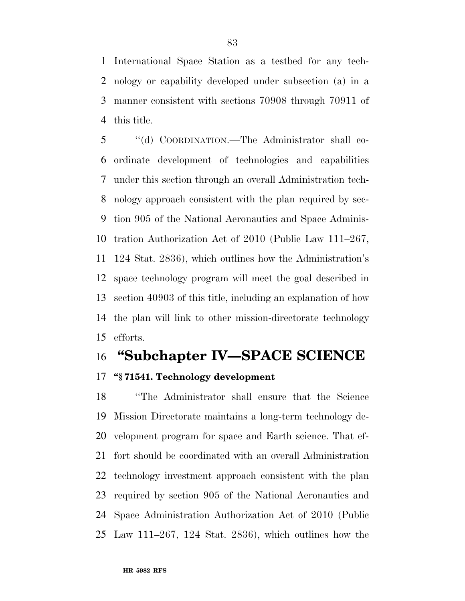International Space Station as a testbed for any tech- nology or capability developed under subsection (a) in a manner consistent with sections 70908 through 70911 of this title.

 ''(d) COORDINATION.—The Administrator shall co- ordinate development of technologies and capabilities under this section through an overall Administration tech- nology approach consistent with the plan required by sec- tion 905 of the National Aeronautics and Space Adminis- tration Authorization Act of 2010 (Public Law 111–267, 124 Stat. 2836), which outlines how the Administration's space technology program will meet the goal described in section 40903 of this title, including an explanation of how the plan will link to other mission-directorate technology efforts.

# **''Subchapter IV—SPACE SCIENCE**

# **''§ 71541. Technology development**

 ''The Administrator shall ensure that the Science Mission Directorate maintains a long-term technology de- velopment program for space and Earth science. That ef- fort should be coordinated with an overall Administration technology investment approach consistent with the plan required by section 905 of the National Aeronautics and Space Administration Authorization Act of 2010 (Public Law 111–267, 124 Stat. 2836), which outlines how the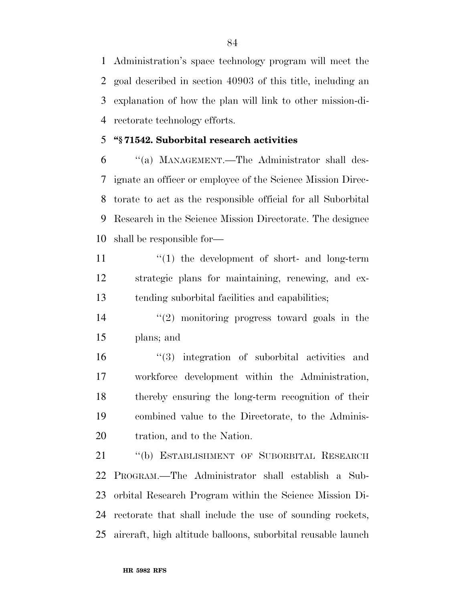Administration's space technology program will meet the goal described in section 40903 of this title, including an explanation of how the plan will link to other mission-di-rectorate technology efforts.

### **''§ 71542. Suborbital research activities**

 ''(a) MANAGEMENT.—The Administrator shall des- ignate an officer or employee of the Science Mission Direc- torate to act as the responsible official for all Suborbital Research in the Science Mission Directorate. The designee shall be responsible for—

- 11  $\frac{1}{1}$  the development of short- and long-term strategic plans for maintaining, renewing, and ex-tending suborbital facilities and capabilities;
- ''(2) monitoring progress toward goals in the plans; and

 ''(3) integration of suborbital activities and workforce development within the Administration, thereby ensuring the long-term recognition of their combined value to the Directorate, to the Adminis-tration, and to the Nation.

 ''(b) ESTABLISHMENT OF SUBORBITAL RESEARCH PROGRAM.—The Administrator shall establish a Sub- orbital Research Program within the Science Mission Di- rectorate that shall include the use of sounding rockets, aircraft, high altitude balloons, suborbital reusable launch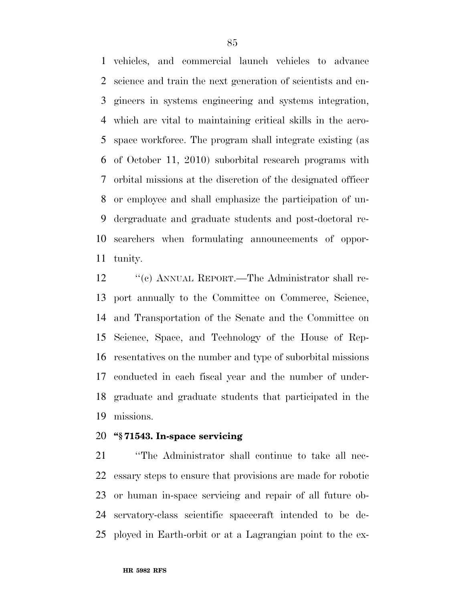vehicles, and commercial launch vehicles to advance science and train the next generation of scientists and en- gineers in systems engineering and systems integration, which are vital to maintaining critical skills in the aero- space workforce. The program shall integrate existing (as of October 11, 2010) suborbital research programs with orbital missions at the discretion of the designated officer or employee and shall emphasize the participation of un- dergraduate and graduate students and post-doctoral re- searchers when formulating announcements of oppor-tunity.

12 "(c) ANNUAL REPORT.—The Administrator shall re- port annually to the Committee on Commerce, Science, and Transportation of the Senate and the Committee on Science, Space, and Technology of the House of Rep- resentatives on the number and type of suborbital missions conducted in each fiscal year and the number of under- graduate and graduate students that participated in the missions.

## **''§ 71543. In-space servicing**

 ''The Administrator shall continue to take all nec- essary steps to ensure that provisions are made for robotic or human in-space servicing and repair of all future ob- servatory-class scientific spacecraft intended to be de-ployed in Earth-orbit or at a Lagrangian point to the ex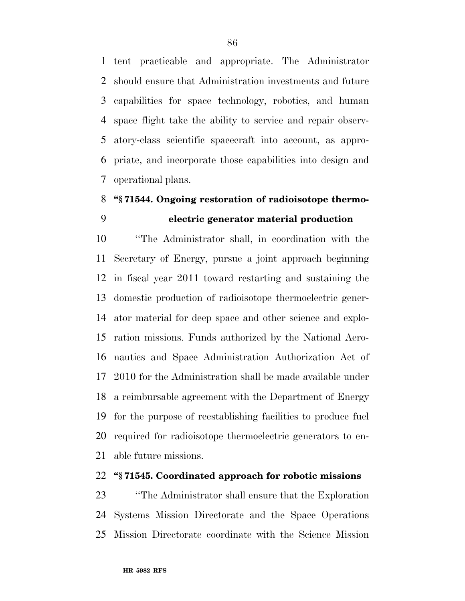tent practicable and appropriate. The Administrator should ensure that Administration investments and future capabilities for space technology, robotics, and human space flight take the ability to service and repair observ- atory-class scientific spacecraft into account, as appro- priate, and incorporate those capabilities into design and operational plans.

# **''§ 71544. Ongoing restoration of radioisotope thermo-electric generator material production**

 ''The Administrator shall, in coordination with the Secretary of Energy, pursue a joint approach beginning in fiscal year 2011 toward restarting and sustaining the domestic production of radioisotope thermoelectric gener- ator material for deep space and other science and explo- ration missions. Funds authorized by the National Aero- nautics and Space Administration Authorization Act of 2010 for the Administration shall be made available under a reimbursable agreement with the Department of Energy for the purpose of reestablishing facilities to produce fuel required for radioisotope thermoelectric generators to en-able future missions.

## **''§ 71545. Coordinated approach for robotic missions**

 ''The Administrator shall ensure that the Exploration Systems Mission Directorate and the Space Operations Mission Directorate coordinate with the Science Mission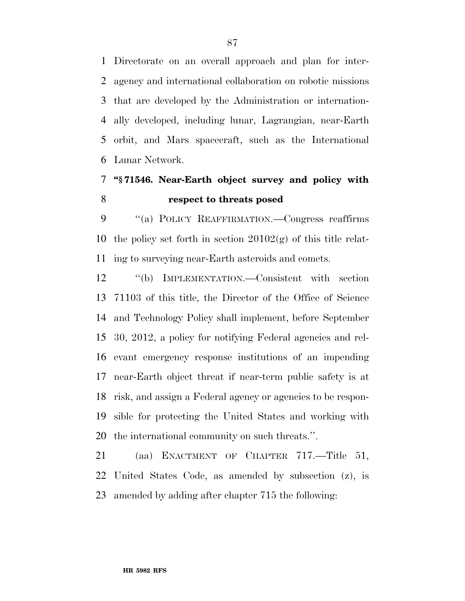Directorate on an overall approach and plan for inter- agency and international collaboration on robotic missions that are developed by the Administration or internation- ally developed, including lunar, Lagrangian, near-Earth orbit, and Mars spacecraft, such as the International Lunar Network.

# **''§ 71546. Near-Earth object survey and policy with respect to threats posed**

9 "(a) POLICY REAFFIRMATION.—Congress reaffirms 10 the policy set forth in section  $20102(g)$  of this title relat-ing to surveying near-Earth asteroids and comets.

 ''(b) IMPLEMENTATION.—Consistent with section 71103 of this title, the Director of the Office of Science and Technology Policy shall implement, before September 30, 2012, a policy for notifying Federal agencies and rel- evant emergency response institutions of an impending near-Earth object threat if near-term public safety is at risk, and assign a Federal agency or agencies to be respon- sible for protecting the United States and working with the international community on such threats.''.

 (aa) ENACTMENT OF CHAPTER 717.—Title 51, United States Code, as amended by subsection (z), is amended by adding after chapter 715 the following: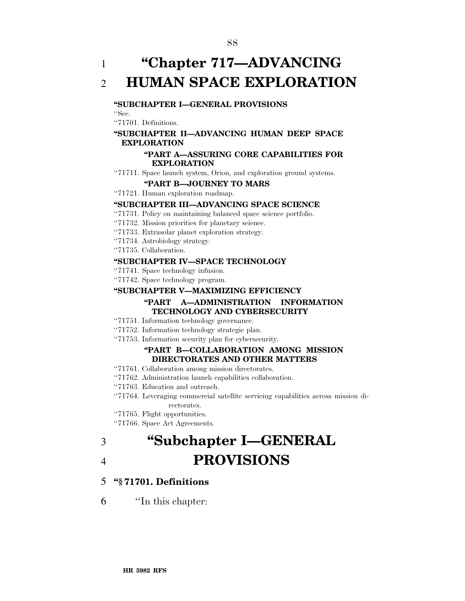1 **''Chapter 717—ADVANCING**  2 **HUMAN SPACE EXPLORATION** 

#### **''SUBCHAPTER I—GENERAL PROVISIONS**

''Sec.

''71701. Definitions.

#### **''SUBCHAPTER II—ADVANCING HUMAN DEEP SPACE EXPLORATION**

#### **''PART A—ASSURING CORE CAPABILITIES FOR EXPLORATION**

''71711. Space launch system, Orion, and exploration ground systems.

#### **''PART B—JOURNEY TO MARS**

''71721. Human exploration roadmap.

#### **''SUBCHAPTER III—ADVANCING SPACE SCIENCE**

- ''71731. Policy on maintaining balanced space science portfolio.
- ''71732. Mission priorities for planetary science.
- ''71733. Extrasolar planet exploration strategy.
- ''71734. Astrobiology strategy.
- ''71735. Collaboration.

#### **''SUBCHAPTER IV—SPACE TECHNOLOGY**

- ''71741. Space technology infusion.
- ''71742. Space technology program.

#### **''SUBCHAPTER V—MAXIMIZING EFFICIENCY**

#### **''PART A—ADMINISTRATION INFORMATION TECHNOLOGY AND CYBERSECURITY**

- ''71751. Information technology governance.
- ''71752. Information technology strategic plan.
- ''71753. Information security plan for cybersecurity.

#### **''PART B—COLLABORATION AMONG MISSION DIRECTORATES AND OTHER MATTERS**

- ''71761. Collaboration among mission directorates.
- ''71762. Administration launch capabilities collaboration.
- ''71763. Education and outreach.
- ''71764. Leveraging commercial satellite servicing capabilities across mission directorates.
- ''71765. Flight opportunities.
- ''71766. Space Act Agreements.

# 3 **''Subchapter I—GENERAL**  4 **PROVISIONS**

#### 5 **''§ 71701. Definitions**

6 ''In this chapter: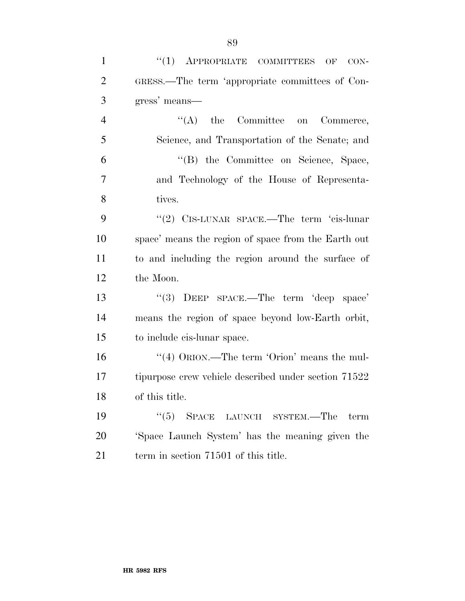| $\mathbf{1}$   | $(1)$ APPROPRIATE COMMITTEES OF<br>CON-               |
|----------------|-------------------------------------------------------|
| $\overline{2}$ | GRESS.—The term 'appropriate committees of Con-       |
| 3              | gress' means—                                         |
| $\overline{4}$ | $\lq\lq$ the Committee on<br>Commerce,                |
| 5              | Science, and Transportation of the Senate; and        |
| 6              | "(B) the Committee on Science, Space,                 |
| $\tau$         | and Technology of the House of Representa-            |
| 8              | tives.                                                |
| 9              | "(2) CIS-LUNAR SPACE.—The term 'cis-lunar             |
| 10             | space' means the region of space from the Earth out   |
| 11             | to and including the region around the surface of     |
| 12             | the Moon.                                             |
| 13             | "(3) DEEP SPACE.—The term 'deep space'                |
| 14             | means the region of space beyond low-Earth orbit,     |
| 15             | to include cis-lunar space.                           |
| 16             | "(4) $\text{ORION}$ .—The term 'Orion' means the mul- |
| 17             | tipurpose crew vehicle described under section 71522  |
| 18             | of this title.                                        |
| 19             | (5)<br>SPACE LAUNCH SYSTEM.-The<br>term               |
| 20             | 'Space Launch System' has the meaning given the       |
| 21             | term in section 71501 of this title.                  |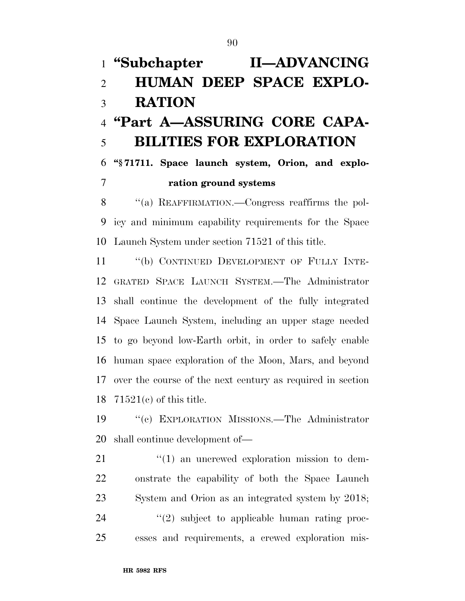# **''Subchapter II—ADVANCING HUMAN DEEP SPACE EXPLO- RATION ''Part A—ASSURING CORE CAPA- BILITIES FOR EXPLORATION ''§ 71711. Space launch system, Orion, and explo- ration ground systems**  ''(a) REAFFIRMATION.—Congress reaffirms the pol-

 icy and minimum capability requirements for the Space Launch System under section 71521 of this title.

 ''(b) CONTINUED DEVELOPMENT OF FULLY INTE- GRATED SPACE LAUNCH SYSTEM.—The Administrator shall continue the development of the fully integrated Space Launch System, including an upper stage needed to go beyond low-Earth orbit, in order to safely enable human space exploration of the Moon, Mars, and beyond over the course of the next century as required in section 71521(c) of this title.

 ''(c) EXPLORATION MISSIONS.—The Administrator shall continue development of—

 $\frac{1}{2}$  (1) an uncrewed exploration mission to dem- onstrate the capability of both the Space Launch System and Orion as an integrated system by 2018;  $(2)$  subject to applicable human rating proc-esses and requirements, a crewed exploration mis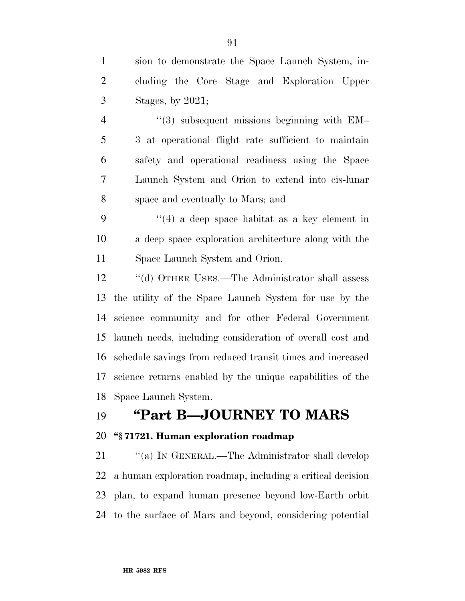sion to demonstrate the Space Launch System, in- cluding the Core Stage and Exploration Upper Stages, by 2021;

4 "(3) subsequent missions beginning with EM– 3 at operational flight rate sufficient to maintain safety and operational readiness using the Space Launch System and Orion to extend into cis-lunar space and eventually to Mars; and

 ''(4) a deep space habitat as a key element in a deep space exploration architecture along with the Space Launch System and Orion.

 ''(d) OTHER USES.—The Administrator shall assess the utility of the Space Launch System for use by the science community and for other Federal Government launch needs, including consideration of overall cost and schedule savings from reduced transit times and increased science returns enabled by the unique capabilities of the Space Launch System.

# **''Part B—JOURNEY TO MARS**

## **''§ 71721. Human exploration roadmap**

21 "(a) IN GENERAL.—The Administrator shall develop a human exploration roadmap, including a critical decision plan, to expand human presence beyond low-Earth orbit to the surface of Mars and beyond, considering potential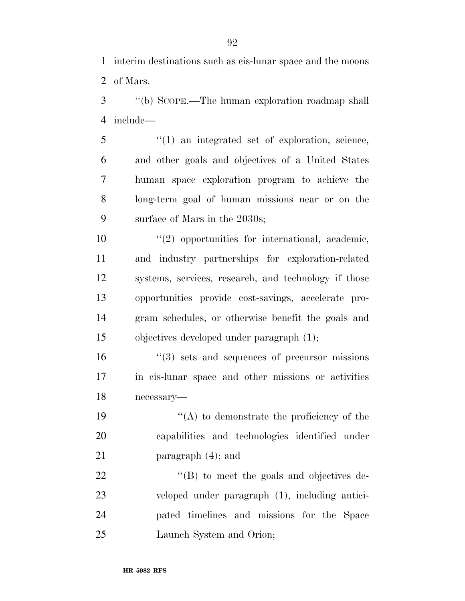interim destinations such as cis-lunar space and the moons of Mars.

 ''(b) SCOPE.—The human exploration roadmap shall include—

 ''(1) an integrated set of exploration, science, and other goals and objectives of a United States human space exploration program to achieve the long-term goal of human missions near or on the surface of Mars in the 2030s;

 $\frac{u(2)}{2}$  opportunities for international, academic, and industry partnerships for exploration-related systems, services, research, and technology if those opportunities provide cost-savings, accelerate pro- gram schedules, or otherwise benefit the goals and objectives developed under paragraph (1);

 ''(3) sets and sequences of precursor missions in cis-lunar space and other missions or activities necessary—

19  $"({\rm A})$  to demonstrate the proficiency of the capabilities and technologies identified under 21 paragraph (4); and

22 ''(B) to meet the goals and objectives de- veloped under paragraph (1), including antici- pated timelines and missions for the Space Launch System and Orion;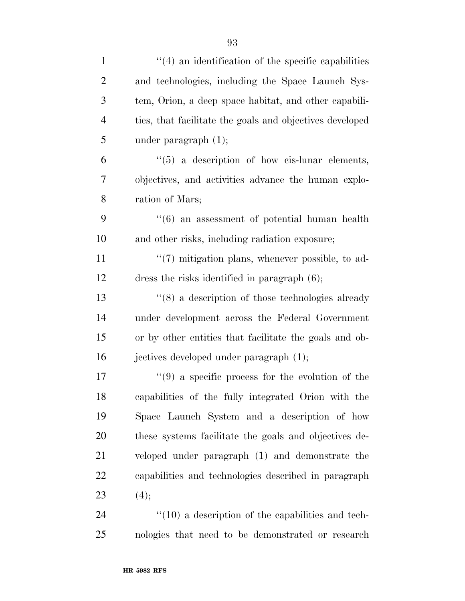| $\mathbf{1}$   | $\cdot$ (4) an identification of the specific capabilities       |
|----------------|------------------------------------------------------------------|
| $\overline{2}$ | and technologies, including the Space Launch Sys-                |
| 3              | tem, Orion, a deep space habitat, and other capabili-            |
| $\overline{4}$ | ties, that facilitate the goals and objectives developed         |
| 5              | under paragraph $(1)$ ;                                          |
| 6              | $\lq(5)$ a description of how cis-lunar elements,                |
| 7              | objectives, and activities advance the human explo-              |
| 8              | ration of Mars;                                                  |
| 9              | $\cdot\cdot$ (6) an assessment of potential human health         |
| 10             | and other risks, including radiation exposure;                   |
| 11             | $\lq(7)$ mitigation plans, whenever possible, to ad-             |
| 12             | dress the risks identified in paragraph (6);                     |
| 13             | $\cdot\cdot$ (8) a description of those technologies already     |
| 14             | under development across the Federal Government                  |
| 15             | or by other entities that facilitate the goals and ob-           |
| 16             | jectives developed under paragraph (1);                          |
| 17             | $\cdot\cdot\cdot(9)$ a specific process for the evolution of the |
| 18             | capabilities of the fully integrated Orion with the              |
| 19             | Space Launch System and a description of how                     |
| 20             | these systems facilitate the goals and objectives de-            |
| 21             | veloped under paragraph (1) and demonstrate the                  |
| 22             | capabilities and technologies described in paragraph             |
| 23             | (4);                                                             |
| 24             | $\lq(10)$ a description of the capabilities and tech-            |
| 25             | nologies that need to be demonstrated or research                |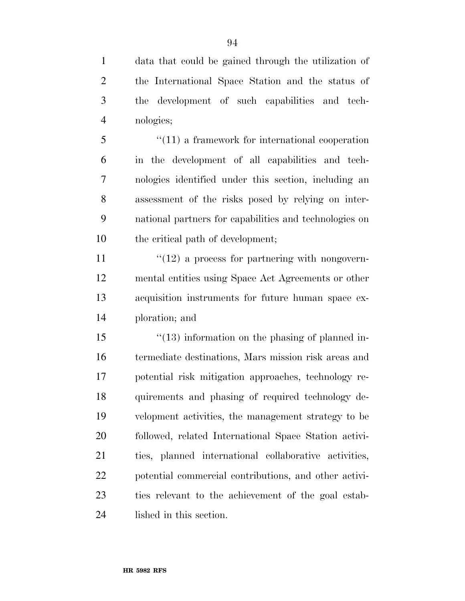data that could be gained through the utilization of the International Space Station and the status of the development of such capabilities and tech-nologies;

5 "(11) a framework for international cooperation in the development of all capabilities and tech- nologies identified under this section, including an assessment of the risks posed by relying on inter- national partners for capabilities and technologies on 10 the critical path of development;

 $\frac{11}{2}$  ''(12) a process for partnering with nongovern- mental entities using Space Act Agreements or other acquisition instruments for future human space ex-ploration; and

15 ''(13) information on the phasing of planned in- termediate destinations, Mars mission risk areas and potential risk mitigation approaches, technology re- quirements and phasing of required technology de- velopment activities, the management strategy to be followed, related International Space Station activi- ties, planned international collaborative activities, potential commercial contributions, and other activi- ties relevant to the achievement of the goal estab-lished in this section.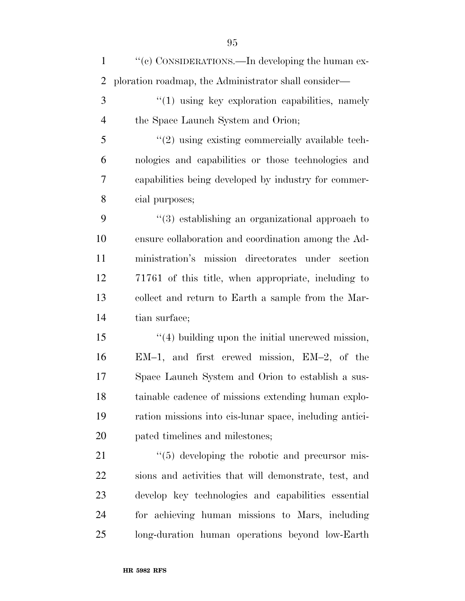1 ''(c) CONSIDERATIONS.—In developing the human ex-ploration roadmap, the Administrator shall consider—

3 "(1) using key exploration capabilities, namely the Space Launch System and Orion;

 ''(2) using existing commercially available tech- nologies and capabilities or those technologies and capabilities being developed by industry for commer-cial purposes;

 ''(3) establishing an organizational approach to ensure collaboration and coordination among the Ad- ministration's mission directorates under section 71761 of this title, when appropriate, including to collect and return to Earth a sample from the Mar-tian surface;

15 ''(4) building upon the initial uncrewed mission, EM–1, and first crewed mission, EM–2, of the Space Launch System and Orion to establish a sus- tainable cadence of missions extending human explo- ration missions into cis-lunar space, including antici-pated timelines and milestones;

 $\frac{1}{2}$  (5) developing the robotic and precursor mis- sions and activities that will demonstrate, test, and develop key technologies and capabilities essential for achieving human missions to Mars, including long-duration human operations beyond low-Earth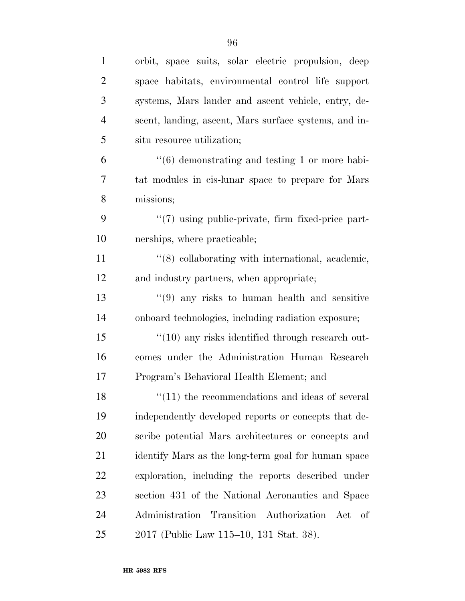| $\mathbf{1}$   | orbit, space suits, solar electric propulsion, deep            |
|----------------|----------------------------------------------------------------|
| $\overline{2}$ | space habitats, environmental control life support             |
| 3              | systems, Mars lander and ascent vehicle, entry, de-            |
| $\overline{4}$ | scent, landing, ascent, Mars surface systems, and in-          |
| 5              | situ resource utilization;                                     |
| 6              | $\cdot\cdot\cdot(6)$ demonstrating and testing 1 or more habi- |
| 7              | tat modules in cis-lunar space to prepare for Mars             |
| 8              | missions;                                                      |
| 9              | "(7) using public-private, firm fixed-price part-              |
| 10             | nerships, where practicable;                                   |
| 11             | "(8) collaborating with international, academic,               |
| 12             | and industry partners, when appropriate;                       |
| 13             | $\cdot$ (9) any risks to human health and sensitive            |
| 14             | onboard technologies, including radiation exposure;            |
| 15             | $"(10)$ any risks identified through research out-             |
| 16             | comes under the Administration Human Research                  |
| 17             | Program's Behavioral Health Element; and                       |
| 18             | $\cdot$ (11) the recommendations and ideas of several          |
| 19             | independently developed reports or concepts that de-           |
| 20             | scribe potential Mars architectures or concepts and            |
| 21             | identify Mars as the long-term goal for human space            |
| <u>22</u>      | exploration, including the reports described under             |
| 23             | section 431 of the National Aeronautics and Space              |
| 24             | Administration Transition Authorization Act of                 |
| 25             | 2017 (Public Law 115–10, 131 Stat. 38).                        |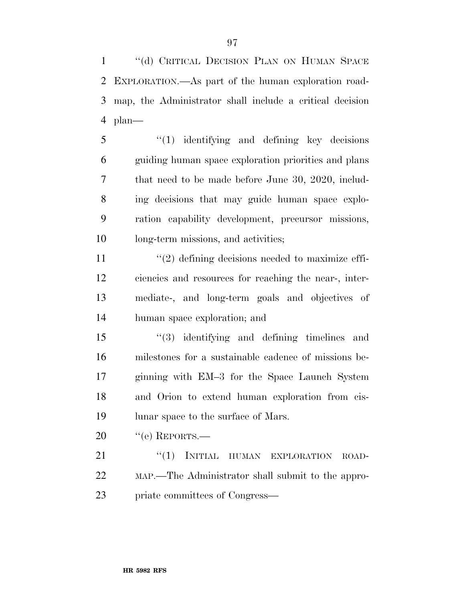1 "(d) CRITICAL DECISION PLAN ON HUMAN SPACE EXPLORATION.—As part of the human exploration road- map, the Administrator shall include a critical decision plan—

 ''(1) identifying and defining key decisions guiding human space exploration priorities and plans that need to be made before June 30, 2020, includ- ing decisions that may guide human space explo- ration capability development, precursor missions, long-term missions, and activities;

 $\frac{11}{2}$   $\frac{12}{2}$  defining decisions needed to maximize effi- ciencies and resources for reaching the near-, inter- mediate-, and long-term goals and objectives of human space exploration; and

 ''(3) identifying and defining timelines and milestones for a sustainable cadence of missions be- ginning with EM–3 for the Space Launch System and Orion to extend human exploration from cis-19 lunar space to the surface of Mars.

20 "(e) REPORTS.—

21 "(1) INITIAL HUMAN EXPLORATION ROAD- MAP.—The Administrator shall submit to the appro-priate committees of Congress—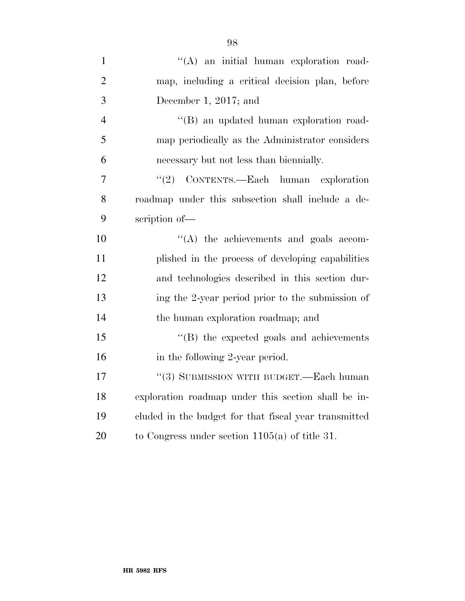| $\mathbf{1}$   | "(A) an initial human exploration road-               |
|----------------|-------------------------------------------------------|
| $\overline{2}$ | map, including a critical decision plan, before       |
| 3              | December 1, 2017; and                                 |
| $\overline{4}$ | "(B) an updated human exploration road-               |
| 5              | map periodically as the Administrator considers       |
| 6              | necessary but not less than biennially.               |
| 7              | CONTENTS.—Each human exploration<br>(2)               |
| 8              | roadmap under this subsection shall include a de-     |
| 9              | scription of-                                         |
| 10             | $\lq\lq$ the achievements and goals accom-            |
| 11             | plished in the process of developing capabilities     |
| 12             | and technologies described in this section dur-       |
| 13             | ing the 2-year period prior to the submission of      |
| 14             | the human exploration roadmap; and                    |
| 15             | $\lq\lq$ the expected goals and achievements          |
| 16             | in the following 2-year period.                       |
| 17             | $``(3)$ SUBMISSION WITH BUDGET.—Each human            |
| 18             | exploration roadmap under this section shall be in-   |
| 19             | eluded in the budget for that fiscal year transmitted |
| 20             | to Congress under section $1105(a)$ of title 31.      |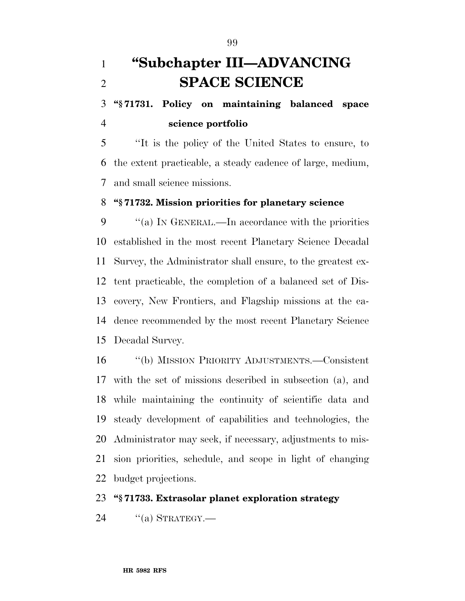# **''Subchapter III—ADVANCING SPACE SCIENCE**

 **''§ 71731. Policy on maintaining balanced space science portfolio** 

 ''It is the policy of the United States to ensure, to the extent practicable, a steady cadence of large, medium, and small science missions.

### **''§ 71732. Mission priorities for planetary science**

 ''(a) IN GENERAL.—In accordance with the priorities established in the most recent Planetary Science Decadal Survey, the Administrator shall ensure, to the greatest ex- tent practicable, the completion of a balanced set of Dis- covery, New Frontiers, and Flagship missions at the ca- dence recommended by the most recent Planetary Science Decadal Survey.

 ''(b) MISSION PRIORITY ADJUSTMENTS.—Consistent with the set of missions described in subsection (a), and while maintaining the continuity of scientific data and steady development of capabilities and technologies, the Administrator may seek, if necessary, adjustments to mis- sion priorities, schedule, and scope in light of changing budget projections.

## **''§ 71733. Extrasolar planet exploration strategy**

"(a) STRATEGY.—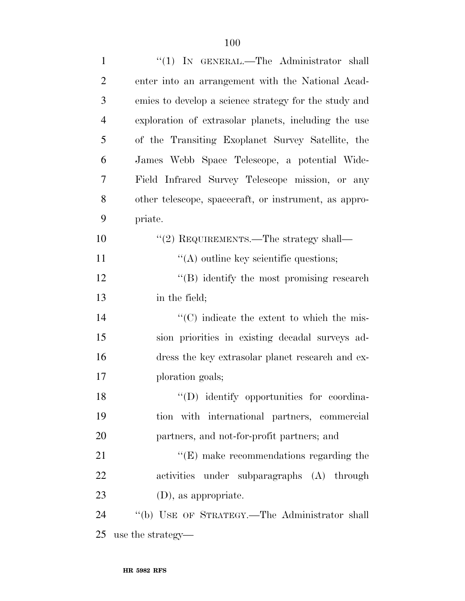| $\mathbf{1}$   | "(1) IN GENERAL.—The Administrator shall              |
|----------------|-------------------------------------------------------|
| $\overline{2}$ | enter into an arrangement with the National Acad-     |
| 3              | emies to develop a science strategy for the study and |
| 4              | exploration of extrasolar planets, including the use  |
| 5              | of the Transiting Exoplanet Survey Satellite, the     |
| 6              | James Webb Space Telescope, a potential Wide-         |
| 7              | Field Infrared Survey Telescope mission, or any       |
| 8              | other telescope, spacecraft, or instrument, as appro- |
| 9              | priate.                                               |
| 10             | "(2) REQUIREMENTS.—The strategy shall—                |
| 11             | $\lq\lq$ outline key scientific questions;            |
| 12             | $\lq\lq (B)$ identify the most promising research     |
| 13             | in the field;                                         |
| 14             | "(C) indicate the extent to which the mis-            |
| 15             | sion priorities in existing decadal surveys ad-       |
| 16             | dress the key extrasolar planet research and ex-      |
| 17             | ploration goals;                                      |
| 18             | $\lq\lq$ (D) identify opportunities for coordina-     |
| 19             | tion with international partners, commercial          |
| 20             | partners, and not-for-profit partners; and            |
| 21             | $\lq\lq$ (E) make recommendations regarding the       |
| 22             | activities under subparagraphs (A) through            |
| 23             | $(D)$ , as appropriate.                               |
| 24             | "(b) USE OF STRATEGY.—The Administrator shall         |
| 25             | use the strategy—                                     |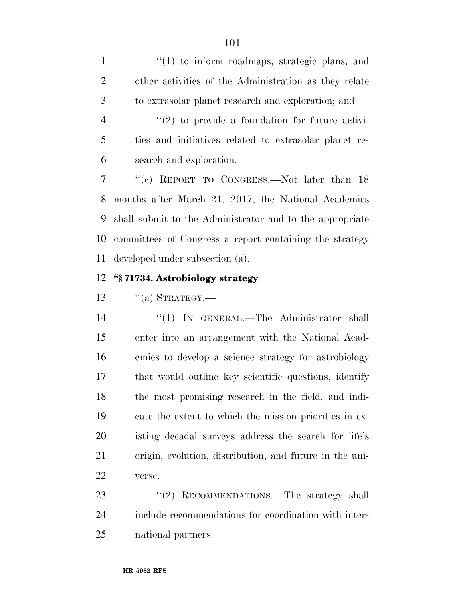1 ''(1) to inform roadmaps, strategic plans, and other activities of the Administration as they relate to extrasolar planet research and exploration; and

 $\frac{4}{2}$  ''(2) to provide a foundation for future activi- ties and initiatives related to extrasolar planet re-search and exploration.

 ''(c) REPORT TO CONGRESS.—Not later than 18 months after March 21, 2017, the National Academies shall submit to the Administrator and to the appropriate committees of Congress a report containing the strategy developed under subsection (a).

#### **''§ 71734. Astrobiology strategy**

13  $\frac{1}{2}$   $\frac{1}{2}$  STRATEGY.

14 "(1) IN GENERAL.—The Administrator shall enter into an arrangement with the National Acad- emies to develop a science strategy for astrobiology that would outline key scientific questions, identify the most promising research in the field, and indi- cate the extent to which the mission priorities in ex- isting decadal surveys address the search for life's origin, evolution, distribution, and future in the uni-verse.

23 "(2) RECOMMENDATIONS.—The strategy shall include recommendations for coordination with inter-national partners.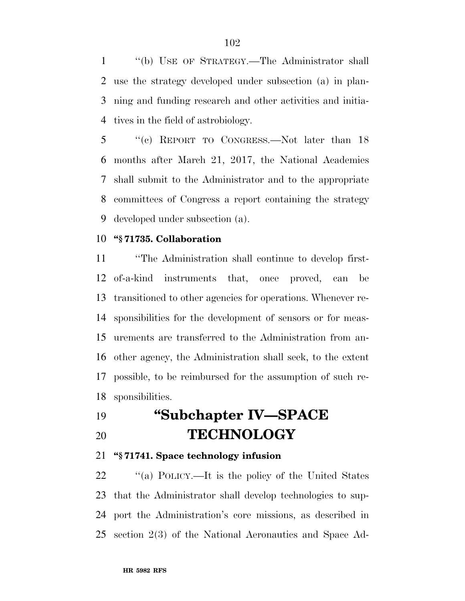''(b) USE OF STRATEGY.—The Administrator shall use the strategy developed under subsection (a) in plan- ning and funding research and other activities and initia-tives in the field of astrobiology.

 ''(c) REPORT TO CONGRESS.—Not later than 18 months after March 21, 2017, the National Academies shall submit to the Administrator and to the appropriate committees of Congress a report containing the strategy developed under subsection (a).

### **''§ 71735. Collaboration**

 ''The Administration shall continue to develop first- of-a-kind instruments that, once proved, can be transitioned to other agencies for operations. Whenever re- sponsibilities for the development of sensors or for meas- urements are transferred to the Administration from an- other agency, the Administration shall seek, to the extent possible, to be reimbursed for the assumption of such re-sponsibilities.

# **''Subchapter IV—SPACE TECHNOLOGY**

## **''§ 71741. Space technology infusion**

22 "(a) POLICY.—It is the policy of the United States that the Administrator shall develop technologies to sup- port the Administration's core missions, as described in section 2(3) of the National Aeronautics and Space Ad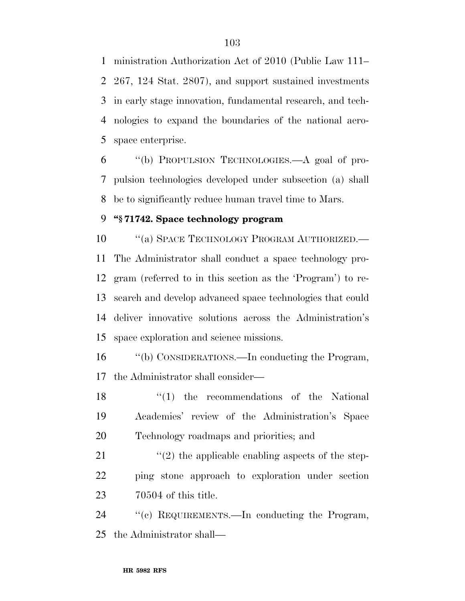ministration Authorization Act of 2010 (Public Law 111– 267, 124 Stat. 2807), and support sustained investments in early stage innovation, fundamental research, and tech- nologies to expand the boundaries of the national aero-space enterprise.

 ''(b) PROPULSION TECHNOLOGIES.—A goal of pro- pulsion technologies developed under subsection (a) shall be to significantly reduce human travel time to Mars.

## **''§ 71742. Space technology program**

10 "(a) SPACE TECHNOLOGY PROGRAM AUTHORIZED.— The Administrator shall conduct a space technology pro- gram (referred to in this section as the 'Program') to re- search and develop advanced space technologies that could deliver innovative solutions across the Administration's space exploration and science missions.

 ''(b) CONSIDERATIONS.—In conducting the Program, the Administrator shall consider—

18 ''(1) the recommendations of the National Academies' review of the Administration's Space Technology roadmaps and priorities; and

21  $\frac{1}{2}$  (2) the applicable enabling aspects of the step- ping stone approach to exploration under section 70504 of this title.

 ''(c) REQUIREMENTS.—In conducting the Program, the Administrator shall—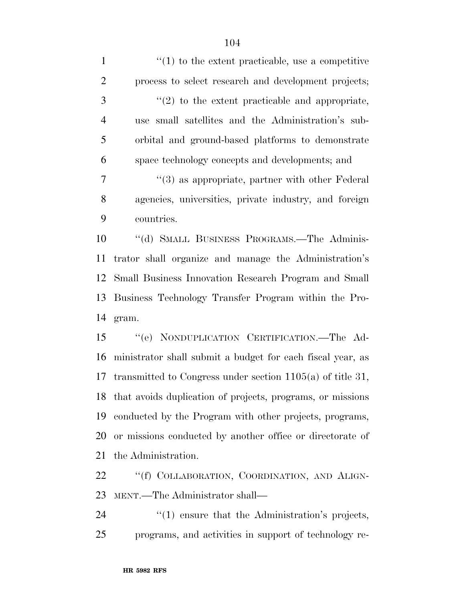| $\mathbf{1}$   | $\lq(1)$ to the extent practicable, use a competitive         |
|----------------|---------------------------------------------------------------|
| $\overline{2}$ | process to select research and development projects;          |
| 3              | $\lq(2)$ to the extent practicable and appropriate,           |
| $\overline{4}$ | use small satellites and the Administration's sub-            |
| 5              | orbital and ground-based platforms to demonstrate             |
| 6              | space technology concepts and developments; and               |
| 7              | $\cdot\cdot$ (3) as appropriate, partner with other Federal   |
| 8              | agencies, universities, private industry, and foreign         |
| 9              | countries.                                                    |
| 10             | "(d) SMALL BUSINESS PROGRAMS.—The Adminis-                    |
| 11             | trator shall organize and manage the Administration's         |
| 12             | Small Business Innovation Research Program and Small          |
| 13             | Business Technology Transfer Program within the Pro-          |
| 14             | gram.                                                         |
| 15             | "(e) NONDUPLICATION CERTIFICATION.—The Ad-                    |
| 16             | ministrator shall submit a budget for each fiscal year, as    |
| 17             | transmitted to Congress under section $1105(a)$ of title 31,  |
|                | 18 that avoids duplication of projects, programs, or missions |
| 19             | conducted by the Program with other projects, programs,       |
| 20             | or missions conducted by another office or directorate of     |
| 21             | the Administration.                                           |
| 22             | "(f) COLLABORATION COORDINATION AND ALIGN-                    |

22 "(f) COLLABORATION, COORDINATION, AND ALIGN MENT.—The Administrator shall—

24 ''(1) ensure that the Administration's projects, programs, and activities in support of technology re-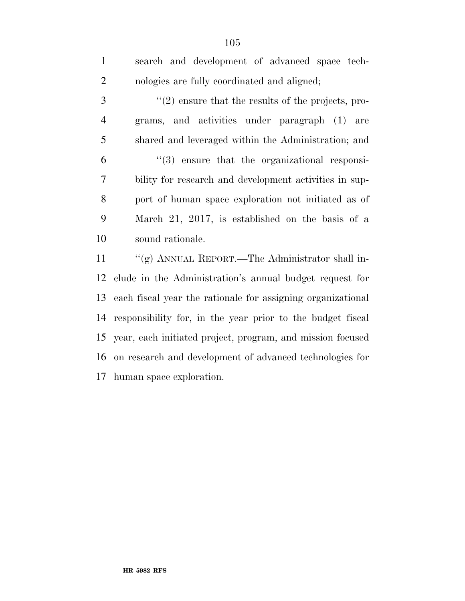| $\mathbf{1}$   | search and development of advanced space tech-                |
|----------------|---------------------------------------------------------------|
| $\overline{2}$ | nologies are fully coordinated and aligned;                   |
| 3              | $\lq(2)$ ensure that the results of the projects, pro-        |
| 4              | grams, and activities under paragraph (1) are                 |
| 5              | shared and leveraged within the Administration; and           |
| 6              | $\lq(3)$ ensure that the organizational responsi-             |
| 7              | bility for research and development activities in sup-        |
| 8              | port of human space exploration not initiated as of           |
| 9              | March 21, 2017, is established on the basis of a              |
| 10             | sound rationale.                                              |
| 11             | "(g) ANNUAL REPORT.—The Administrator shall in-               |
| 12             | clude in the Administration's annual budget request for       |
| 13             | each fiscal year the rationale for assigning organizational   |
| 14             | responsibility for, in the year prior to the budget fiscal    |
|                | 15 year, each initiated project, program, and mission focused |

 on research and development of advanced technologies for human space exploration.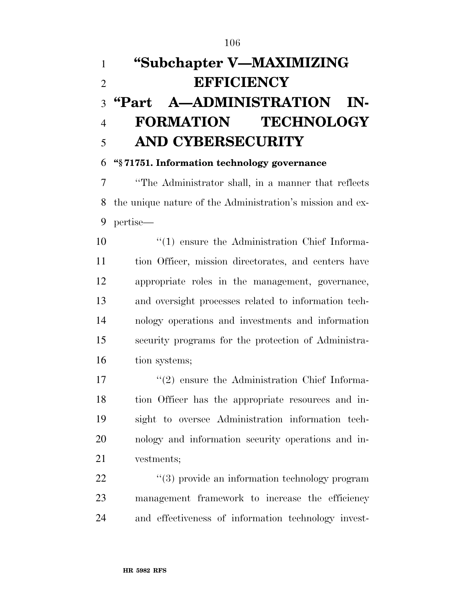# **''Subchapter V—MAXIMIZING EFFICIENCY ''Part A—ADMINISTRATION IN- FORMATION TECHNOLOGY AND CYBERSECURITY**

## **''§ 71751. Information technology governance**

 ''The Administrator shall, in a manner that reflects the unique nature of the Administration's mission and ex-pertise—

 ''(1) ensure the Administration Chief Informa- tion Officer, mission directorates, and centers have appropriate roles in the management, governance, and oversight processes related to information tech- nology operations and investments and information security programs for the protection of Administra-16 tion systems;

17 ''(2) ensure the Administration Chief Informa- tion Officer has the appropriate resources and in- sight to oversee Administration information tech- nology and information security operations and in-vestments;

22  $(3)$  provide an information technology program management framework to increase the efficiency and effectiveness of information technology invest-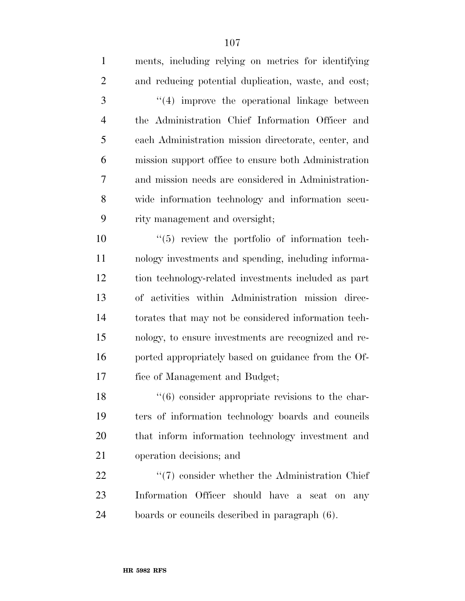| $\mathbf{1}$   | ments, including relying on metrics for identifying  |
|----------------|------------------------------------------------------|
| $\overline{2}$ | and reducing potential duplication, waste, and cost; |
| 3              | "(4) improve the operational linkage between         |
| $\overline{4}$ | the Administration Chief Information Officer and     |
| 5              | each Administration mission directorate, center, and |
| 6              | mission support office to ensure both Administration |
| 7              | and mission needs are considered in Administration-  |
| 8              | wide information technology and information secu-    |
| 9              | rity management and oversight;                       |
| 10             | $\lq(5)$ review the portfolio of information tech-   |
| 11             | nology investments and spending, including informa-  |
| 12             | tion technology-related investments included as part |
| 13             | of activities within Administration mission direc-   |
| 14             | torates that may not be considered information tech- |
| 15             | nology, to ensure investments are recognized and re- |
| 16             | ported appropriately based on guidance from the Of-  |
| 17             | fice of Management and Budget;                       |
| 18             | $\lq(6)$ consider appropriate revisions to the char- |
| 19             | ters of information technology boards and councils   |
| 20             | that inform information technology investment and    |

operation decisions; and

22 ''(7) consider whether the Administration Chief Information Officer should have a seat on any boards or councils described in paragraph (6).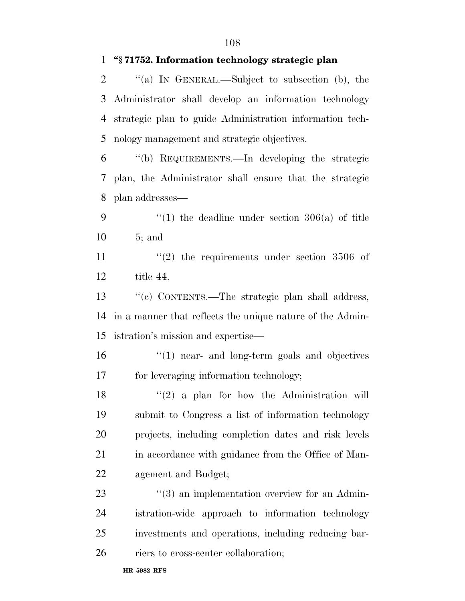### **''§ 71752. Information technology strategic plan**

 ''(a) IN GENERAL.—Subject to subsection (b), the Administrator shall develop an information technology strategic plan to guide Administration information tech-nology management and strategic objectives.

 ''(b) REQUIREMENTS.—In developing the strategic plan, the Administrator shall ensure that the strategic plan addresses—

9  $\frac{4}{1}$  the deadline under section 306(a) of title 5; and

11  $(2)$  the requirements under section 3506 of title 44.

 ''(c) CONTENTS.—The strategic plan shall address, in a manner that reflects the unique nature of the Admin-istration's mission and expertise—

 ''(1) near- and long-term goals and objectives for leveraging information technology;

18 ''(2) a plan for how the Administration will submit to Congress a list of information technology projects, including completion dates and risk levels 21 in accordance with guidance from the Office of Man-agement and Budget;

23 ''(3) an implementation overview for an Admin- istration-wide approach to information technology investments and operations, including reducing bar-

riers to cross-center collaboration;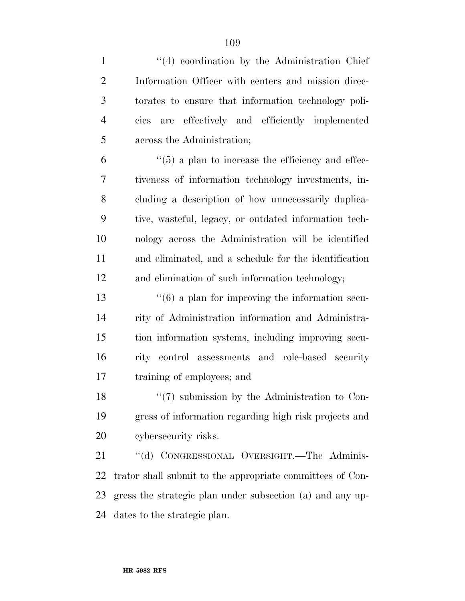| $\mathbf{1}$   | $\lq(4)$ coordination by the Administration Chief             |
|----------------|---------------------------------------------------------------|
| $\overline{2}$ | Information Officer with centers and mission direc-           |
| 3              | torates to ensure that information technology poli-           |
| $\overline{4}$ | are effectively and efficiently implemented<br>cies           |
| 5              | across the Administration;                                    |
| 6              | $\cdot\cdot$ (5) a plan to increase the efficiency and effec- |
| 7              | tiveness of information technology investments, in-           |
| 8              | cluding a description of how unnecessarily duplica-           |
| 9              | tive, wasteful, legacy, or outdated information tech-         |
| 10             | nology across the Administration will be identified           |
| 11             | and eliminated, and a schedule for the identification         |
| 12             | and elimination of such information technology;               |
| 13             | $\cdot\cdot$ (6) a plan for improving the information secu-   |
| 14             | rity of Administration information and Administra-            |
| 15             | tion information systems, including improving secu-           |
| 16             | rity control assessments and role-based security              |
| 17             | training of employees; and                                    |
| 18             | $\lq(7)$ submission by the Administration to Con-             |
| 19             | gress of information regarding high risk projects and         |
| 20             | cybersecurity risks.                                          |
| 21             | "(d) CONGRESSIONAL OVERSIGHT.—The Adminis-                    |
| 22             | trator shall submit to the appropriate committees of Con-     |
| 23             | gress the strategic plan under subsection (a) and any up-     |
| 24             | dates to the strategic plan.                                  |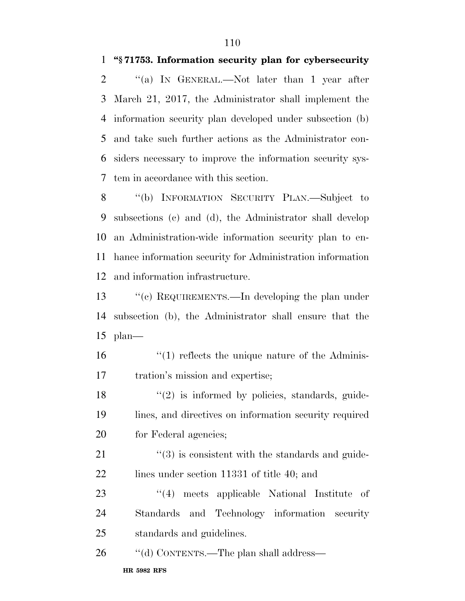### **''§ 71753. Information security plan for cybersecurity**

2 "(a) IN GENERAL.—Not later than 1 year after March 21, 2017, the Administrator shall implement the information security plan developed under subsection (b) and take such further actions as the Administrator con- siders necessary to improve the information security sys-tem in accordance with this section.

8 "(b) INFORMATION SECURITY PLAN.—Subject to subsections (c) and (d), the Administrator shall develop an Administration-wide information security plan to en- hance information security for Administration information and information infrastructure.

 ''(c) REQUIREMENTS.—In developing the plan under subsection (b), the Administrator shall ensure that the plan—

16 ''(1) reflects the unique nature of the Adminis-tration's mission and expertise;

 $\frac{18}{2}$  ''(2) is informed by policies, standards, guide- lines, and directives on information security required 20 for Federal agencies;

 ''(3) is consistent with the standards and guide-22 lines under section 11331 of title 40; and

23 ''(4) meets applicable National Institute of Standards and Technology information security standards and guidelines.

26 "(d) CONTENTS.—The plan shall address—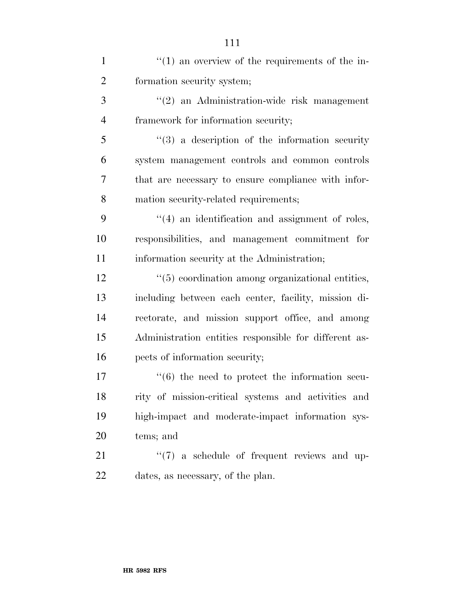| 1              | $\cdot\cdot\cdot(1)$ an overview of the requirements of the in- |
|----------------|-----------------------------------------------------------------|
| $\overline{2}$ | formation security system;                                      |
| 3              | "(2) an Administration-wide risk management                     |
| $\overline{4}$ | framework for information security;                             |
| 5              | $(3)$ a description of the information security                 |
| 6              | system management controls and common controls                  |
| 7              | that are necessary to ensure compliance with infor-             |
| 8              | mation security-related requirements;                           |
| 9              | $\cdot$ (4) an identification and assignment of roles,          |
| 10             | responsibilities, and management commitment for                 |
| 11             | information security at the Administration;                     |
| 12             | "(5) coordination among organizational entities,                |
| 13             | including between each center, facility, mission di-            |
| 14             | rectorate, and mission support office, and among                |
| 15             | Administration entities responsible for different as-           |
| 16             | pects of information security;                                  |
| 17             | $\cdot\cdot\cdot$ (6) the need to protect the information secu- |
| 18             | rity of mission-critical systems and activities and             |
| 19             | high-impact and moderate-impact information sys-                |
| 20             | tems; and                                                       |
| 21             | $\lq(7)$ a schedule of frequent reviews and up-                 |
| 22             | dates, as necessary, of the plan.                               |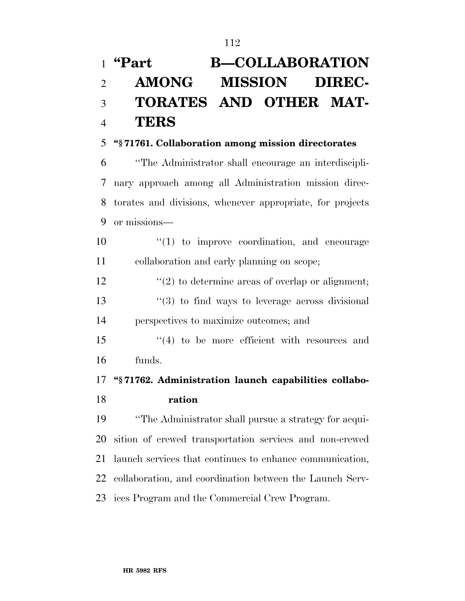# **''Part B—COLLABORATION AMONG MISSION DIREC- TORATES AND OTHER MAT-TERS**

### **''§ 71761. Collaboration among mission directorates**

 ''The Administrator shall encourage an interdiscipli- nary approach among all Administration mission direc- torates and divisions, whenever appropriate, for projects or missions—

10  $\frac{1}{2}$  (1) to improve coordination, and encourage collaboration and early planning on scope;

 $\frac{12}{2}$  ''(2) to determine areas of overlap or alignment;  $\frac{13}{13}$  ''(3) to find ways to leverage across divisional perspectives to maximize outcomes; and

 ''(4) to be more efficient with resources and funds.

## **''§ 71762. Administration launch capabilities collabo-ration**

 ''The Administrator shall pursue a strategy for acqui- sition of crewed transportation services and non-crewed launch services that continues to enhance communication, collaboration, and coordination between the Launch Serv-ices Program and the Commercial Crew Program.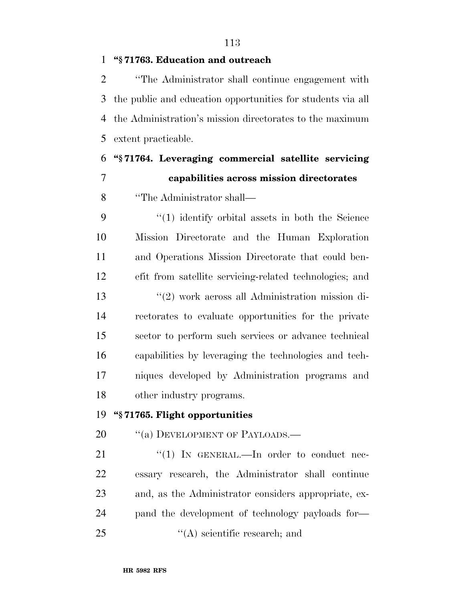### **''§ 71763. Education and outreach**

 ''The Administrator shall continue engagement with the public and education opportunities for students via all the Administration's mission directorates to the maximum extent practicable.

 **''§ 71764. Leveraging commercial satellite servicing capabilities across mission directorates** 

''The Administrator shall—

 ''(1) identify orbital assets in both the Science Mission Directorate and the Human Exploration and Operations Mission Directorate that could ben- efit from satellite servicing-related technologies; and ''(2) work across all Administration mission di- rectorates to evaluate opportunities for the private sector to perform such services or advance technical capabilities by leveraging the technologies and tech- niques developed by Administration programs and other industry programs.

#### **''§ 71765. Flight opportunities**

20 "(a) DEVELOPMENT OF PAYLOADS.—

21 "(1) IN GENERAL.—In order to conduct nec- essary research, the Administrator shall continue and, as the Administrator considers appropriate, ex- pand the development of technology payloads for—  $\mathcal{L}(\mathbf{A})$  scientific research; and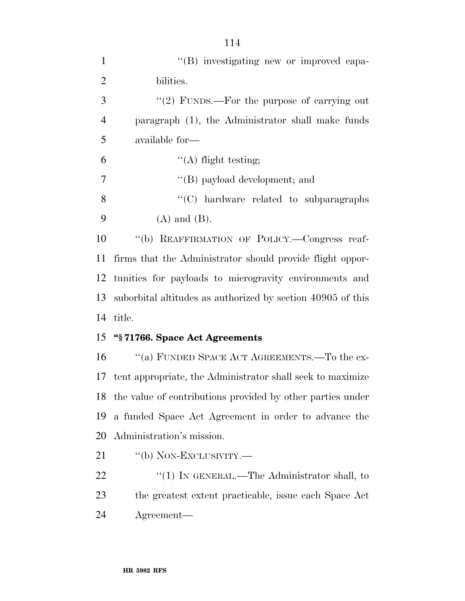| $\mathbf{1}$   | "(B) investigating new or improved capa-                      |
|----------------|---------------------------------------------------------------|
| $\overline{2}$ | bilities.                                                     |
| 3              | "(2) FUNDS.—For the purpose of carrying out                   |
| $\overline{4}$ | paragraph (1), the Administrator shall make funds             |
| 5              | available for—                                                |
| 6              | $\lq\lq$ flight testing;                                      |
| 7              | "(B) payload development; and                                 |
| 8              | $\cdot$ (C) hardware related to subparagraphs                 |
| 9              | $(A)$ and $(B)$ .                                             |
| 10             | "(b) REAFFIRMATION OF POLICY.—Congress reaf-                  |
| 11             | firms that the Administrator should provide flight oppor-     |
| 12             | tunities for payloads to microgravity environments and        |
| 13             | suborbital altitudes as authorized by section 40905 of this   |
| 14             | title.                                                        |
| 15             | "§71766. Space Act Agreements                                 |
| 16             | "(a) FUNDED SPACE ACT AGREEMENTS.—To the ex-                  |
|                | 17 tent appropriate, the Administrator shall seek to maximize |
| 18             | the value of contributions provided by other parties under    |
| 19             | a funded Space Act Agreement in order to advance the          |
| 20             | Administration's mission.                                     |
| 21             | "(b) NON-EXCLUSIVITY.—                                        |
| 22             | "(1) IN GENERAL.—The Administrator shall, to                  |
| 23             | the greatest extent practicable, issue each Space Act         |

Agreement—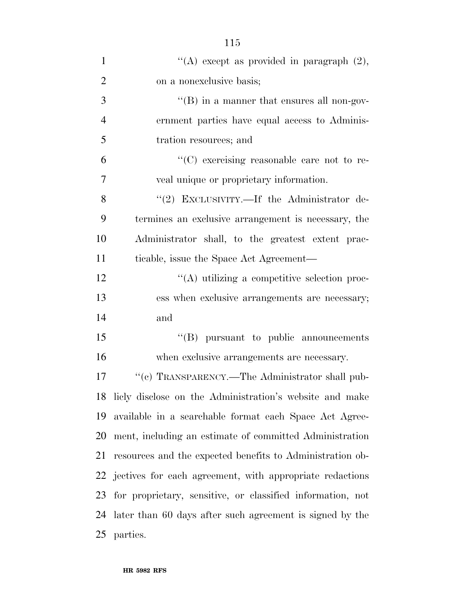| $\mathbf{1}$   | "(A) except as provided in paragraph $(2)$ ,                |
|----------------|-------------------------------------------------------------|
| $\overline{2}$ | on a nonexclusive basis;                                    |
| 3              | $\lq\lq (B)$ in a manner that ensures all non-gov-          |
| $\overline{4}$ | ernment parties have equal access to Adminis-               |
| 5              | tration resources; and                                      |
| 6              | $\lq\lq$ exercising reasonable care not to re-              |
| $\overline{7}$ | veal unique or proprietary information.                     |
| 8              | "(2) EXCLUSIVITY.—If the Administrator de-                  |
| 9              | termines an exclusive arrangement is necessary, the         |
| 10             | Administrator shall, to the greatest extent prac-           |
| 11             | ticable, issue the Space Act Agreement—                     |
| 12             | "(A) utilizing a competitive selection proc-                |
| 13             | ess when exclusive arrangements are necessary;              |
| 14             | and                                                         |
| 15             | $\lq\lq(B)$ pursuant to public announcements                |
| 16             | when exclusive arrangements are necessary.                  |
| 17             | "(c) TRANSPARENCY.—The Administrator shall pub-             |
|                | 18 licly disclose on the Administration's website and make  |
| 19             | available in a searchable format each Space Act Agree-      |
| 20             | ment, including an estimate of committed Administration     |
| 21             | resources and the expected benefits to Administration ob-   |
|                | 22 jectives for each agreement, with appropriate redactions |
| 23             | for proprietary, sensitive, or classified information, not  |
| 24             | later than 60 days after such agreement is signed by the    |
|                | 25 parties.                                                 |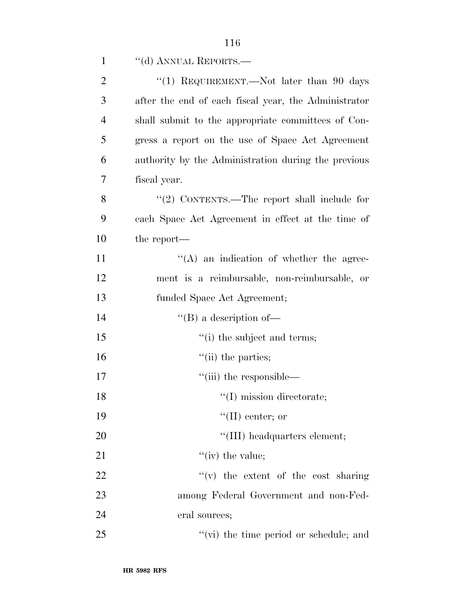| $\mathbf{1}$   | "(d) ANNUAL REPORTS.—                                |
|----------------|------------------------------------------------------|
| $\overline{2}$ | "(1) REQUIREMENT.—Not later than 90 days             |
| 3              | after the end of each fiscal year, the Administrator |
| $\overline{4}$ | shall submit to the appropriate committees of Con-   |
| 5              | gress a report on the use of Space Act Agreement     |
| 6              | authority by the Administration during the previous  |
| 7              | fiscal year.                                         |
| 8              | "(2) CONTENTS.—The report shall include for          |
| 9              | each Space Act Agreement in effect at the time of    |
| 10             | the report—                                          |
| 11             | $\lq\lq$ an indication of whether the agree-         |
| 12             | ment is a reimbursable, non-reimbursable, or         |
| 13             | funded Space Act Agreement;                          |
| 14             | "(B) a description of-                               |
| 15             | "(i) the subject and terms;                          |
| 16             | $\lq\lq$ (ii) the parties;                           |
| 17             | "(iii) the responsible—                              |
| 18             | $\lq\lq$ (I) mission directorate;                    |
| 19             | $\lq\lq$ (II) center; or                             |
| 20             | "(III) headquarters element;                         |
| 21             | "(iv) the value;                                     |
| 22             | $f'(v)$ the extent of the cost sharing               |
| 23             | among Federal Government and non-Fed-                |
| 24             | eral sources;                                        |
| 25             | "(vi) the time period or schedule; and               |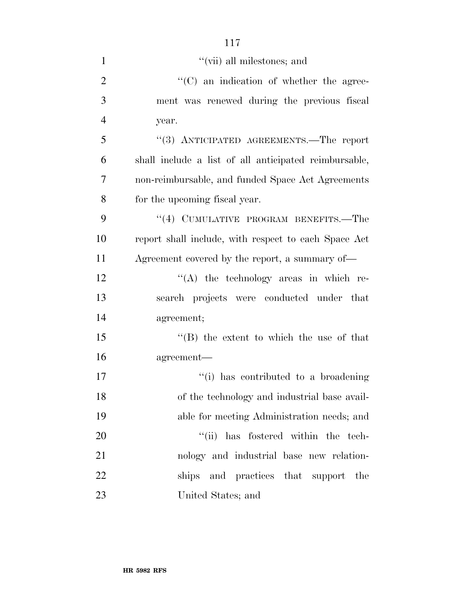| $\mathbf{1}$   | $``$ (vii) all milestones; and                        |
|----------------|-------------------------------------------------------|
| $\overline{2}$ | $\cdot$ (C) an indication of whether the agree-       |
| 3              | ment was renewed during the previous fiscal           |
| $\overline{4}$ | year.                                                 |
| 5              | "(3) ANTICIPATED AGREEMENTS.—The report               |
| 6              | shall include a list of all anticipated reimbursable, |
| $\overline{7}$ | non-reimbursable, and funded Space Act Agreements     |
| 8              | for the upcoming fiscal year.                         |
| 9              | "(4) CUMULATIVE PROGRAM BENEFITS.—The                 |
| 10             | report shall include, with respect to each Space Act  |
| 11             | Agreement covered by the report, a summary of—        |
| 12             | $\lq\lq$ the technology areas in which re-            |
| 13             | search projects were conducted under that             |
| 14             | agreement;                                            |
| 15             | $\lq\lq$ the extent to which the use of that          |
| 16             | agreement-                                            |
| 17             | "(i) has contributed to a broadening                  |
| 18             | of the technology and industrial base avail-          |
| 19             | able for meeting Administration needs; and            |
| 20             | "(ii) has fostered within the tech-                   |
| 21             | nology and industrial base new relation-              |
| 22             | ships and practices that support<br>the               |
| 23             | United States; and                                    |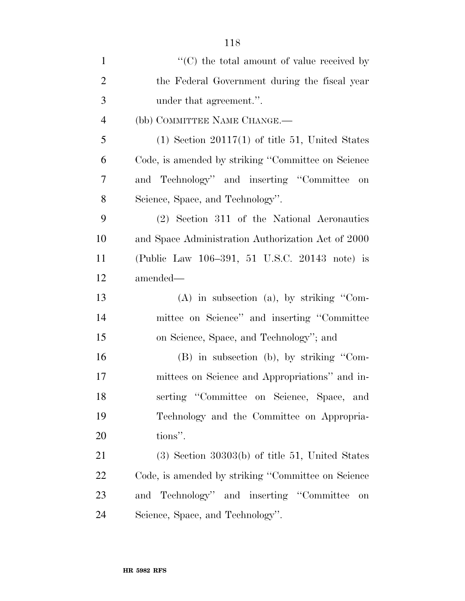| $\mathbf{1}$   | $\lq\lq$ <sup>*</sup> (C) the total amount of value received by |
|----------------|-----------------------------------------------------------------|
| $\overline{2}$ | the Federal Government during the fiscal year                   |
| 3              | under that agreement.".                                         |
| $\overline{4}$ | (bb) COMMITTEE NAME CHANGE.-                                    |
| 5              | $(1)$ Section 20117 $(1)$ of title 51, United States            |
| 6              | Code, is amended by striking "Committee on Science              |
| 7              | and Technology" and inserting "Committee<br>on                  |
| 8              | Science, Space, and Technology".                                |
| 9              | (2) Section 311 of the National Aeronautics                     |
| 10             | and Space Administration Authorization Act of 2000              |
| 11             | (Public Law 106–391, 51 U.S.C. 20143 note) is                   |
| 12             | amended—                                                        |
| 13             | $(A)$ in subsection $(a)$ , by striking "Com-                   |
| 14             | mittee on Science" and inserting "Committee                     |
| 15             | on Science, Space, and Technology"; and                         |
| 16             | (B) in subsection (b), by striking "Com-                        |
| 17             | mittees on Science and Appropriations" and in-                  |
| 18             | serting "Committee on Science, Space, and                       |
| 19             | Technology and the Committee on Appropria-                      |
| 20             | tions".                                                         |
| 21             | $(3)$ Section 30303(b) of title 51, United States               |
| 22             | Code, is amended by striking "Committee on Science"             |
| 23             | and Technology" and inserting "Committee<br>on                  |
| 24             | Science, Space, and Technology".                                |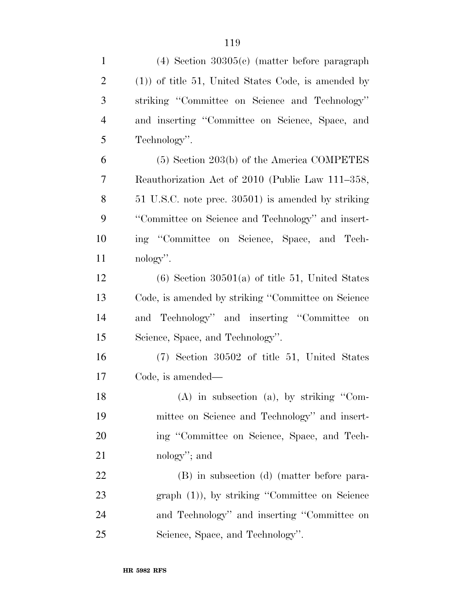| $\mathbf{1}$   | $(4)$ Section 30305 $(e)$ (matter before paragraph)    |
|----------------|--------------------------------------------------------|
| $\overline{2}$ | $(1)$ ) of title 51, United States Code, is amended by |
| 3              | striking "Committee on Science and Technology"         |
| $\overline{4}$ | and inserting "Committee on Science, Space, and        |
| 5              | Technology".                                           |
| 6              | $(5)$ Section 203(b) of the America COMPETES           |
| $\overline{7}$ | Reauthorization Act of 2010 (Public Law 111–358,       |
| 8              | 51 U.S.C. note prec. 30501) is amended by striking     |
| 9              | "Committee on Science and Technology" and insert-      |
| 10             | ing "Committee on Science, Space, and Tech-            |
| 11             | nology".                                               |
| 12             | $(6)$ Section 30501(a) of title 51, United States      |
| 13             | Code, is amended by striking "Committee on Science     |
| 14             | and Technology" and inserting "Committee<br>on         |
| 15             | Science, Space, and Technology".                       |
| 16             | $(7)$ Section 30502 of title 51, United States         |
| 17             | Code, is amended—                                      |
| 18             | $(A)$ in subsection $(a)$ , by striking "Com-          |
| 19             | mittee on Science and Technology" and insert-          |
| 20             | ing "Committee on Science, Space, and Tech-            |
| 21             | nology"; and                                           |
| 22             | (B) in subsection (d) (matter before para-             |
| 23             | $graph (1)$ , by striking "Committee on Science"       |
| 24             | and Technology" and inserting "Committee on            |
| 25             | Science, Space, and Technology".                       |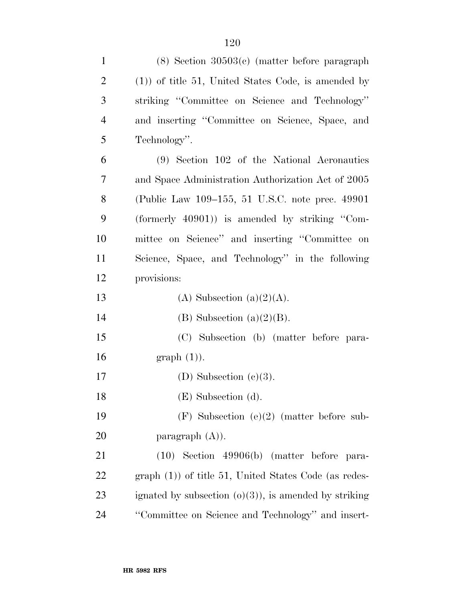| $\mathbf{1}$   | $(8)$ Section 30503 $(e)$ (matter before paragraph)     |
|----------------|---------------------------------------------------------|
| $\overline{c}$ | $(1)$ of title 51, United States Code, is amended by    |
| 3              | striking "Committee on Science and Technology"          |
| $\overline{4}$ | and inserting "Committee on Science, Space, and         |
| 5              | Technology".                                            |
| 6              | (9) Section 102 of the National Aeronautics             |
| 7              | and Space Administration Authorization Act of 2005      |
| 8              | (Public Law 109–155, 51 U.S.C. note prec. 49901)        |
| 9              | (formerly $40901$ ) is amended by striking "Com-        |
| 10             | mittee on Science" and inserting "Committee on          |
| 11             | Science, Space, and Technology" in the following        |
| 12             | provisions:                                             |
| 13             | (A) Subsection (a) $(2)(A)$ .                           |
| 14             | $(B)$ Subsection $(a)(2)(B)$ .                          |
| 15             | (C) Subsection (b) (matter before para-                 |
| 16             | $graph(1)$ .                                            |
| 17             | (D) Subsection $(e)(3)$ .                               |
| 18             | (E) Subsection (d).                                     |
| 19             | $(F)$ Subsection (e)(2) (matter before sub-             |
| <b>20</b>      | paragraph $(A)$ ).                                      |
| 21             | $(10)$ Section 49906(b) (matter before para-            |
| 22             | $graph(1)$ of title 51, United States Code (as redes-   |
| 23             | ignated by subsection $(0)(3)$ , is amended by striking |
| 24             | "Committee on Science and Technology" and insert-       |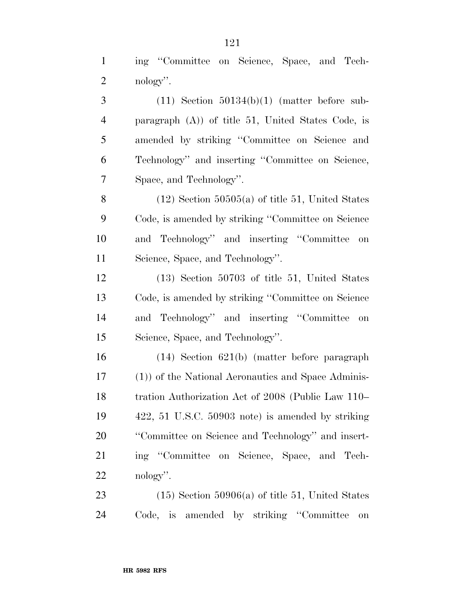ing ''Committee on Science, Space, and Tech- nology''.  $3 \qquad (11)$  Section  $50134(b)(1)$  (matter before sub- paragraph (A)) of title 51, United States Code, is amended by striking ''Committee on Science and Technology'' and inserting ''Committee on Science, Space, and Technology''. 8 (12) Section  $50505(a)$  of title 51, United States Code, is amended by striking ''Committee on Science and Technology'' and inserting ''Committee on Science, Space, and Technology''. (13) Section 50703 of title 51, United States Code, is amended by striking ''Committee on Science and Technology'' and inserting ''Committee on Science, Space, and Technology''. (14) Section 621(b) (matter before paragraph

 (1)) of the National Aeronautics and Space Adminis- tration Authorization Act of 2008 (Public Law 110– 422, 51 U.S.C. 50903 note) is amended by striking ''Committee on Science and Technology'' and insert- ing ''Committee on Science, Space, and Tech-nology''.

23 (15) Section  $50906(a)$  of title 51, United States Code, is amended by striking ''Committee on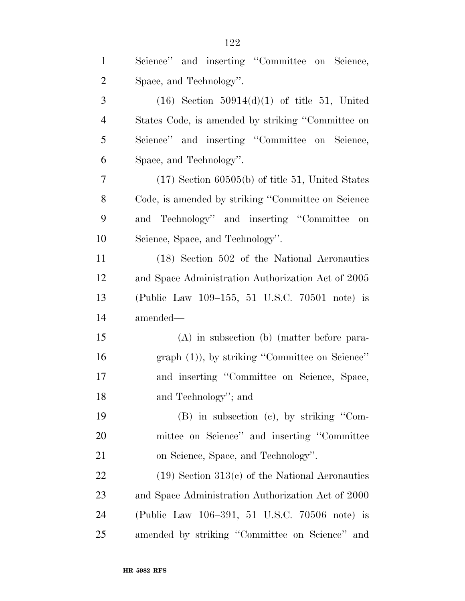| $\mathbf{1}$   | Science" and inserting "Committee on Science,       |
|----------------|-----------------------------------------------------|
| $\overline{2}$ | Space, and Technology".                             |
| 3              | $(16)$ Section $50914(d)(1)$ of title 51, United    |
| $\overline{4}$ | States Code, is amended by striking "Committee on   |
| 5              | Science" and inserting "Committee on Science,       |
| 6              | Space, and Technology".                             |
| $\overline{7}$ | $(17)$ Section 60505(b) of title 51, United States  |
| 8              | Code, is amended by striking "Committee on Science" |
| 9              | and Technology" and inserting "Committee on         |
| 10             | Science, Space, and Technology".                    |
| 11             | (18) Section 502 of the National Aeronautics        |
| 12             | and Space Administration Authorization Act of 2005  |
| 13             | (Public Law 109–155, 51 U.S.C. 70501 note) is       |
| 14             | amended—                                            |
| 15             | $(A)$ in subsection $(b)$ (matter before para-      |
| 16             | $graph (1)$ , by striking "Committee on Science"    |
| 17             | and inserting "Committee on Science, Space,         |
| 18             | and Technology"; and                                |
| 19             | $(B)$ in subsection $(c)$ , by striking "Com-       |
| 20             | mittee on Science" and inserting "Committee         |
| 21             | on Science, Space, and Technology".                 |
| 22             | $(19)$ Section 313(c) of the National Aeronautics   |
| 23             | and Space Administration Authorization Act of 2000  |
| 24             | (Public Law 106–391, 51 U.S.C. 70506 note) is       |
| 25             | amended by striking "Committee on Science" and      |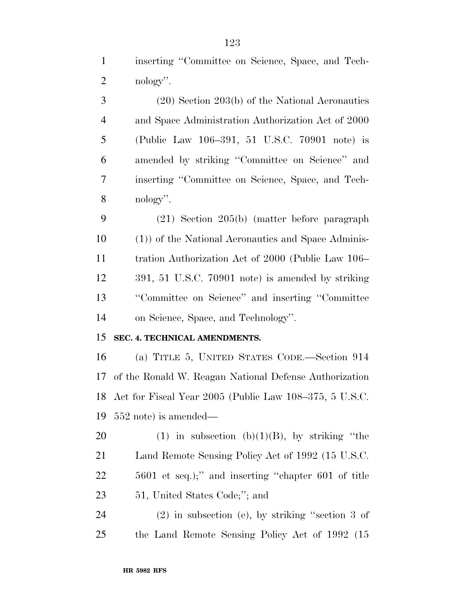inserting ''Committee on Science, Space, and Tech-2 nology".

 (20) Section 203(b) of the National Aeronautics and Space Administration Authorization Act of 2000 (Public Law 106–391, 51 U.S.C. 70901 note) is amended by striking ''Committee on Science'' and inserting ''Committee on Science, Space, and Tech- nology''. (21) Section 205(b) (matter before paragraph (1)) of the National Aeronautics and Space Adminis- tration Authorization Act of 2000 (Public Law 106– 391, 51 U.S.C. 70901 note) is amended by striking ''Committee on Science'' and inserting ''Committee on Science, Space, and Technology''. **SEC. 4. TECHNICAL AMENDMENTS.**  (a) TITLE 5, UNITED STATES CODE.—Section 914 of the Ronald W. Reagan National Defense Authorization Act for Fiscal Year 2005 (Public Law 108–375, 5 U.S.C. 552 note) is amended— 20 (1) in subsection  $(b)(1)(B)$ , by striking "the Land Remote Sensing Policy Act of 1992 (15 U.S.C.

 5601 et seq.);'' and inserting ''chapter 601 of title 51, United States Code;''; and

 (2) in subsection (e), by striking ''section 3 of the Land Remote Sensing Policy Act of 1992 (15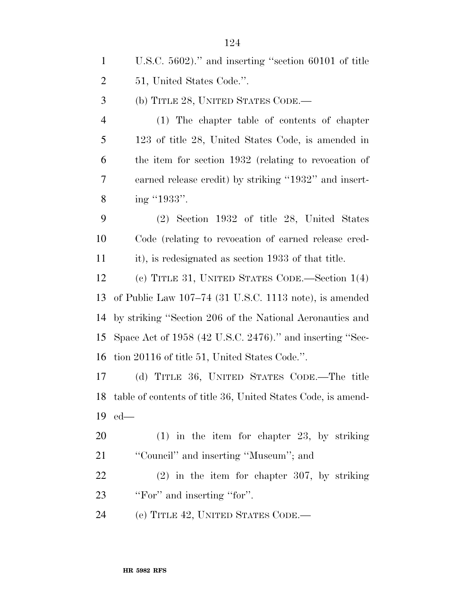U.S.C. 5602).'' and inserting ''section 60101 of title 51, United States Code.''.

(b) TITLE 28, UNITED STATES CODE.—

 (1) The chapter table of contents of chapter 123 of title 28, United States Code, is amended in the item for section 1932 (relating to revocation of earned release credit) by striking ''1932'' and insert-8 ing "1933".

 (2) Section 1932 of title 28, United States Code (relating to revocation of earned release cred-it), is redesignated as section 1933 of that title.

 (c) TITLE 31, UNITED STATES CODE.—Section 1(4) of Public Law 107–74 (31 U.S.C. 1113 note), is amended by striking ''Section 206 of the National Aeronautics and Space Act of 1958 (42 U.S.C. 2476).'' and inserting ''Sec-tion 20116 of title 51, United States Code.''.

 (d) TITLE 36, UNITED STATES CODE.—The title table of contents of title 36, United States Code, is amend-ed—

 (1) in the item for chapter 23, by striking 21 "Council" and inserting "Museum"; and

 (2) in the item for chapter 307, by striking 23 "For" and inserting "for".

(e) TITLE 42, UNITED STATES CODE.—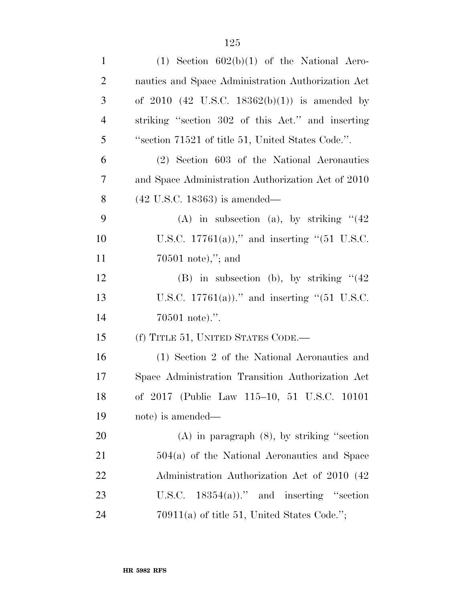| $\mathbf{1}$   | $(1)$ Section $602(b)(1)$ of the National Aero-    |
|----------------|----------------------------------------------------|
| $\overline{2}$ | nautics and Space Administration Authorization Act |
| 3              | of $2010$ (42 U.S.C. 18362(b)(1)) is amended by    |
| $\overline{4}$ | striking "section 302 of this Act." and inserting  |
| 5              | "section 71521 of title 51, United States Code.".  |
| 6              | (2) Section 603 of the National Aeronautics        |
| $\overline{7}$ | and Space Administration Authorization Act of 2010 |
| 8              | $(42 \text{ U.S.C. } 18363)$ is amended—           |
| 9              | (A) in subsection (a), by striking $(42)$          |
| 10             | U.S.C. 17761(a))," and inserting "(51 U.S.C.       |
| 11             | $70501 \text{ note}$ ,"; and                       |
| 12             | (B) in subsection (b), by striking $(42)$          |
| 13             | U.S.C. 17761(a))." and inserting "(51 U.S.C.       |
| 14             | $70501$ note).".                                   |
| 15             | (f) TITLE 51, UNITED STATES CODE.—                 |
| 16             | (1) Section 2 of the National Aeronautics and      |
| 17             | Space Administration Transition Authorization Act  |
| 18             | of 2017 (Public Law 115-10, 51 U.S.C. 10101        |
| 19             | note) is amended—                                  |
| <b>20</b>      | $(A)$ in paragraph $(8)$ , by striking "section"   |
| 21             | $504(a)$ of the National Aeronautics and Space     |
| 22             | Administration Authorization Act of 2010 (42)      |
| 23             | U.S.C. $18354(a)$ ." and inserting "section"       |
| 24             | $70911(a)$ of title 51, United States Code.";      |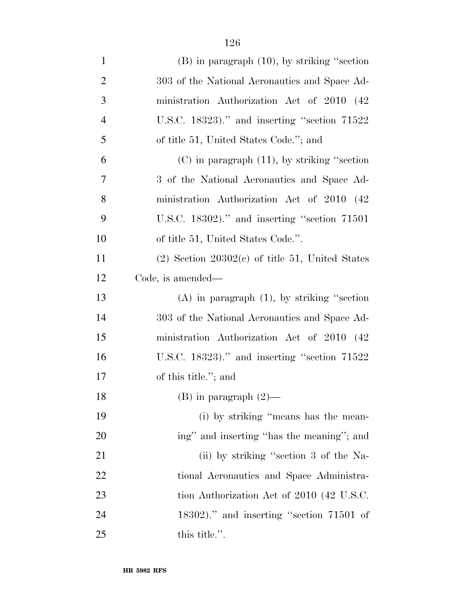| $\mathbf{1}$   | $(B)$ in paragraph $(10)$ , by striking "section     |
|----------------|------------------------------------------------------|
| $\overline{c}$ | 303 of the National Aeronautics and Space Ad-        |
| 3              | ministration Authorization Act of 2010 (42)          |
| $\overline{4}$ | U.S.C. 18323)." and inserting "section $71522$       |
| 5              | of title 51, United States Code."; and               |
| 6              | $(C)$ in paragraph $(11)$ , by striking "section"    |
| 7              | 3 of the National Aeronautics and Space Ad-          |
| 8              | ministration Authorization Act of 2010 (42)          |
| 9              | U.S.C. 18302)." and inserting "section 71501         |
| 10             | of title 51, United States Code.".                   |
| 11             | $(2)$ Section 20302 $(e)$ of title 51, United States |
| 12             | Code, is amended—                                    |
| 13             | $(A)$ in paragraph $(1)$ , by striking "section"     |
| 14             | 303 of the National Aeronautics and Space Ad-        |
| 15             | ministration Authorization Act of 2010 (42           |
| 16             | U.S.C. $18323$ )." and inserting "section $71522$    |
| 17             | of this title."; and                                 |
| 18             | $(B)$ in paragraph $(2)$ —                           |
| 19             | (i) by striking "means has the mean-                 |
| 20             | ing" and inserting "has the meaning"; and            |
| 21             | (ii) by striking "section 3 of the Na-               |
| 22             | tional Aeronautics and Space Administra-             |
| 23             | tion Authorization Act of 2010 (42 U.S.C.            |
| 24             | $18302$ ." and inserting "section 71501 of           |
| 25             | this title.".                                        |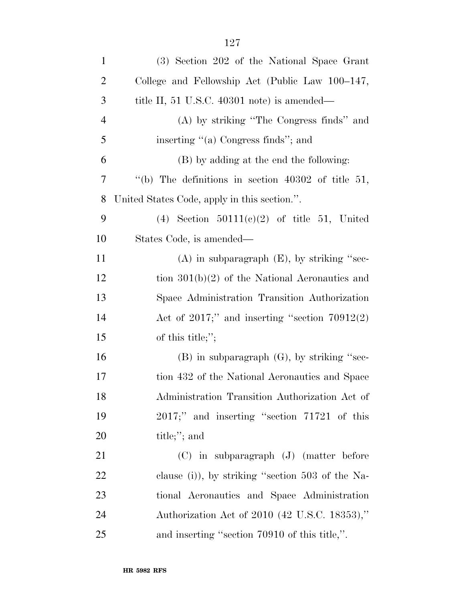| $\mathbf{1}$   | (3) Section 202 of the National Space Grant          |
|----------------|------------------------------------------------------|
| $\overline{2}$ | College and Fellowship Act (Public Law 100–147,      |
| 3              | title II, 51 U.S.C. 40301 note) is amended—          |
| 4              | (A) by striking "The Congress finds" and             |
| 5              | inserting "(a) Congress finds"; and                  |
| 6              | (B) by adding at the end the following:              |
| 7              | "(b) The definitions in section $40302$ of title 51, |
| 8              | United States Code, apply in this section.".         |
| 9              | (4) Section $50111(c)(2)$ of title 51, United        |
| 10             | States Code, is amended—                             |
| 11             | $(A)$ in subparagraph $(E)$ , by striking "sec-      |
| 12             | tion $301(b)(2)$ of the National Aeronautics and     |
| 13             | Space Administration Transition Authorization        |
| 14             | Act of $2017$ ;" and inserting "section $70912(2)$   |
| 15             | of this title;";                                     |
| 16             | $(B)$ in subparagraph $(G)$ , by striking "sec-      |
| 17             | tion 432 of the National Aeronautics and Space       |
| 18             | Administration Transition Authorization Act of       |
| 19             | $2017$ ;" and inserting "section $71721$ of this     |
| 20             | title;"; and                                         |
| 21             | $(C)$ in subparagraph $(J)$ (matter before           |
| 22             | clause (i)), by striking "section 503 of the Na-     |
| 23             | tional Aeronautics and Space Administration          |
| 24             | Authorization Act of 2010 (42 U.S.C. 18353),"        |
| $25\,$         | and inserting "section 70910 of this title,".        |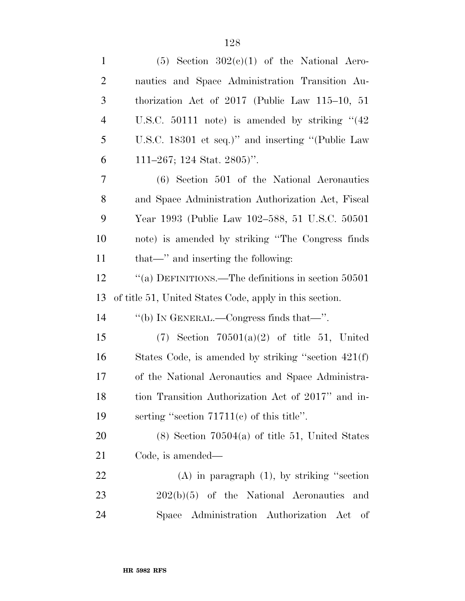| $\mathbf{1}$   | $(5)$ Section $302(c)(1)$ of the National Aero-         |
|----------------|---------------------------------------------------------|
| $\overline{c}$ | nautics and Space Administration Transition Au-         |
| 3              | thorization Act of $2017$ (Public Law $115-10$ , 51     |
| $\overline{4}$ | U.S.C. $50111$ note) is amended by striking " $(42)$    |
| 5              | U.S.C. 18301 et seq.)" and inserting "(Public Law       |
| 6              | 111–267; 124 Stat. 2805)".                              |
| 7              | (6) Section 501 of the National Aeronautics             |
| 8              | and Space Administration Authorization Act, Fiscal      |
| 9              | Year 1993 (Public Law 102–588, 51 U.S.C. 50501          |
| 10             | note) is amended by striking "The Congress finds        |
| 11             | that—" and inserting the following:                     |
| 12             | "(a) DEFINITIONS.—The definitions in section 50501      |
|                |                                                         |
| 13             | of title 51, United States Code, apply in this section. |
| 14             | "(b) IN GENERAL.—Congress finds that—".                 |
| 15             | $(7)$ Section $70501(a)(2)$ of title 51, United         |
| 16             | States Code, is amended by striking "section $421(f)$   |
| 17             | of the National Aeronautics and Space Administra-       |
| 18             | tion Transition Authorization Act of 2017" and in-      |
| 19             | serting "section $71711(e)$ of this title".             |
| 20             | $(8)$ Section 70504(a) of title 51, United States       |
| 21             | Code, is amended—                                       |
| 22             | $(A)$ in paragraph $(1)$ , by striking "section"        |
| 23             | $202(b)(5)$ of the National Aeronautics and             |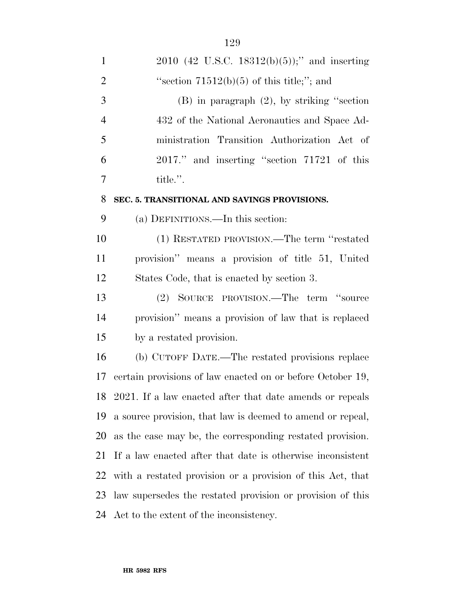| $\mathbf{1}$   | $2010$ (42 U.S.C. 18312(b)(5));" and inserting              |  |  |
|----------------|-------------------------------------------------------------|--|--|
| $\overline{2}$ | "section $71512(b)(5)$ of this title;"; and                 |  |  |
| 3              | $(B)$ in paragraph $(2)$ , by striking "section"            |  |  |
| $\overline{4}$ | 432 of the National Aeronautics and Space Ad-               |  |  |
| 5              | ministration Transition Authorization Act of                |  |  |
| 6              | 2017." and inserting "section 71721 of this                 |  |  |
| 7              | title.".                                                    |  |  |
| 8              | SEC. 5. TRANSITIONAL AND SAVINGS PROVISIONS.                |  |  |
| 9              | (a) DEFINITIONS.—In this section:                           |  |  |
| 10             | (1) RESTATED PROVISION.—The term "restated                  |  |  |
| 11             | provision" means a provision of title 51, United            |  |  |
| 12             | States Code, that is enacted by section 3.                  |  |  |
| 13             | (2) SOURCE PROVISION.—The term "source                      |  |  |
| 14             | provision" means a provision of law that is replaced        |  |  |
| 15             | by a restated provision.                                    |  |  |
| 16             | (b) CUTOFF DATE.—The restated provisions replace            |  |  |
| 17             | certain provisions of law enacted on or before October 19,  |  |  |
|                | 18 2021. If a law enacted after that date amends or repeals |  |  |
| 19             | a source provision, that law is deemed to amend or repeal,  |  |  |
| 20             | as the case may be, the corresponding restated provision.   |  |  |
| 21             | If a law enacted after that date is otherwise inconsistent  |  |  |
| 22             | with a restated provision or a provision of this Act, that  |  |  |
| 23             | law supersedes the restated provision or provision of this  |  |  |
| 24             | Act to the extent of the inconsistency.                     |  |  |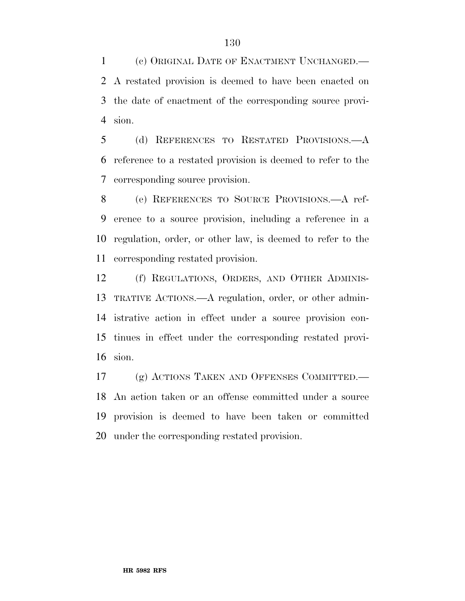(c) ORIGINAL DATE OF ENACTMENT UNCHANGED.— A restated provision is deemed to have been enacted on the date of enactment of the corresponding source provi-sion.

 (d) REFERENCES TO RESTATED PROVISIONS.—A reference to a restated provision is deemed to refer to the corresponding source provision.

 (e) REFERENCES TO SOURCE PROVISIONS.—A ref- erence to a source provision, including a reference in a regulation, order, or other law, is deemed to refer to the corresponding restated provision.

 (f) REGULATIONS, ORDERS, AND OTHER ADMINIS- TRATIVE ACTIONS.—A regulation, order, or other admin- istrative action in effect under a source provision con- tinues in effect under the corresponding restated provi-sion.

 (g) ACTIONS TAKEN AND OFFENSES COMMITTED.— An action taken or an offense committed under a source provision is deemed to have been taken or committed under the corresponding restated provision.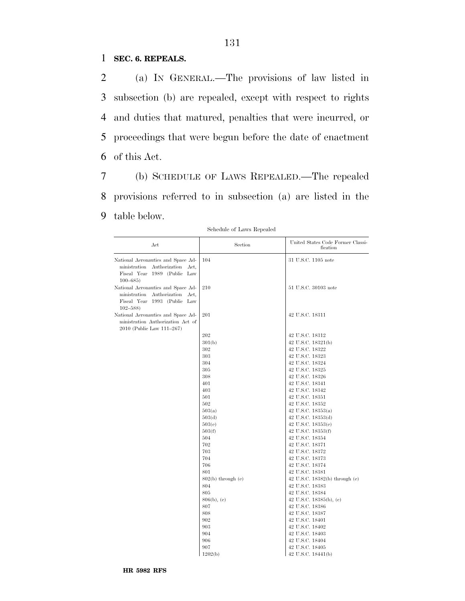### 1 **SEC. 6. REPEALS.**

 (a) IN GENERAL.—The provisions of law listed in subsection (b) are repealed, except with respect to rights and duties that matured, penalties that were incurred, or proceedings that were begun before the date of enactment of this Act.

131

7 (b) SCHEDULE OF LAWS REPEALED.—The repealed 8 provisions referred to in subsection (a) are listed in the 9 table below.

| Act                                                                                                                        | Section                | United States Code Former Classi-<br>fication |
|----------------------------------------------------------------------------------------------------------------------------|------------------------|-----------------------------------------------|
| National Aeronauties and Space Ad-<br>Authorization<br>ministration<br>Act,<br>Fiscal Year 1989 (Public Law<br>$100 - 685$ | 104                    | 31 U.S.C. 1105 note                           |
| National Aeronauties and Space Ad-<br>ministration<br>Authorization<br>Act,<br>Fiscal Year 1993 (Public Law<br>$102 - 588$ | 210                    | 51 U.S.C. 30103 note                          |
| National Aeronauties and Space Ad-<br>ministration Authorization Act of<br>2010 (Public Law 111-267)                       | 201                    | 42 U.S.C. 18311                               |
|                                                                                                                            | 202                    | 42 U.S.C. 18312                               |
|                                                                                                                            | 301(b)                 | 42 U.S.C. 18321(b)                            |
|                                                                                                                            | 302                    | 42 U.S.C. 18322                               |
|                                                                                                                            | 303                    | 42 U.S.C. 18323                               |
|                                                                                                                            | 304                    | 42 U.S.C. 18324                               |
|                                                                                                                            | 305                    | 42 U.S.C. 18325                               |
|                                                                                                                            | 308                    | 42 U.S.C. 18326                               |
|                                                                                                                            | 401                    | 42 U.S.C. 18341                               |
|                                                                                                                            | 403                    | 42 U.S.C. 18342                               |
|                                                                                                                            | 501                    | 42 U.S.C. 18351                               |
|                                                                                                                            | 502                    | 42 U.S.C. 18352                               |
|                                                                                                                            | 503(a)                 | 42 U.S.C. $18353(a)$                          |
|                                                                                                                            | 503(d)                 | 42 U.S.C. 18353(d)                            |
|                                                                                                                            | 503(e)                 | 42 U.S.C. $18353(e)$                          |
|                                                                                                                            | 503(f)                 | 42 U.S.C. 18353(f)                            |
|                                                                                                                            | 504                    | 42 U.S.C. 18354                               |
|                                                                                                                            | 702                    | 42 U.S.C. 18371                               |
|                                                                                                                            | 703                    | 42 U.S.C. 18372                               |
|                                                                                                                            | 704                    | 42 U.S.C. 18373                               |
|                                                                                                                            | 706                    | 42 U.S.C. 18374                               |
|                                                                                                                            | 801                    | 42 U.S.C. 18381                               |
|                                                                                                                            | $802(b)$ through $(e)$ | 42 U.S.C. $18382(b)$ through (e)              |
|                                                                                                                            | 804                    | 42 U.S.C. 18383                               |
|                                                                                                                            | 805                    | 42 U.S.C. 18384                               |
|                                                                                                                            | $806(b)$ , (e)         | 42 U.S.C. $18385(b)$ , (e)                    |
|                                                                                                                            | 807                    | 42 U.S.C. 18386                               |
|                                                                                                                            | 808                    | 42 U.S.C. 18387                               |
|                                                                                                                            | 902                    | 42 U.S.C. 18401                               |
|                                                                                                                            | 903                    | 42 U.S.C. 18402                               |
|                                                                                                                            | 904                    | 42 U.S.C. 18403                               |
|                                                                                                                            | 906                    | 42 U.S.C. 18404                               |
|                                                                                                                            | 907                    | 42 U.S.C. 18405                               |
|                                                                                                                            | 1202(b)                | 42 U.S.C. 18441(b)                            |

Schedule of Laws Repealed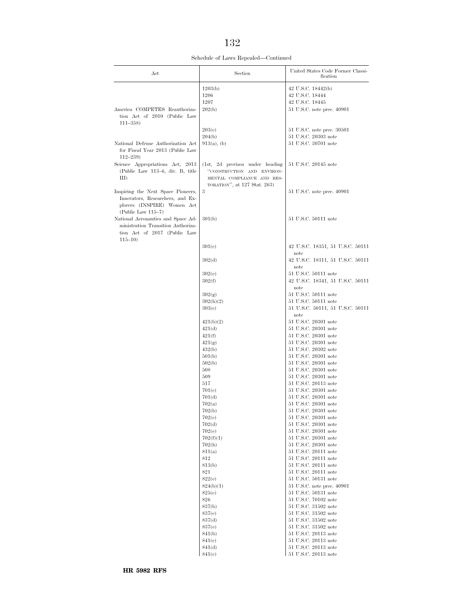Schedule of Laws Repealed—Continued

| Act                                                                                     | Section                                                    | United States Code Former Classi-<br>fication      |
|-----------------------------------------------------------------------------------------|------------------------------------------------------------|----------------------------------------------------|
|                                                                                         | 1203(b)                                                    | 42 U.S.C. 18442(b)                                 |
|                                                                                         | 1206                                                       | 42 U.S.C. 18444                                    |
|                                                                                         | 1207                                                       | 42 U.S.C. 18445                                    |
| America COMPETES Reauthoriza-<br>tion Act of 2010 (Public Law<br>$111 - 358$            | 202(b)                                                     | 51 U.S.C. note prec. 40901                         |
|                                                                                         | 203(e)                                                     | 51 U.S.C. note prec. 30501                         |
|                                                                                         | 204(b)                                                     | 51 U.S.C. 20303 note                               |
| National Defense Authorization Act<br>for Fiscal Year 2013 (Public Law<br>$112 - 239$   | $913(a)$ , (b)                                             | 51 U.S.C. 30701 note                               |
| Science Appropriations Act, 2013                                                        | (1st, 2d provisos under heading                            | 51 U.S.C. 20145 note                               |
| (Public Law 113-6, div. B, title                                                        | "CONSTRUCTION AND ENVIRON-                                 |                                                    |
| $\rm III$                                                                               | MENTAL COMPLIANCE AND RES-<br>TORATION", at 127 Stat. 263) |                                                    |
| Inspiring the Next Space Pioneers,                                                      | 3                                                          | 51 U.S.C. note prec. 40901                         |
| Innovators, Researchers, and Ex-<br>plorers (INSPIRE) Women Act<br>$(Public Law 115-7)$ |                                                            |                                                    |
| National Aeronauties and Space Ad-                                                      | 301(b)                                                     | 51 U.S.C. 50111 note                               |
| ministration Transition Authoriza-<br>tion Act of 2017 (Public Law                      |                                                            |                                                    |
| $115 - 10$                                                                              | 301(e)                                                     | 42 U.S.C. 18351, 51 U.S.C. 50111<br>note           |
|                                                                                         | 302(d)                                                     | 42 U.S.C. 18311, 51 U.S.C. 50111<br>note           |
|                                                                                         | 302(e)                                                     | 51 U.S.C. 50111 note                               |
|                                                                                         | 302(f)                                                     | 42 U.S.C. 18341, 51 U.S.C. 50111<br>note           |
|                                                                                         | 302(g)                                                     | 51 U.S.C. 50111 note<br>51 U.S.C. 50111 note       |
|                                                                                         | 302(h)(2)<br>303(e)                                        | 51 U.S.C. 50111, 51 U.S.C. 50111                   |
|                                                                                         |                                                            | note                                               |
|                                                                                         | 421(b)(2)                                                  | 51 U.S.C. 20301 note                               |
|                                                                                         | 421(d)                                                     | 51 U.S.C. 20301 note                               |
|                                                                                         | 421(f)<br>421(g)                                           | 51 U.S.C. 20301 note<br>51 U.S.C. 20301 note       |
|                                                                                         | 432(b)                                                     | 51 U.S.C. 20302 note                               |
|                                                                                         | 501(b)                                                     | 51 U.S.C. 20301 note                               |
|                                                                                         | 502(b)                                                     | 51 U.S.C. 20301 note                               |
|                                                                                         | 508<br>509                                                 | 51 U.S.C. 20301 note<br>51 U.S.C. 20301 note       |
|                                                                                         | 517                                                        | 51 U.S.C. 20113 note                               |
|                                                                                         | 701(e)                                                     | 51 U.S.C. 20301 note                               |
|                                                                                         | 701(d)                                                     | 51 U.S.C. 20301 note                               |
|                                                                                         | 702(a)<br>702(b)                                           | 51 U.S.C. 20301 note<br>51 U.S.C. 20301 note       |
|                                                                                         | 702(e)                                                     | 51 U.S.C. 20301 note                               |
|                                                                                         | 702(d)                                                     | 51 U.S.C. 20301 note                               |
|                                                                                         | 702(e)                                                     | 51 U.S.C. 20301 note                               |
|                                                                                         | 702(f)(1)                                                  | 51 U.S.C. 20301 note                               |
|                                                                                         | 702(h)<br>811(a)                                           | 51 U.S.C. 20301 note<br>51 U.S.C. 20111 note       |
|                                                                                         | 812                                                        | $51$ U.S.C. $20111$ note                           |
|                                                                                         | 813(b)                                                     | $51$ U.S.C. $20111$ note                           |
|                                                                                         | 821                                                        | $51$ U.S.C. $20111$ note                           |
|                                                                                         | 822(e)<br>824(b)(1)                                        | 51 U.S.C. 50131 note                               |
|                                                                                         | 825(e)                                                     | 51 U.S.C. note prec. 40901<br>51 U.S.C. 50131 note |
|                                                                                         | 826                                                        | 51 U.S.C. 70102 note                               |
|                                                                                         | 837(b)                                                     | 51 U.S.C. 31502 note                               |
|                                                                                         | 837(e)                                                     | $51$ U.S.C. $31502$ note                           |
|                                                                                         | 837(d)                                                     | 51 U.S.C. 31502 note<br>51 U.S.C. 31502 note       |
|                                                                                         | 837(e)<br>841(b)                                           | 51 U.S.C. 20113 note                               |
|                                                                                         | 841(e)                                                     | $51$ U.S.C. 20113 note                             |
|                                                                                         | 841(d)                                                     | 51 U.S.C. 20113 note                               |
|                                                                                         | 841(e)                                                     | 51 U.S.C. 20113 note                               |